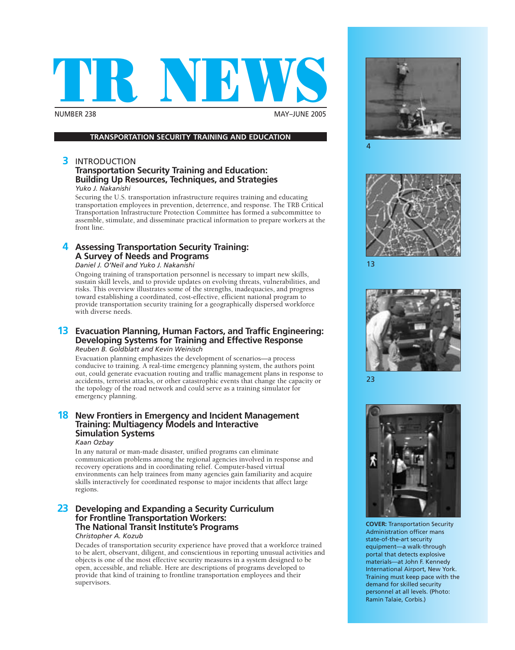

**MAY-JUNE 2005** 

#### **TRANSPORTATION SECURITY TRAINING AND EDUCATION**

#### **3** INTRODUCTION

#### **Transportation Security Training and Education: Building Up Resources, Techniques, and Strategies** *Yuko J. Nakanishi*

Securing the U.S. transportation infrastructure requires training and educating transportation employees in prevention, deterrence, and response. The TRB Critical Transportation Infrastructure Protection Committee has formed a subcommittee to assemble, stimulate, and disseminate practical information to prepare workers at the front line.

#### **4 Assessing Transportation Security Training: A Survey of Needs and Programs**

#### *Daniel J. O'Neil and Yuko J. Nakanishi*

Ongoing training of transportation personnel is necessary to impart new skills, sustain skill levels, and to provide updates on evolving threats, vulnerabilities, and risks. This overview illustrates some of the strengths, inadequacies, and progress toward establishing a coordinated, cost-effective, efficient national program to provide transportation security training for a geographically dispersed workforce with diverse needs.

#### **13 Evacuation Planning, Human Factors, and Traffic Engineering: Developing Systems for Training and Effective Response** *Reuben B. Goldblatt and Kevin Weinisch*

Evacuation planning emphasizes the development of scenarios—a process conducive to training. A real-time emergency planning system, the authors point out, could generate evacuation routing and traffic management plans in response to accidents, terrorist attacks, or other catastrophic events that change the capacity or the topology of the road network and could serve as a training simulator for emergency planning.

#### **18 New Frontiers in Emergency and Incident Management Training: Multiagency Models and Interactive Simulation Systems**

#### *Kaan Ozbay*

In any natural or man-made disaster, unified programs can eliminate communication problems among the regional agencies involved in response and recovery operations and in coordinating relief. Computer-based virtual environments can help trainees from many agencies gain familiarity and acquire skills interactively for coordinated response to major incidents that affect large regions.

#### **23 Developing and Expanding a Security Curriculum for Frontline Transportation Workers: The National Transit Institute's Programs**

#### *Christopher A. Kozub*

Decades of transportation security experience have proved that a workforce trained to be alert, observant, diligent, and conscientious in reporting unusual activities and objects is one of the most effective security measures in a system designed to be open, accessible, and reliable. Here are descriptions of programs developed to provide that kind of training to frontline transportation employees and their supervisors.





13



23



**COVER:** Transportation Security Administration officer mans state-of-the-art security equipment—a walk-through portal that detects explosive materials—at John F. Kennedy International Airport, New York. Training must keep pace with the demand for skilled security personnel at all levels. (Photo: Ramin Talaie, Corbis.)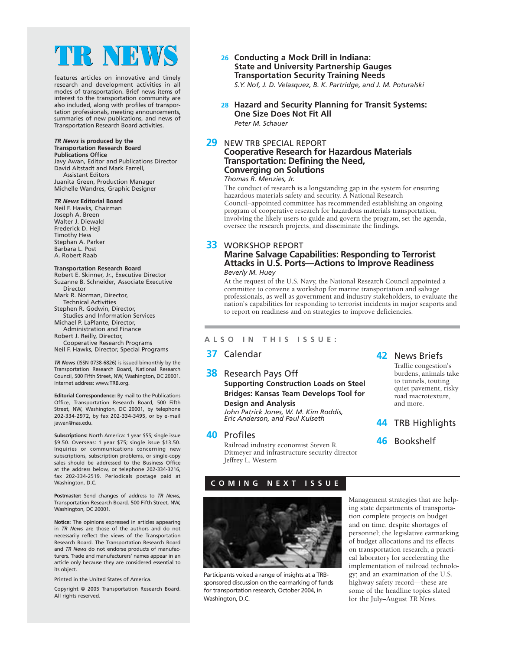# IR NEW

features articles on innovative and timely research and development activities in all modes of transportation. Brief news items of interest to the transportation community are also included, along with profiles of transportation professionals, meeting announcements, summaries of new publications, and news of Transportation Research Board activities.

#### *TR News* **is produced by the Transportation Research Board Publications Office**

Javy Awan, Editor and Publications Director David Altstadt and Mark Farrell, Assistant Editors Juanita Green, Production Manager

Michelle Wandres, Graphic Designer

#### *TR News* **Editorial Board**

Neil F. Hawks, Chairman Joseph A. Breen Walter J. Diewald Frederick D. Hejl Timothy Hess Stephan A. Parker Barbara L. Post A. Robert Raab

#### **Transportation Research Board**

Robert E. Skinner, Jr., Executive Director Suzanne B. Schneider, Associate Executive Director

Mark R. Norman, Director,

Technical Activities Stephen R. Godwin, Director,

Studies and Information Services

Michael P. LaPlante, Director, Administration and Finance

Robert J. Reilly, Director,

Cooperative Research Programs Neil F. Hawks, Director, Special Programs

*TR News* (ISSN 0738-6826) is issued bimonthly by the Transportation Research Board, National Research Council, 500 Fifth Street, NW, Washington, DC 20001. Internet address: www.TRB.org.

**Editorial Correspondence:** By mail to the Publications Office, Transportation Research Board, 500 Fifth Street, NW, Washington, DC 20001, by telephone 202-334-2972, by fax 202-334-3495, or by e-mail jawan@nas.edu.

**Subscriptions:** North America: 1 year \$55; single issue \$9.50. Overseas: 1 year \$75; single issue \$13.50. Inquiries or communications concerning new subscriptions, subscription problems, or single-copy sales should be addressed to the Business Office at the address below, or telephone 202-334-3216, fax 202-334-2519. Periodicals postage paid at Washington, D.C.

**Postmaster:** Send changes of address to *TR News*, Transportation Research Board, 500 Fifth Street, NW, Washington, DC 20001.

**Notice:** The opinions expressed in articles appearing in *TR News* are those of the authors and do not necessarily reflect the views of the Transportation Research Board. The Transportation Research Board and *TR News* do not endorse products of manufacturers. Trade and manufacturers' names appear in an article only because they are considered essential to its object.

Printed in the United States of America.

Copyright © 2005 Transportation Research Board. All rights reserved.

- **26 Conducting a Mock Drill in Indiana: State and University Partnership Gauges Transportation Security Training Needs** *S.Y. Nof, J. D. Velasquez, B. K. Partridge, and J. M. Poturalski*
- **28 Hazard and Security Planning for Transit Systems: One Size Does Not Fit All** *Peter M. Schauer*

#### **29** NEW TRB SPECIAL REPORT **Cooperative Research for Hazardous Materials Transportation: Defining the Need, Converging on Solutions**

#### *Thomas R. Menzies, Jr.*

The conduct of research is a longstanding gap in the system for ensuring hazardous materials safety and security. A National Research Council–appointed committee has recommended establishing an ongoing program of cooperative research for hazardous materials transportation, involving the likely users to guide and govern the program, set the agenda, oversee the research projects, and disseminate the findings.

#### **33** WORKSHOP REPORT

#### **Marine Salvage Capabilities: Responding to Terrorist Attacks in U.S. Ports—Actions to Improve Readiness** *Beverly M. Huey*

At the request of the U.S. Navy, the National Research Council appointed a committee to convene a workshop for marine transportation and salvage professionals, as well as government and industry stakeholders, to evaluate the nation's capabilities for responding to terrorist incidents in major seaports and to report on readiness and on strategies to improve deficiencies.

#### **ALSO IN THIS ISSUE:**

#### **37** Calendar

#### **38** Research Pays Off **Supporting Construction Loads on Steel Bridges: Kansas Team Develops Tool for Design and Analysis**

*John Patrick Jones, W. M. Kim Roddis, Eric Anderson, and Paul Kulseth*

#### **40** Profiles

Railroad industry economist Steven R. Ditmeyer and infrastructure security director Jeffrey L. Western

#### **42** News Briefs

Traffic congestion's burdens, animals take to tunnels, touting quiet pavement, risky road macrotexture, and more.

- **44** TRB Highlights
- **46** Bookshelf

#### **COMING NEXT ISSUE**



Participants voiced a range of insights at a TRBsponsored discussion on the earmarking of funds for transportation research, October 2004, in Washington, D.C.

Management strategies that are helping state departments of transportation complete projects on budget and on time, despite shortages of personnel; the legislative earmarking of budget allocations and its effects on transportation research; a practical laboratory for accelerating the implementation of railroad technology; and an examination of the U.S. highway safety record—these are some of the headline topics slated for the July–August *TR News*.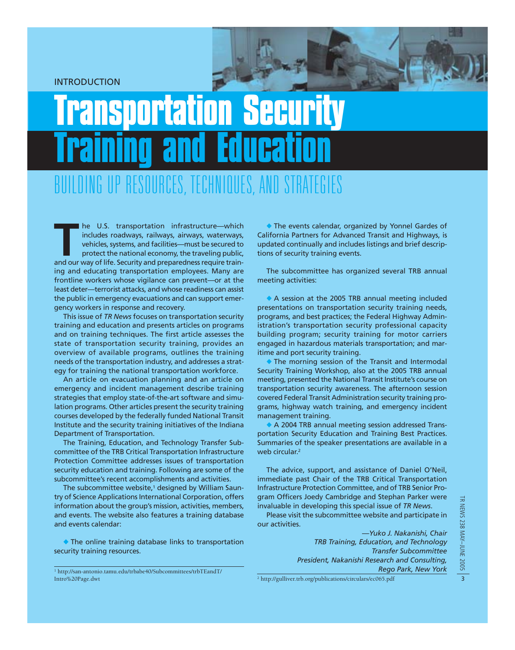INTRODUCTION

# Transportation Security Training and Education BUILDING UP RESOURCES, TECHNIQUES, AND STRATEGIES

**THE MANUSE IN A HOT SET AND SET AND SET AND SET AND SET AND SET AND SERVIDE SURFACT AND protect the national economy, the traveling public, and our way of life. Security and preparedness require train**includes roadways, railways, airways, waterways, vehicles, systems, and facilities—must be secured to protect the national economy, the traveling public, ing and educating transportation employees. Many are frontline workers whose vigilance can prevent—or at the least deter—terrorist attacks, and whose readiness can assist the public in emergency evacuations and can support emergency workers in response and recovery.

This issue of *TR News* focuses on transportation security training and education and presents articles on programs and on training techniques. The first article assesses the state of transportation security training, provides an overview of available programs, outlines the training needs of the transportation industry, and addresses a strategy for training the national transportation workforce.

An article on evacuation planning and an article on emergency and incident management describe training strategies that employ state-of-the-art software and simulation programs. Other articles present the security training courses developed by the federally funded National Transit Institute and the security training initiatives of the Indiana Department of Transportation.

The Training, Education, and Technology Transfer Subcommittee of the TRB Critical Transportation Infrastructure Protection Committee addresses issues of transportation security education and training. Following are some of the subcommittee's recent accomplishments and activities.

The subcommittee website,<sup>1</sup> designed by William Sauntry of Science Applications International Corporation, offers information about the group's mission, activities, members, and events. The website also features a training database and events calendar:

 The online training database links to transportation security training resources.

The subcommittee has organized several TRB annual meeting activities:

 A session at the 2005 TRB annual meeting included presentations on transportation security training needs, programs, and best practices; the Federal Highway Administration's transportation security professional capacity building program; security training for motor carriers engaged in hazardous materials transportation; and maritime and port security training.

The morning session of the Transit and Intermodal Security Training Workshop, also at the 2005 TRB annual meeting, presented the National Transit Institute's course on transportation security awareness. The afternoon session covered Federal Transit Administration security training programs, highway watch training, and emergency incident management training.

A 2004 TRB annual meeting session addressed Transportation Security Education and Training Best Practices. Summaries of the speaker presentations are available in a web circular.<sup>2</sup>

The advice, support, and assistance of Daniel O'Neil, immediate past Chair of the TRB Critical Transportation Infrastructure Protection Committee, and of TRB Senior Program Officers Joedy Cambridge and Stephan Parker were invaluable in developing this special issue of *TR News*.

Please visit the subcommittee website and participate in our activities.

> *—Yuko J. Nakanishi, Chair TRB Training, Education, and Technology Transfer Subcommittee President, Nakanishi Research and Consulting, Rego Park, New York*

The events calendar, organized by Yonnel Gardes of California Partners for Advanced Transit and Highways, is updated continually and includes listings and brief descriptions of security training events.

<sup>1</sup> http://san-antonio.tamu.edu/trbabe40/Subcommittees/trbTEandT/ Intro%20Page.dwt <sup>2</sup> http://gulliver.trb.org/publications/circulars/ec065.pdf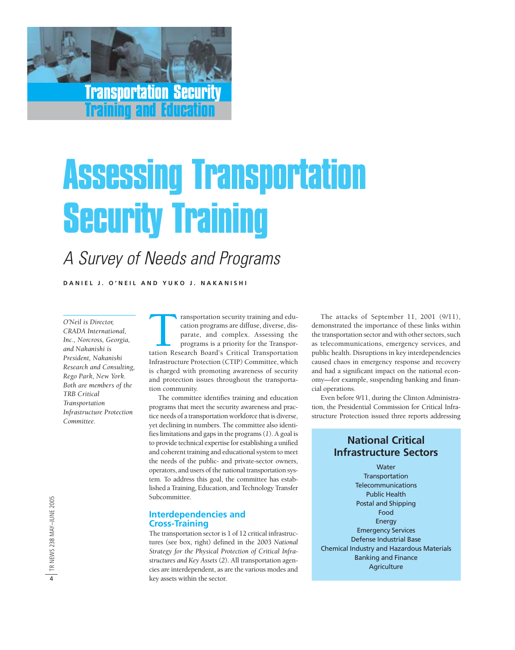

# Assessing Transportation Security Training

## A Survey of Needs and Programs

**DANIEL J. O ' NEIL AND YUKO J. NAKANI S H I**

*O'Neil is Director, CRADA International, Inc., Norcross, Georgia, and Nakanishi is President, Nakanishi Research and Consulting, Rego Park, New York. Both are members of the TRB Critical Transportation Infrastructure Protection Committee.*

Transportation security training and edu-<br>
cation programs are diffuse, diverse, dis-<br>
parate, and complex. Assessing the<br>
programs is a priority for the Transportation<br>
Research Board's Critical Transportation cation programs are diffuse, diverse, disparate, and complex. Assessing the programs is a priority for the Transpor-Infrastructure Protection (CTIP) Committee, which is charged with promoting awareness of security and protection issues throughout the transportation community.

The committee identifies training and education programs that meet the security awareness and practice needs of a transportation workforce that is diverse, yet declining in numbers. The committee also identifies limitations and gaps in the programs (*1*). A goal is to provide technical expertise for establishing a unified and coherent training and educational system to meet the needs of the public- and private-sector owners, operators, and users of the national transportation system. To address this goal, the committee has established a Training, Education, and Technology Transfer Subcommittee.

#### **Interdependencies and Cross-Training**

The transportation sector is 1 of 12 critical infrastructures (see box, right) defined in the 2003 *National Strategy for the Physical Protection of Critical Infrastructures and Key Assets* (*2*). All transportation agencies are interdependent, as are the various modes and key assets within the sector.

The attacks of September 11, 2001 (9/11), demonstrated the importance of these links within the transportation sector and with other sectors, such as telecommunications, emergency services, and public health. Disruptions in key interdependencies caused chaos in emergency response and recovery and had a significant impact on the national economy—for example, suspending banking and financial operations.

Even before 9/11, during the Clinton Administration, the Presidential Commission for Critical Infrastructure Protection issued three reports addressing

#### **National Critical Infrastructure Sectors**

**Water Transportation** Telecommunications Public Health Postal and Shipping Food Energy Emergency Services Defense Industrial Base Chemical Industry and Hazardous Materials Banking and Finance **Agriculture**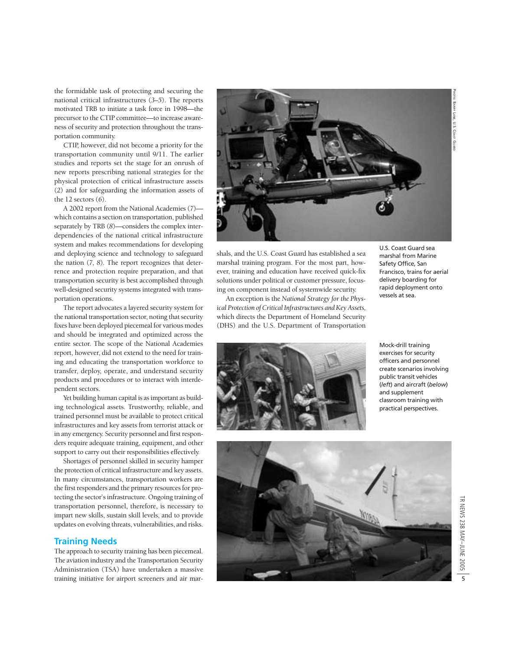PHOTO: BARRY LANE, U.S. COAST : BARRY LANE, U.S. COAST GUARD

the formidable task of protecting and securing the national critical infrastructures (*3–5*). The reports motivated TRB to initiate a task force in 1998—the precursor to the CTIP committee—to increase awareness of security and protection throughout the transportation community.

CTIP, however, did not become a priority for the transportation community until 9/11. The earlier studies and reports set the stage for an onrush of new reports prescribing national strategies for the physical protection of critical infrastructure assets (*2*) and for safeguarding the information assets of the 12 sectors (*6*).

A 2002 report from the National Academies (*7*) which contains a section on transportation, published separately by TRB (*8*)—considers the complex interdependencies of the national critical infrastructure system and makes recommendations for developing and deploying science and technology to safeguard the nation (*7, 8*). The report recognizes that deterrence and protection require preparation, and that transportation security is best accomplished through well-designed security systems integrated with transportation operations.

The report advocates a layered security system for the national transportation sector, noting that security fixes have been deployed piecemeal for various modes and should be integrated and optimized across the entire sector. The scope of the National Academies report, however, did not extend to the need for training and educating the transportation workforce to transfer, deploy, operate, and understand security products and procedures or to interact with interdependent sectors.

Yet building human capital is as important as building technological assets. Trustworthy, reliable, and trained personnel must be available to protect critical infrastructures and key assets from terrorist attack or in any emergency. Security personnel and first responders require adequate training, equipment, and other support to carry out their responsibilities effectively.

Shortages of personnel skilled in security hamper the protection of critical infrastructure and key assets. In many circumstances, transportation workers are the first responders and the primary resources for protecting the sector's infrastructure. Ongoing training of transportation personnel, therefore, is necessary to impart new skills, sustain skill levels, and to provide updates on evolving threats, vulnerabilities, and risks.

#### **Training Needs**

The approach to security training has been piecemeal. The aviation industry and the Transportation Security Administration (TSA) have undertaken a massive training initiative for airport screeners and air marshals, and the U.S. Coast Guard has established a sea marshal training program. For the most part, however, training and education have received quick-fix solutions under political or customer pressure, focusing on component instead of systemwide security.

An exception is the *National Strategy for the Physical Protection of Critical Infrastructures and Key Assets,* which directs the Department of Homeland Security (DHS) and the U.S. Department of Transportation U.S. Coast Guard sea marshal from Marine Safety Office, San Francisco, trains for aerial delivery boarding for rapid deployment onto vessels at sea.

Mock-drill training exercises for security officers and personnel create scenarios involving public transit vehicles (*left*) and aircraft (*below*) and supplement classroom training with practical perspectives.







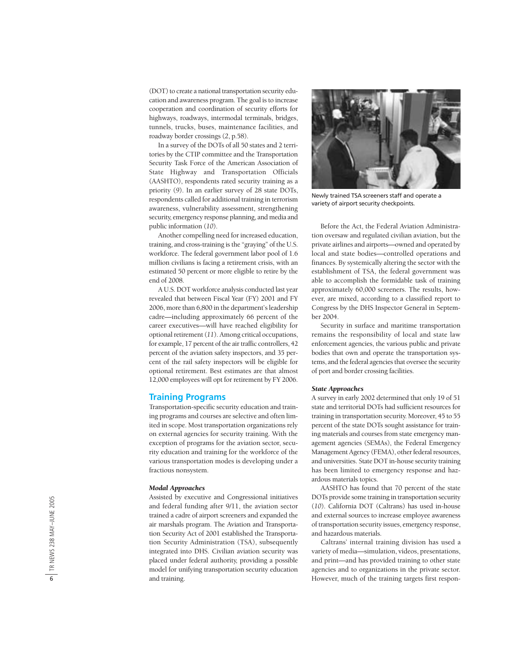(DOT) to create a national transportation security education and awareness program. The goal is to increase cooperation and coordination of security efforts for highways, roadways, intermodal terminals, bridges, tunnels, trucks, buses, maintenance facilities, and roadway border crossings ( *2*, p.58).

In a survey of the DOTs of all 50 states and 2 territories by the CTIP committee and the Transportation Security Task Force of the American Association of State Highway and Transportation Officials (AASHTO), respondents rated security training as a priority ( *9*). In an earlier survey of 28 state DOTs, respondents called for additional training in terrorism awareness, vulnerability assessment, strengthening security, emergency response planning, and media and public information (*10*).

Another compelling need for increased education, training, and cross-training is the "graying" of the U.S. workforce. The federal government labor pool of 1.6 million civilians is facing a retirement crisis, with an estimated 50 percent or more eligible to retire by the end of 2008.

A U.S. DOT workforce analysis conducted last year revealed that between Fiscal Year (FY) 2001 and FY 2006, more than 6,800 in the department's leadership cadre—including approximately 66 percent of the career executives—will have reached eligibility for optional retirement (*11*). Among critical occupations, for example, 17 percent of the air traffic controllers, 42 percent of the aviation safety inspectors, and 35 percent of the rail safety inspectors will be eligible for optional retirement. Best estimates are that almost 12,000 employees will opt for retirement by FY 2006.

#### **Training Programs**

Transportation-specific security education and training programs and courses are selective and often limited in scope. Most transportation organizations rely on external agencies for security training. With the exception of programs for the aviation sector, security education and training for the workforce of the various transportation modes is developing under a fractious nonsystem.

#### *Modal Approaches*

Assisted by executive and Congressional initiatives and federal funding after 9/11, the aviation sector trained a cadre of airport screeners and expanded the air marshals program. The Aviation and Transportation Security Act of 2001 established the Transportation Security Administration (TSA), subsequently integrated into DHS. Civilian aviation security was placed under federal authority, providing a possible model for unifying transportation security education and training.



Newly trained TSA screeners staff and operate a variety of airport security checkpoints.

Before the Act, the Federal Aviation Administration oversaw and regulated civilian aviation, but the private airlines and airports—owned and operated by local and state bodies—controlled operations and finances. By systemically altering the sector with the establishment of TSA, the federal government was able to accomplish the formidable task of training approximately 60,000 screeners. The results, however, are mixed, according to a classified report to Congress by the DHS Inspector General in September 2004.

Security in surface and maritime transportation remains the responsibility of local and state law enforcement agencies, the various public and private bodies that own and operate the transportation systems, and the federal agencies that oversee the security of port and border crossing facilities.

#### *State Approaches*

A survey in early 2002 determined that only 19 of 51 state and territorial DOTs had sufficient resources for training in transportation security. Moreover, 45 to 55 percent of the state DOTs sought assistance for training materials and courses from state emergency management agencies (SEMAs), the Federal Emergency Management Agency (FEMA), other federal resources, and universities. State DOT in-house security training has been limited to emergency response and hazardous materials topics.

AASHTO has found that 70 percent of the state DOTs provide some training in transportation security (*10*). California DOT (Caltrans) has used in-house and external sources to increase employee awareness of transportation security issues, emergency response, and hazardous materials.

Caltrans' internal training division has used a variety of media—simulation, videos, presentations, and print—and has provided training to other state agencies and to organizations in the private sector. However, much of the training targets first respon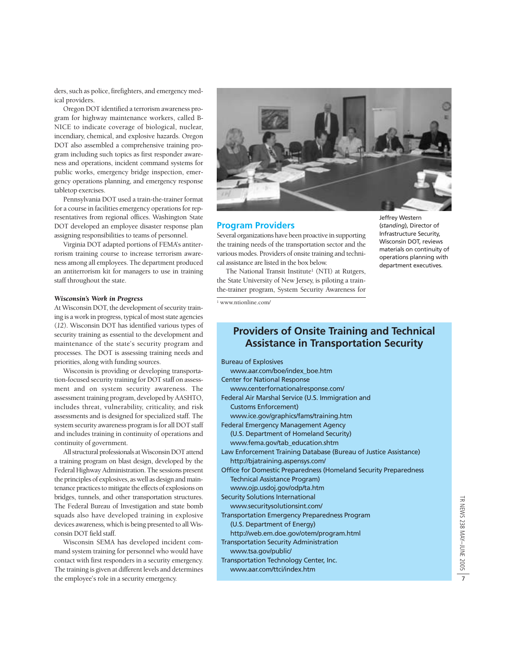ders, such as police, firefighters, and emergency medical providers.

Oregon DOT identified a terrorism awareness program for highway maintenance workers, called B-NICE to indicate coverage of biological, nuclear, incendiary, chemical, and explosive hazards*.* Oregon DOT also assembled a comprehensive training program including such topics as first responder awareness and operations, incident command systems for public works, emergency bridge inspection, emergency operations planning, and emergency response tabletop exercises.

Pennsylvania DOT used a train-the-trainer format for a course in facilities emergency operations for representatives from regional offices. Washington State DOT developed an employee disaster response plan assigning responsibilities to teams of personnel.

Virginia DOT adapted portions of FEMA's antiterrorism training course to increase terrorism awareness among all employees. The department produced an antiterrorism kit for managers to use in training staff throughout the state.

#### *Wisconsin's Work in Progress*

At Wisconsin DOT, the development of security training is a work in progress, typical of most state agencies (*12*). Wisconsin DOT has identified various types of security training as essential to the development and maintenance of the state's security program and processes. The DOT is assessing training needs and priorities, along with funding sources.

Wisconsin is providing or developing transportation-focused security training for DOT staff on assessment and on system security awareness. The assessment training program, developed by AASHTO, includes threat, vulnerability, criticality, and risk assessments and is designed for specialized staff. The system security awareness program is for all DOT staff and includes training in continuity of operations and continuity of government.

All structural professionals at Wisconsin DOT attend a training program on blast design, developed by the Federal Highway Administration. The sessions present the principles of explosives, as well as design and maintenance practices to mitigate the effects of explosions on bridges, tunnels, and other transportation structures. The Federal Bureau of Investigation and state bomb squads also have developed training in explosive devices awareness*,* which is being presented to all Wisconsin DOT field staff.

Wisconsin SEMA has developed incident command system training for personnel who would have contact with first responders in a security emergency. The training is given at different levels and determines the employee's role in a security emergency.



#### **Program Providers**

Several organizations have been proactive in supporting the training needs of the transportation sector and the various modes. Providers of onsite training and technical assistance are listed in the box below.

The National Transit Institute<sup>1</sup> (NTI) at Rutgers, the State University of New Jersey, is piloting a trainthe-trainer program, System Security Awareness for

<sup>1</sup> www.ntionline.com/

#### Jeffrey Western (*standing*), Director of Infrastructure Security, Wisconsin DOT, reviews materials on continuity of operations planning with department executives.

#### **Providers of Onsite Training and Technical Assistance in Transportation Security**

| <b>Bureau of Explosives</b>                                      |
|------------------------------------------------------------------|
| www.aar.com/boe/index_boe.htm                                    |
| <b>Center for National Response</b>                              |
| www.centerfornationalresponse.com/                               |
| Federal Air Marshal Service (U.S. Immigration and                |
| <b>Customs Enforcement)</b>                                      |
| www.ice.gov/graphics/fams/training.htm                           |
| <b>Federal Emergency Management Agency</b>                       |
| (U.S. Department of Homeland Security)                           |
| www.fema.gov/tab_education.shtm                                  |
| Law Enforcement Training Database (Bureau of Justice Assistance) |
| http://bjatraining.aspensys.com/                                 |
| Office for Domestic Preparedness (Homeland Security Preparedness |
| <b>Technical Assistance Program)</b>                             |
| www.ojp.usdoj.gov/odp/ta.htm                                     |
| <b>Security Solutions International</b>                          |
| www.securitysolutionsint.com/                                    |
| <b>Transportation Emergency Preparedness Program</b>             |
| (U.S. Department of Energy)                                      |
| http://web.em.doe.gov/otem/program.html                          |
| <b>Transportation Security Administration</b>                    |
| www.tsa.gov/public/                                              |
| Transportation Technology Center, Inc.                           |
| www.aar.com/ttci/index.htm                                       |
|                                                                  |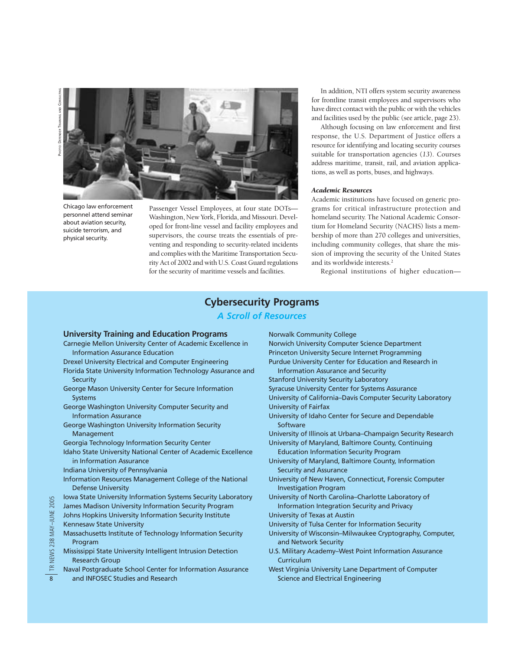

Chicago law enforcement personnel attend seminar about aviation security, suicide terrorism, and physical security.

Passenger Vessel Employees, at four state DOTs— Washington, New York, Florida, and Missouri. Developed for front-line vessel and facility employees and supervisors, the course treats the essentials of preventing and responding to security-related incidents and complies with the Maritime Transportation Security Act of 2002 and with U.S. Coast Guard regulations for the security of maritime vessels and facilities.

In addition, NTI offers system security awareness for frontline transit employees and supervisors who have direct contact with the public or with the vehicles and facilities used by the public (see article, page 23).

Although focusing on law enforcement and first response, the U.S. Department of Justice offers a resource for identifying and locating security courses suitable for transportation agencies (*13*). Courses address maritime, transit, rail, and aviation applications, as well as ports, buses, and highways.

#### *Academic Resources*

Academic institutions have focused on generic programs for critical infrastructure protection and homeland security. The National Academic Consortium for Homeland Security (NACHS) lists a membership of more than 270 colleges and universities, including community colleges, that share the mission of improving the security of the United States and its worldwide interests.2

Regional institutions of higher education—

#### **Cybersecurity Programs**

*A Scroll of Resources*

#### **University Training and Education Programs**

- Carnegie Mellon University Center of Academic Excellence in Information Assurance Education
- Drexel University Electrical and Computer Engineering
- Florida State University Information Technology Assurance and **Security**
- George Mason University Center for Secure Information Systems
- George Washington University Computer Security and Information Assurance
- George Washington University Information Security Management
- Georgia Technology Information Security Center
- Idaho State University National Center of Academic Excellence in Information Assurance
- Indiana University of Pennsylvania
- Information Resources Management College of the National Defense University
- Iowa State University Information Systems Security Laboratory
- James Madison University Information Security Program Johns Hopkins University Information Security Institute Kennesaw State University
- Massachusetts Institute of Technology Information Security Program
- Mississippi State University Intelligent Intrusion Detection Research Group
- Naval Postgraduate School Center for Information Assurance and INFOSEC Studies and Research

Norwalk Community College Norwich University Computer Science Department Princeton University Secure Internet Programming Purdue University Center for Education and Research in

Information Assurance and Security Stanford University Security Laboratory

- Syracuse University Center for Systems Assurance
- University of California–Davis Computer Security Laboratory University of Fairfax
- University of Idaho Center for Secure and Dependable **Software**
- University of Illinois at Urbana–Champaign Security Research
- University of Maryland, Baltimore County, Continuing Education Information Security Program
- University of Maryland, Baltimore County, Information Security and Assurance
- University of New Haven, Connecticut, Forensic Computer Investigation Program
- University of North Carolina–Charlotte Laboratory of Information Integration Security and Privacy
- University of Texas at Austin
- University of Tulsa Center for Information Security
- University of Wisconsin–Milwaukee Cryptography, Computer, and Network Security
- U.S. Military Academy–West Point Information Assurance **Curriculum**
- West Virginia University Lane Department of Computer Science and Electrical Engineering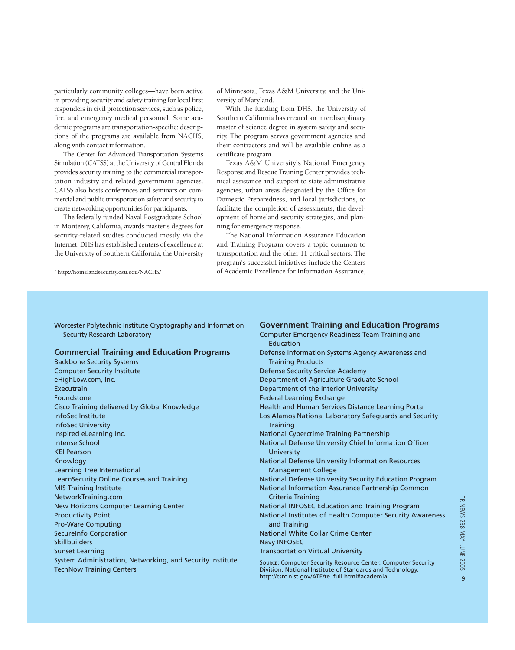particularly community colleges—have been active in providing security and safety training for local first responders in civil protection services, such as police, fire, and emergency medical personnel. Some academic programs are transportation-specific; descriptions of the programs are available from NACHS, along with contact information.

The Center for Advanced Transportation Systems Simulation (CATSS) at the University of Central Florida provides security training to the commercial transportation industry and related government agencies. CATSS also hosts conferences and seminars on commercial and public transportation safety and security to create networking opportunities for participants.

The federally funded Naval Postgraduate School in Monterey, California, awards master's degrees for security-related studies conducted mostly via the Internet. DHS has established centers of excellence at the University of Southern California, the University

of Minnesota, Texas A&M University, and the University of Maryland.

With the funding from DHS, the University of Southern California has created an interdisciplinary master of science degree in system safety and security. The program serves government agencies and their contractors and will be available online as a certificate program.

Texas A&M University's National Emergency Response and Rescue Training Center provides technical assistance and support to state administrative agencies, urban areas designated by the Office for Domestic Preparedness, and local jurisdictions, to facilitate the completion of assessments, the development of homeland security strategies, and planning for emergency response.

The National Information Assurance Education and Training Program covers a topic common to transportation and the other 11 critical sectors. The program's successful initiatives include the Centers of Academic Excellence for Information Assurance, <sup>2</sup> http://homelandsecurity.osu.edu/NACHS/

Worcester Polytechnic Institute Cryptography and Information Security Research Laboratory

#### **Commercial Training and Education Programs**

Backbone Security Systems Computer Security Institute eHighLow.com, Inc. Executrain Foundstone Cisco Training delivered by Global Knowledge InfoSec Institute InfoSec University Inspired eLearning Inc. Intense School KEI Pearson Knowlogy Learning Tree International LearnSecurity Online Courses and Training MIS Training Institute NetworkTraining.com New Horizons Computer Learning Center Productivity Point Pro-Ware Computing SecureInfo Corporation **Skillbuilders** Sunset Learning System Administration, Networking, and Security Institute TechNow Training Centers

#### **Government Training and Education Programs**

```
Computer Emergency Readiness Team Training and
  Education
Defense Information Systems Agency Awareness and
  Training Products
Defense Security Service Academy
Department of Agriculture Graduate School
Department of the Interior University
Federal Learning Exchange
Health and Human Services Distance Learning Portal
Los Alamos National Laboratory Safeguards and Security
  Training
National Cybercrime Training Partnership
National Defense University Chief Information Officer
   University
National Defense University Information Resources
  Management College
National Defense University Security Education Program
National Information Assurance Partnership Common
  Criteria Training
National INFOSEC Education and Training Program
National Institutes of Health Computer Security Awareness
  and Training
National White Collar Crime Center
Navy INFOSEC
Transportation Virtual University
SOURCE: Computer Security Resource Center, Computer Security
Division, National Institute of Standards and Technology,
```
http://csrc.nist.gov/ATE/te\_full.html#academia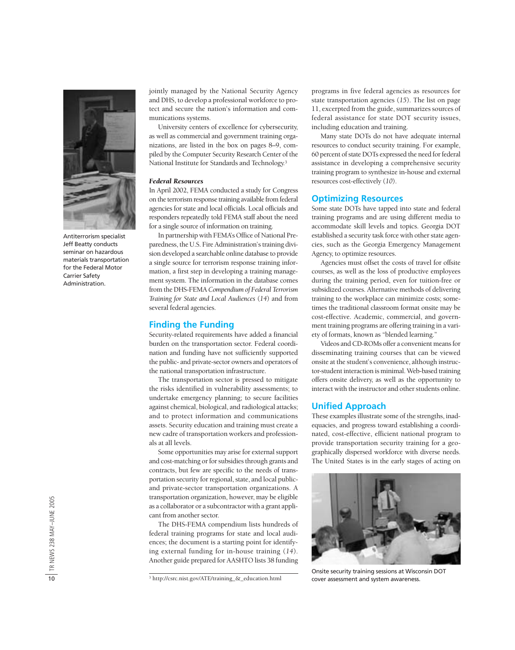

Antiterrorism specialist Jeff Beatty conducts seminar on hazardous materials transportation for the Federal Motor Carrier Safety Administration.

jointly managed by the National Security Agency and DHS, to develop a professional workforce to protect and secure the nation's information and communications systems.

University centers of excellence for cybersecurity, as well as commercial and government training organizations, are listed in the box on pages 8–9, compiled by the Computer Security Research Center of the National Institute for Standards and Technology.3

#### *Federal Resources*

In April 2002, FEMA conducted a study for Congress on the terrorism response training available from federal agencies for state and local officials. Local officials and responders repeatedly told FEMA staff about the need for a single source of information on training.

In partnership with FEMA's Office of National Preparedness, the U.S. Fire Administration's training division developed a searchable online database to provide a single source for terrorism response training information, a first step in developing a training management system. The information in the database comes from the DHS-FEMA *Compendium of Federal Terrorism Training for State and Local Audiences* (*14*) and from several federal agencies.

#### **Finding the Funding**

Security-related requirements have added a financial burden on the transportation sector. Federal coordination and funding have not sufficiently supported the public- and private-sector owners and operators of the national transportation infrastructure.

The transportation sector is pressed to mitigate the risks identified in vulnerability assessments; to undertake emergency planning; to secure facilities against chemical, biological, and radiological attacks; and to protect information and communications assets. Security education and training must create a new cadre of transportation workers and professionals at all levels.

Some opportunities may arise for external support and cost-matching or for subsidies through grants and contracts, but few are specific to the needs of transportation security for regional, state, and local publicand private-sector transportation organizations. A transportation organization, however, may be eligible as a collaborator or a subcontractor with a grant applicant from another sector.

The DHS-FEMA compendium lists hundreds of federal training programs for state and local audiences; the document is a starting point for identifying external funding for in-house training (*14*). Another guide prepared for AASHTO lists 38 funding programs in five federal agencies as resources for state transportation agencies (*15*). The list on page 11, excerpted from the guide, summarizes sources of federal assistance for state DOT security issues, including education and training.

Many state DOTs do not have adequate internal resources to conduct security training. For example, 60 percent of state DOTs expressed the need for federal assistance in developing a comprehensive security training program to synthesize in-house and external resources cost-effectively (*10*).

#### **Optimizing Resources**

Some state DOTs have tapped into state and federal training programs and are using different media to accommodate skill levels and topics. Georgia DOT established a security task force with other state agencies, such as the Georgia Emergency Management Agency, to optimize resources.

Agencies must offset the costs of travel for offsite courses, as well as the loss of productive employees during the training period, even for tuition-free or subsidized courses. Alternative methods of delivering training to the workplace can minimize costs; sometimes the traditional classroom format onsite may be cost-effective. Academic, commercial, and government training programs are offering training in a variety of formats, known as "blended learning."

Videos and CD-ROMs offer a convenient means for disseminating training courses that can be viewed onsite at the student's convenience, although instructor-student interaction is minimal. Web-based training offers onsite delivery, as well as the opportunity to interact with the instructor and other students online.

#### **Unified Approach**

These examples illustrate some of the strengths, inadequacies, and progress toward establishing a coordinated, cost-effective, efficient national program to provide transportation security training for a geographically dispersed workforce with diverse needs. The United States is in the early stages of acting on



Onsite security training sessions at Wisconsin DOT cover assessment and system awareness.

<sup>3</sup> http://csrc.nist.gov/ATE/training\_&\_education.html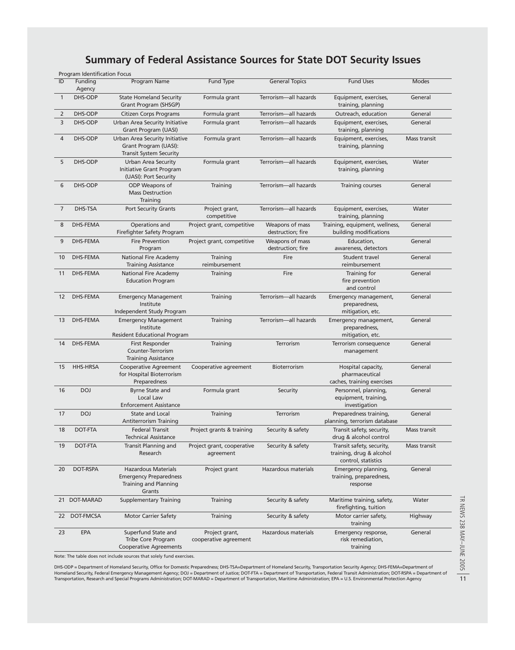### **Summary of Federal Assistance Sources for State DOT Security Issues**

|                | Program Identification Focus |                                                                                                |                                         |                                      |                                                                              |              |
|----------------|------------------------------|------------------------------------------------------------------------------------------------|-----------------------------------------|--------------------------------------|------------------------------------------------------------------------------|--------------|
| ID             | Funding<br>Agency            | <b>Program Name</b>                                                                            | Fund Type                               | <b>General Topics</b>                | <b>Fund Uses</b>                                                             | <b>Modes</b> |
| $\mathbf{1}$   | DHS-ODP                      | <b>State Homeland Security</b><br>Grant Program (SHSGP)                                        | Formula grant                           | Terrorism-all hazards                | Equipment, exercises,<br>training, planning                                  | General      |
| 2              | DHS-ODP                      | <b>Citizen Corps Programs</b>                                                                  | Formula grant                           | Terrorism-all hazards                | Outreach, education                                                          | General      |
| 3              | DHS-ODP                      | Urban Area Security Initiative<br>Grant Program (UASI)                                         | Formula grant                           | Terrorism-all hazards                | Equipment, exercises,<br>training, planning                                  | General      |
| $\overline{4}$ | DHS-ODP                      | Urban Area Security Initiative<br>Grant Program (UASI):<br><b>Transit System Security</b>      | Formula grant                           | Terrorism-all hazards                | Equipment, exercises,<br>training, planning                                  | Mass transit |
| 5              | DHS-ODP                      | <b>Urban Area Security</b><br>Initiative Grant Program<br>(UASI): Port Security                | Formula grant                           | Terrorism-all hazards                | Equipment, exercises,<br>training, planning                                  | Water        |
| 6              | DHS-ODP                      | ODP Weapons of<br><b>Mass Destruction</b><br>Training                                          | Training                                | Terrorism-all hazards                | Training courses                                                             | General      |
| $\overline{7}$ | DHS-TSA                      | <b>Port Security Grants</b>                                                                    | Project grant,<br>competitive           | Terrorism-all hazards                | Equipment, exercises,<br>training, planning                                  | Water        |
| 8              | <b>DHS-FEMA</b>              | Operations and<br>Firefighter Safety Program                                                   | Project grant, competitive              | Weapons of mass<br>destruction; fire | Training, equipment, wellness,<br>building modifications                     | General      |
| 9              | <b>DHS-FEMA</b>              | <b>Fire Prevention</b><br>Program                                                              | Project grant, competitive              | Weapons of mass<br>destruction; fire | Education,<br>awareness, detectors                                           | General      |
| 10             | <b>DHS-FEMA</b>              | <b>National Fire Academy</b><br><b>Training Assistance</b>                                     | Training<br>reimbursement               | Fire                                 | Student travel<br>reimbursement                                              | General      |
| 11             | <b>DHS-FEMA</b>              | National Fire Academy<br><b>Education Program</b>                                              | Training                                | Fire                                 | Training for<br>fire prevention<br>and control                               | General      |
| 12             | DHS-FEMA                     | <b>Emergency Management</b><br>Institute<br>Independent Study Program                          | Training                                | Terrorism-all hazards                | Emergency management,<br>preparedness,<br>mitigation, etc.                   | General      |
| 13             | <b>DHS-FEMA</b>              | <b>Emergency Management</b><br>Institute<br>Resident Educational Program                       | Training                                | Terrorism-all hazards                | Emergency management,<br>preparedness,<br>mitigation, etc.                   | General      |
| 14             | <b>DHS-FEMA</b>              | First Responder<br>Counter-Terrorism<br><b>Training Assistance</b>                             | Training                                | Terrorism                            | Terrorism consequence<br>management                                          | General      |
| 15             | HHS-HRSA                     | <b>Cooperative Agreement</b><br>for Hospital Bioterrorism<br>Preparedness                      | Cooperative agreement                   | Bioterrorism                         | Hospital capacity,<br>pharmaceutical<br>caches, training exercises           | General      |
| 16             | <b>DOJ</b>                   | <b>Byrne State and</b><br>Local Law<br><b>Enforcement Assistance</b>                           | Formula grant                           | Security                             | Personnel, planning,<br>equipment, training,<br>investigation                | General      |
| 17             | <b>DOJ</b>                   | State and Local<br>Antiterrorism Training                                                      | Training                                | Terrorism                            | Preparedness training,<br>planning, terrorism database                       | General      |
| 18             | DOT-FTA                      | <b>Federal Transit</b><br>Technical Assistance                                                 | Project grants & training               | Security & safety                    | Transit safety, security,<br>drug & alcohol control                          | Mass transit |
| 19             | DOT-FTA                      | Transit Planning and<br>Research                                                               | Project grant, cooperative<br>agreement | Security & safety                    | Transit safety, security,<br>training, drug & alcohol<br>control, statistics | Mass transit |
| 20             | DOT-RSPA                     | <b>Hazardous Materials</b><br><b>Emergency Preparedness</b><br>Training and Planning<br>Grants | Project grant                           | Hazardous materials                  | Emergency planning,<br>training, preparedness,<br>response                   | General      |
|                | 21 DOT-MARAD                 | <b>Supplementary Training</b>                                                                  | Training                                | Security & safety                    | Maritime training, safety,<br>firefighting, tuition                          | Water        |
| 22             | DOT-FMCSA                    | <b>Motor Carrier Safety</b>                                                                    | Training                                | Security & safety                    | Motor carrier safety,<br>training                                            | Highway      |
| 23             | EPA                          | Superfund State and<br>Tribe Core Program<br><b>Cooperative Agreements</b>                     | Project grant,<br>cooperative agreement | Hazardous materials                  | Emergency response,<br>risk remediation,<br>training                         | General      |
|                |                              |                                                                                                |                                         |                                      |                                                                              |              |

Note: The table does not include sources that solely fund exercises.

DHS-ODP = Department of Homeland Security, Office for Domestic Preparedness; DHS-TSA=Department of Homeland Security, Transportation Security Agency; DHS-FEMA=Department of Homeland Security, Federal Emergency Management Agency; DOJ = Department of Justice; DOT-FTA = Department of Transportation, Federal Transit Administration; DOT-RSPA = Department of Transportation, Research and Special Programs Administration; DOT-MARAD = Department of Transportation, Maritime Administration; EPA = U.S. Environmental Protection Agency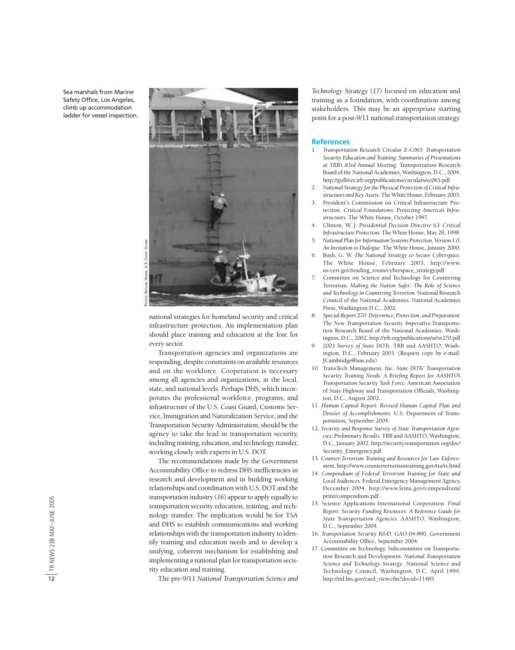Sea marshals from Marine Safety Office, Los Angeles, climb up accommodation ladder for vessel inspection.



national strategies for homeland security and critical infrastructure protection. An implementation plan should place training and education at the fore for every sector.

Transportation agencies and organizations are responding, despite constraints on available resources and on the workforce. Cooperation is necessary among all agencies and organizations, at the local, state, and national levels. Perhaps DHS, which incorporates the professional workforce, programs, and infrastructure of the U.S. Coast Guard, Customs Service, Immigration and Naturalization Service, and the Transportation Security Administration, should be the agency to take the lead in transportation security, including training, education, and technology transfer, working closely with experts in U.S. DOT.

The recommendations made by the Government Accountability Office to redress DHS inefficiencies in research and development and in building working relationships and coordination with U.S. DOT and the transportation industry (*16*) appear to apply equally to transportation security education, training, and technology transfer. The implication would be for TSA and DHS to establish communications and working relationships with the transportation industry to identify training and education needs and to develop a unifying, coherent mechanism for establishing and implementing a national plan for transportation security education and training.

The pre-9/11 *National Transportation Science and*

*Technology Strategy* (*17*) focused on education and training as a foundation, with coordination among stakeholders. This may be an appropriate starting point for a post-9/11 national transportation strategy.

#### **References**

- 1. *Transportation Research Circular E-C065: Transportation Security Education and Training: Summaries of Presentations at TRB's 83rd Annual Meeting*. Transportation Research Board of the National Academies, Washington, D.C., 2004. http://gulliver.trb.org/publications/circulars/ec065.pdf
- 2. *National Strategy for the Physical Protection of Critical Infrastructures and Key Assets*. The White House, February 2003.
- 3. President's Commission on Critical Infrastructure Protection. *Critical Foundations: Protecting America's Infrastructures.* The White House, October 1997.
- 4. Clinton, W. J. *Presidential Decision Directive 63: Critical Infrastructure Protection.* The White House, May 28, 1998.
- 5. *National Plan for Information Systems Protection, Version 1.0: An Invitation to Dialogue.* The White House*,* January 2000.
- 6. Bush, G. W. *The National Strategy to Secure Cyberspace*. The White House, February 2003. http://www. us-cert.gov/reading\_room/cyberspace\_strategy.pdf
- 7. Committee on Science and Technology for Countering Terrorism. *Making the Nation Safer: The Role of Science and Technology in Countering Terrorism.* National Research Council of the National Academies, National Academies Press, Washington D.C., 2002.
- 8. *Special Report 270: Deterrence, Protection, and Preparation: The New Transportation Security Imperative*.Transportation Research Board of the National Academies, Washington, D.C., 2002. http://trb.org/publications/sr/sr270.pdf
- 9. *2003 Survey of State DOTs*. TRB and AASHTO, Washington, D.C., February 2003. (Request copy by e-mail: JCambridge@nas.edu)
- 10. TransTech Management, Inc. *State DOTs' Transportation Security Training Needs: A Briefing Report for AASHTO's Transportation Security Task Force.* American Association of State Highway and Transportation Officials, Washington, D.C., August 2002.
- 11. *Human Capital Report: Revised Human Capital Plan and Dossier of Accomplishments*. U.S. Department of Transportation, September 2004.
- 12. *Security and Response Survey of State Transportation Agencies: Preliminary Results.* TRB and AASHTO, Washington, D.C., January 2002. http://security.transportation.org/doc/ Security\_Emergency.pdf
- 13. *Counter-Terrorism Training and Resources for Law Enforcement*, http://www.counterterrorismtraining.gov/tta/ts.html
- 14. *Compendium of Federal Terrorism Training for State and Local Audiences.* Federal Emergency Management Agency, December 2004. http://www.fema.gov/compendium/ print/compendium.pdf.
- 15. Science Applications International Corporation. *Final Report: Security Funding Resources: A Reference Guide for State Transportation Agencies.* AASHTO, Washington, D.C., September 2004.
- 16. *Transportation Security R&D*. GAO-04-890, Government Accountability Office, September 2004.
- 17. Committee on Technology, Subcommittee on Transportation Research and Development. *National Transportation Science and Technology Strategy*. National Science and Technology Council, Washington, D.C. April 1999. http://ntl.bts.gov/card\_view.cfm?docid=11485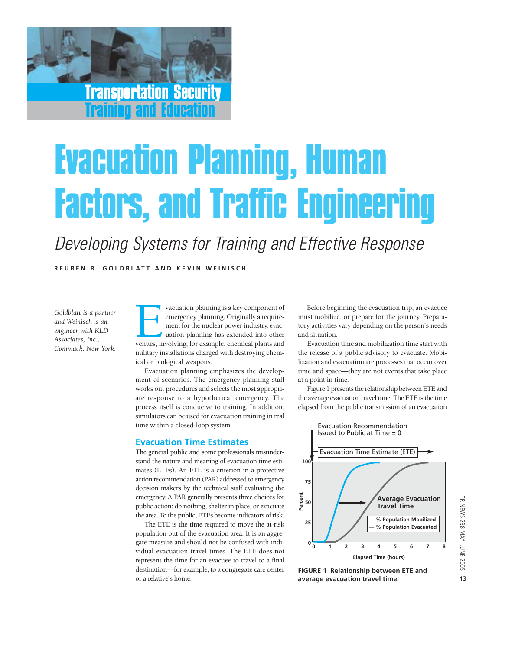Transportation Security Training and Education

# Evacuation Planning, Human Factors, and Traffic Engineering

## Developing Systems for Training and Effective Response

**REUBEN B. G OLDBLATT AND KEVIN WEINI S C H**

*Goldblatt is a partner and Weinisch is an engineer with KLD Associates, Inc., Commack, New York.*

vacuation planning is a key component of emergency planning. Originally a requirement for the nuclear power industry, evacuation planning has extended into other venues, involving, for example, chemical plants and emergency planning. Originally a requirement for the nuclear power industry, evacuation planning has extended into other military installations charged with destroying chemical or biological weapons.

Evacuation planning emphasizes the development of scenarios. The emergency planning staff works out procedures and selects the most appropriate response to a hypothetical emergency. The process itself is conducive to training. In addition, simulators can be used for evacuation training in real time within a closed-loop system.

#### **Evacuation Time Estimates**

The general public and some professionals misunderstand the nature and meaning of evacuation time estimates (ETEs). An ETE is a criterion in a protective action recommendation (PAR) addressed to emergency decision makers by the technical staff evaluating the emergency. A PAR generally presents three choices for public action: do nothing, shelter in place, or evacuate the area. To the public, ETEs become indicators of risk.

The ETE is the time required to move the at-risk population out of the evacuation area. It is an aggregate measure and should not be confused with individual evacuation travel times. The ETE does not represent the time for an evacuee to travel to a final destination—for example, to a congregate care center or a relative's home.

Before beginning the evacuation trip, an evacuee must mobilize, or prepare for the journey. Preparatory activities vary depending on the person's needs and situation.

Evacuation time and mobilization time start with the release of a public advisory to evacuate. Mobilization and evacuation are processes that occur over time and space—they are not events that take place at a point in time.

Figure 1 presents the relationship between ETE and the average evacuation travel time. The ETE is the time elapsed from the public transmission of an evacuation



**FIGURE 1 Relationship between ETE and average evacuation travel time.**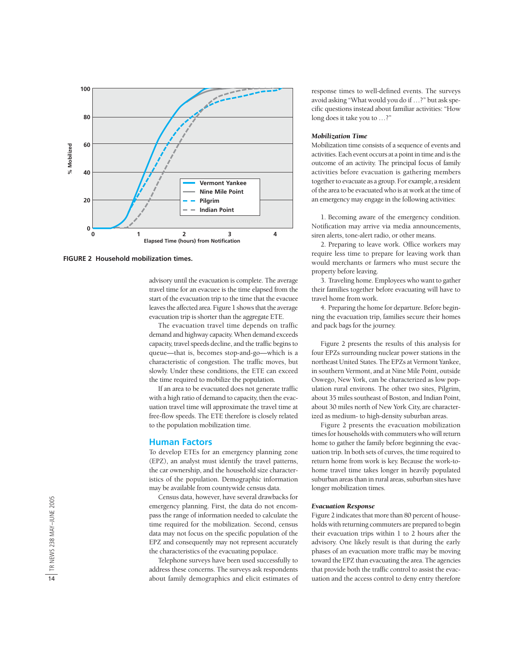

advisory until the evacuation is complete. The average travel time for an evacuee is the time elapsed from the start of the evacuation trip to the time that the evacuee leaves the affected area. Figure 1 shows that the average evacuation trip is shorter than the aggregate ETE.

The evacuation travel time depends on traffic demand and highway capacity. When demand exceeds capacity, travel speeds decline, and the traffic begins to queue—that is, becomes stop-and-go—which is a characteristic of congestion. The traffic moves, but slowly. Under these conditions, the ETE can exceed the time required to mobilize the population.

If an area to be evacuated does not generate traffic with a high ratio of demand to capacity, then the evacuation travel time will approximate the travel time at free-flow speeds. The ETE therefore is closely related to the population mobilization time.

#### **Human Factors**

To develop ETEs for an emergency planning zone (EPZ), an analyst must identify the travel patterns, the car ownership, and the household size characteristics of the population. Demographic information may be available from countywide census data.

Census data, however, have several drawbacks for emergency planning. First, the data do not encompass the range of information needed to calculate the time required for the mobilization. Second, census data may not focus on the specific population of the EPZ and consequently may not represent accurately the characteristics of the evacuating populace.

Telephone surveys have been used successfully to address these concerns. The surveys ask respondents about family demographics and elicit estimates of response times to well-defined events. The surveys avoid asking "What would you do if …?" but ask specific questions instead about familiar activities: "How long does it take you to …?"

#### *Mobilization Time*

Mobilization time consists of a sequence of events and activities. Each event occurs at a point in time and is the outcome of an activity. The principal focus of family activities before evacuation is gathering members together to evacuate as a group. For example, a resident of the area to be evacuated who is at work at the time of an emergency may engage in the following activities:

1. Becoming aware of the emergency condition. Notification may arrive via media announcements, siren alerts, tone-alert radio, or other means.

2. Preparing to leave work. Office workers may require less time to prepare for leaving work than would merchants or farmers who must secure the property before leaving.

3. Traveling home. Employees who want to gather their families together before evacuating will have to travel home from work.

4. Preparing the home for departure. Before beginning the evacuation trip, families secure their homes and pack bags for the journey.

Figure 2 presents the results of this analysis for four EPZs surrounding nuclear power stations in the northeast United States. The EPZs at Vermont Yankee, in southern Vermont, and at Nine Mile Point, outside Oswego, New York, can be characterized as low population rural environs. The other two sites, Pilgrim, about 35 miles southeast of Boston, and Indian Point, about 30 miles north of New York City, are characterized as medium- to high-density suburban areas.

Figure 2 presents the evacuation mobilization times for households with commuters who will return home to gather the family before beginning the evacuation trip. In both sets of curves, the time required to return home from work is key. Because the work-tohome travel time takes longer in heavily populated suburban areas than in rural areas, suburban sites have longer mobilization times.

#### *Evacuation Response*

Figure 2 indicates that more than 80 percent of households with returning commuters are prepared to begin their evacuation trips within 1 to 2 hours after the advisory. One likely result is that during the early phases of an evacuation more traffic may be moving toward the EPZ than evacuating the area. The agencies that provide both the traffic control to assist the evacuation and the access control to deny entry therefore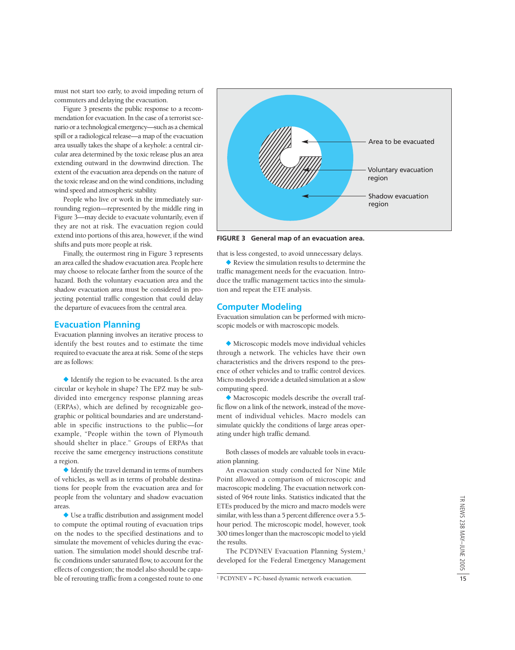must not start too early, to avoid impeding return of commuters and delaying the evacuation.

Figure 3 presents the public response to a recommendation for evacuation. In the case of a terrorist scenario or a technological emergency—such as a chemical spill or a radiological release—a map of the evacuation area usually takes the shape of a keyhole: a central circular area determined by the toxic release plus an area extending outward in the downwind direction. The extent of the evacuation area depends on the nature of the toxic release and on the wind conditions, including wind speed and atmospheric stability.

People who live or work in the immediately surrounding region—represented by the middle ring in Figure 3—may decide to evacuate voluntarily, even if they are not at risk. The evacuation region could extend into portions of this area, however, if the wind shifts and puts more people at risk.

Finally, the outermost ring in Figure 3 represents an area called the shadow evacuation area. People here may choose to relocate farther from the source of the hazard. Both the voluntary evacuation area and the shadow evacuation area must be considered in projecting potential traffic congestion that could delay the departure of evacuees from the central area.

#### **Evacuation Planning**

Evacuation planning involves an iterative process to identify the best routes and to estimate the time required to evacuate the area at risk. Some of the steps are as follows:

 $\blacklozenge$  Identify the region to be evacuated. Is the area circular or keyhole in shape? The EPZ may be subdivided into emergency response planning areas (ERPAs), which are defined by recognizable geographic or political boundaries and are understandable in specific instructions to the public—for example, "People within the town of Plymouth should shelter in place." Groups of ERPAs that receive the same emergency instructions constitute a region.

 $\blacklozenge$  Identify the travel demand in terms of numbers of vehicles, as well as in terms of probable destinations for people from the evacuation area and for people from the voluntary and shadow evacuation areas.

 Use a traffic distribution and assignment model to compute the optimal routing of evacuation trips on the nodes to the specified destinations and to simulate the movement of vehicles during the evacuation. The simulation model should describe traffic conditions under saturated flow, to account for the effects of congestion; the model also should be capable of rerouting traffic from a congested route to one



**FIGURE 3 General map of an evacuation area.**

that is less congested, to avoid unnecessary delays.

Review the simulation results to determine the traffic management needs for the evacuation. Introduce the traffic management tactics into the simulation and repeat the ETE analysis.

#### **Computer Modeling**

Evacuation simulation can be performed with microscopic models or with macroscopic models.

 Microscopic models move individual vehicles through a network. The vehicles have their own characteristics and the drivers respond to the presence of other vehicles and to traffic control devices. Micro models provide a detailed simulation at a slow computing speed.

 Macroscopic models describe the overall traffic flow on a link of the network, instead of the movement of individual vehicles. Macro models can simulate quickly the conditions of large areas operating under high traffic demand.

Both classes of models are valuable tools in evacuation planning.

An evacuation study conducted for Nine Mile Point allowed a comparison of microscopic and macroscopic modeling. The evacuation network consisted of 964 route links. Statistics indicated that the ETEs produced by the micro and macro models were similar, with less than a 5 percent difference over a 5.5 hour period. The microscopic model, however, took 300 times longer than the macroscopic model to yield the results.

The PCDYNEV Evacuation Planning System,<sup>1</sup> developed for the Federal Emergency Management

<sup>1</sup> PCDYNEV = PC-based dynamic network evacuation.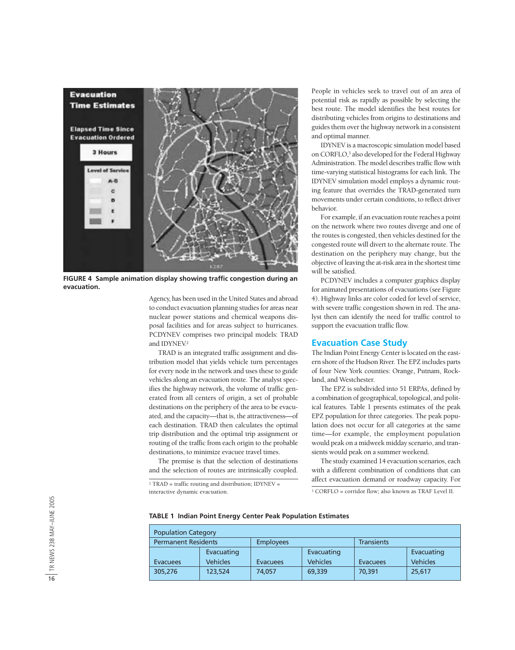

**FIGURE 4 Sample animation display showing traffic congestion during an evacuation.**

Agency, has been used in the United States and abroad to conduct evacuation planning studies for areas near nuclear power stations and chemical weapons disposal facilities and for areas subject to hurricanes. PCDYNEV comprises two principal models: TRAD and IDYNFV<sup>2</sup>

TRAD is an integrated traffic assignment and distribution model that yields vehicle turn percentages for every node in the network and uses these to guide vehicles along an evacuation route. The analyst specifies the highway network, the volume of traffic generated from all centers of origin, a set of probable destinations on the periphery of the area to be evacuated, and the capacity—that is, the attractiveness—of each destination. TRAD then calculates the optimal trip distribution and the optimal trip assignment or routing of the traffic from each origin to the probable destinations, to minimize evacuee travel times.

The premise is that the selection of destinations and the selection of routes are intrinsically coupled.

 $2$  TRAD = traffic routing and distribution; IDYNEV = interactive dynamic evacuation. <sup>3</sup> CORFLO = corridor flow; also known as TRAF Level II.

People in vehicles seek to travel out of an area of potential risk as rapidly as possible by selecting the best route. The model identifies the best routes for distributing vehicles from origins to destinations and guides them over the highway network in a consistent and optimal manner.

IDYNEV is a macroscopic simulation model based on CORFLO,3 also developed for the Federal Highway Administration. The model describes traffic flow with time-varying statistical histograms for each link. The IDYNEV simulation model employs a dynamic routing feature that overrides the TRAD-generated turn movements under certain conditions, to reflect driver behavior.

For example, if an evacuation route reaches a point on the network where two routes diverge and one of the routes is congested, then vehicles destined for the congested route will divert to the alternate route. The destination on the periphery may change, but the objective of leaving the at-risk area in the shortest time will be satisfied.

PCDYNEV includes a computer graphics display for animated presentations of evacuations (see Figure 4). Highway links are color coded for level of service, with severe traffic congestion shown in red. The analyst then can identify the need for traffic control to support the evacuation traffic flow.

#### **Evacuation Case Study**

The Indian Point Energy Center is located on the eastern shore of the Hudson River. The EPZ includes parts of four New York counties: Orange, Putnam, Rockland, and Westchester.

The EPZ is subdivided into 51 ERPAs, defined by a combination of geographical, topological, and political features. Table 1 presents estimates of the peak EPZ population for three categories. The peak population does not occur for all categories at the same time—for example, the employment population would peak on a midweek midday scenario, and transients would peak on a summer weekend.

The study examined 14 evacuation scenarios, each with a different combination of conditions that can affect evacuation demand or roadway capacity. For

#### **TABLE 1 Indian Point Energy Center Peak Population Estimates**

| <b>Population Category</b> |                 |                  |                 |                 |                 |  |  |  |  |  |
|----------------------------|-----------------|------------------|-----------------|-----------------|-----------------|--|--|--|--|--|
| <b>Permanent Residents</b> |                 | <b>Employees</b> |                 | Transients      |                 |  |  |  |  |  |
|                            | Evacuating      |                  | Evacuating      |                 | Evacuating      |  |  |  |  |  |
| <b>Evacuees</b>            | <b>Vehicles</b> | Evacuees         | <b>Vehicles</b> | <b>Evacuees</b> | <b>Vehicles</b> |  |  |  |  |  |
| 305,276                    | 123,524         | 74.057           | 69,339          | 70,391          | 25,617          |  |  |  |  |  |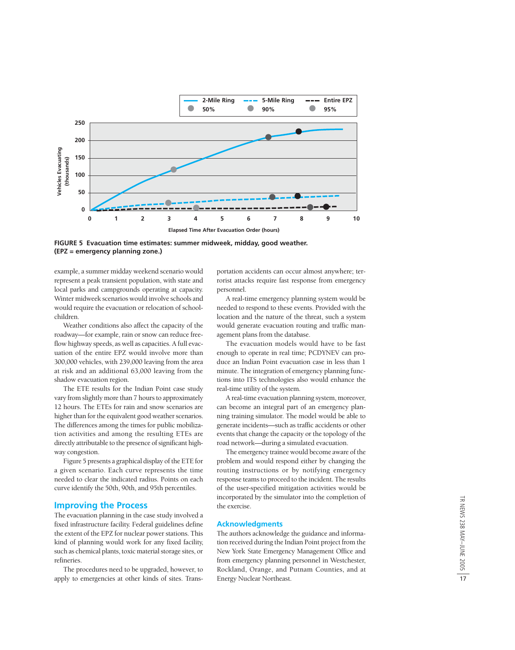

**FIGURE 5 Evacuation time estimates: summer midweek, midday, good weather. (EPZ = emergency planning zone.)**

example, a summer midday weekend scenario would represent a peak transient population, with state and local parks and campgrounds operating at capacity. Winter midweek scenarios would involve schools and would require the evacuation or relocation of schoolchildren.

Weather conditions also affect the capacity of the roadway—for example, rain or snow can reduce freeflow highway speeds, as well as capacities. A full evacuation of the entire EPZ would involve more than 300,000 vehicles, with 239,000 leaving from the area at risk and an additional 63,000 leaving from the shadow evacuation region.

The ETE results for the Indian Point case study vary from slightly more than 7 hours to approximately 12 hours. The ETEs for rain and snow scenarios are higher than for the equivalent good weather scenarios. The differences among the times for public mobilization activities and among the resulting ETEs are directly attributable to the presence of significant highway congestion.

Figure 5 presents a graphical display of the ETE for a given scenario. Each curve represents the time needed to clear the indicated radius. Points on each curve identify the 50th, 90th, and 95th percentiles.

#### **Improving the Process**

The evacuation planning in the case study involved a fixed infrastructure facility. Federal guidelines define the extent of the EPZ for nuclear power stations. This kind of planning would work for any fixed facility, such as chemical plants, toxic material storage sites, or refineries.

The procedures need to be upgraded, however, to apply to emergencies at other kinds of sites. Trans-

portation accidents can occur almost anywhere; terrorist attacks require fast response from emergency personnel.

A real-time emergency planning system would be needed to respond to these events. Provided with the location and the nature of the threat, such a system would generate evacuation routing and traffic management plans from the database.

The evacuation models would have to be fast enough to operate in real time; PCDYNEV can produce an Indian Point evacuation case in less than 1 minute. The integration of emergency planning functions into ITS technologies also would enhance the real-time utility of the system.

A real-time evacuation planning system, moreover, can become an integral part of an emergency planning training simulator. The model would be able to generate incidents—such as traffic accidents or other events that change the capacity or the topology of the road network—during a simulated evacuation.

The emergency trainee would become aware of the problem and would respond either by changing the routing instructions or by notifying emergency response teams to proceed to the incident. The results of the user-specified mitigation activities would be incorporated by the simulator into the completion of the exercise.

#### **Acknowledgments**

The authors acknowledge the guidance and information received during the Indian Point project from the New York State Emergency Management Office and from emergency planning personnel in Westchester, Rockland, Orange, and Putnam Counties, and at Energy Nuclear Northeast.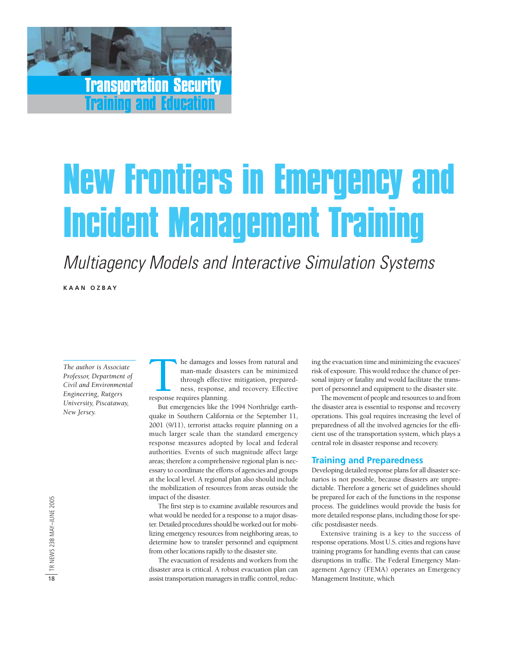## Transportation Security Training and Education

# New Frontiers in Emergency and Incident Management Training

Multiagency Models and Interactive Simulation Systems

**KAAN OZBAY**

*The author is Associate Professor, Department of Civil and Environmental Engineering, Rutgers University, Piscataway, New Jersey.*

he damages and losses from natural and man-made disasters can be minimized through effective mitigation, preparedness, response, and recovery. Effective response requires planning.

But emergencies like the 1994 Northridge earthquake in Southern California or the September 11, 2001 (9/11), terrorist attacks require planning on a much larger scale than the standard emergency response measures adopted by local and federal authorities. Events of such magnitude affect large areas; therefore a comprehensive regional plan is necessary to coordinate the efforts of agencies and groups at the local level. A regional plan also should include the mobilization of resources from areas outside the impact of the disaster.

The first step is to examine available resources and what would be needed for a response to a major disaster. Detailed procedures should be worked out for mobilizing emergency resources from neighboring areas, to determine how to transfer personnel and equipment from other locations rapidly to the disaster site.

The evacuation of residents and workers from the disaster area is critical. A robust evacuation plan can assist transportation managers in traffic control, reducing the evacuation time and minimizing the evacuees' risk of exposure. This would reduce the chance of personal injury or fatality and would facilitate the transport of personnel and equipment to the disaster site.

The movement of people and resources to and from the disaster area is essential to response and recovery operations. This goal requires increasing the level of preparedness of all the involved agencies for the efficient use of the transportation system, which plays a central role in disaster response and recovery.

#### **Training and Preparedness**

Developing detailed response plans for all disaster scenarios is not possible, because disasters are unpredictable. Therefore a generic set of guidelines should be prepared for each of the functions in the response process. The guidelines would provide the basis for more detailed response plans, including those for specific postdisaster needs.

Extensive training is a key to the success of response operations. Most U.S. cities and regions have training programs for handling events that can cause disruptions in traffic. The Federal Emergency Management Agency (FEMA) operates an Emergency Management Institute, which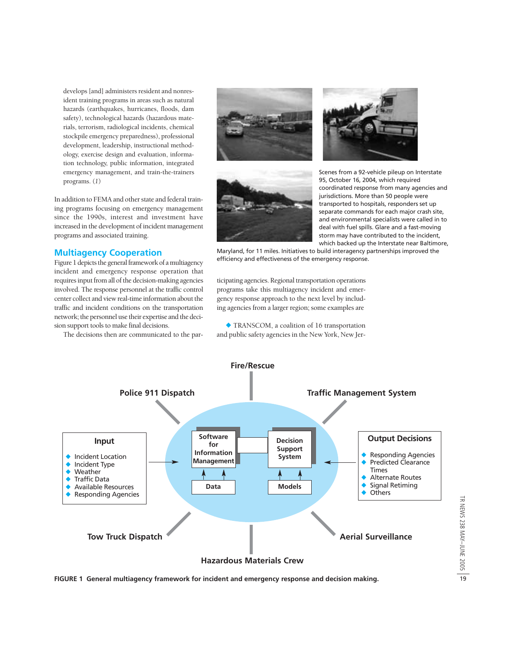develops [and] administers resident and nonresident training programs in areas such as natural hazards (earthquakes, hurricanes, floods, dam safety), technological hazards (hazardous materials, terrorism, radiological incidents, chemical stockpile emergency preparedness), professional development, leadership, instructional methodology, exercise design and evaluation, information technology, public information, integrated emergency management, and train-the-trainers programs. (*1*)

In addition to FEMA and other state and federal training programs focusing on emergency management since the 1990s, interest and investment have increased in the development of incident management programs and associated training.

#### **Multiagency Cooperation**

Figure 1 depicts the general framework of a multiagency incident and emergency response operation that requires input from all of the decision-making agencies involved. The response personnel at the traffic control center collect and view real-time information about the traffic and incident conditions on the transportation network; the personnel use their expertise and the decision support tools to make final decisions.

The decisions then are communicated to the par-







Scenes from a 92-vehicle pileup on Interstate 95, October 16, 2004, which required coordinated response from many agencies and jurisdictions. More than 50 people were transported to hospitals, responders set up separate commands for each major crash site, and environmental specialists were called in to deal with fuel spills. Glare and a fast-moving storm may have contributed to the incident, which backed up the Interstate near Baltimore,

Maryland, for 11 miles. Initiatives to build interagency partnerships improved the efficiency and effectiveness of the emergency response.

ticipating agencies. Regional transportation operations programs take this multiagency incident and emergency response approach to the next level by including agencies from a larger region; some examples are

 TRANSCOM, a coalition of 16 transportation and public safety agencies in the New York, New Jer-



**FIGURE 1 General multiagency framework for incident and emergency response and decision making.**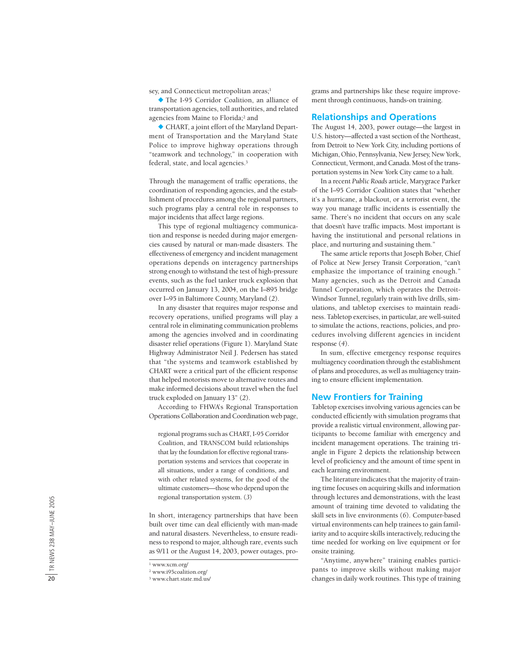sey, and Connecticut metropolitan areas; 1

 The I-95 Corridor Coalition, an alliance of transportation agencies, toll authorities, and related agencies from Maine to Florida; <sup>2</sup> and

 CHART, a joint effort of the Maryland Department of Transportation and the Maryland State Police to improve highway operations through "teamwork and technology," in cooperation with federal, state, and local agencies. 3

Through the management of traffic operations, the coordination of responding agencies, and the establishment of procedures among the regional partners, such programs play a central role in responses to major incidents that affect large regions.

This type of regional multiagency communication and response is needed during major emergencies caused by natural or man-made disasters. The effectiveness of emergency and incident management operations depends on interagency partnerships strong enough to withstand the test of high-pressure events, such as the fuel tanker truck explosion that occurred on January 13, 2004, on the I–895 bridge over I–95 in Baltimore County, Maryland ( *2*).

In any disaster that requires major response and recovery operations, unified programs will play a central role in eliminating communication problems among the agencies involved and in coordinating disaster relief operations (Figure 1). Maryland State Highway Administrator Neil J. Pedersen has stated that "the systems and teamwork established by CHART were a critical part of the efficient response that helped motorists move to alternative routes and make informed decisions about travel when the fuel truck exploded on January 13" ( *2*).

According to FHWA's Regional Transportation Operations Collaboration and Coordination web page,

regional programs such as CHART, I-95 Corridor Coalition, and TRANSCOM build relationships that lay the foundation for effective regional transportation systems and services that cooperate in all situations, under a range of conditions, and with other related systems, for the good of the ultimate customers—those who depend upon the regional transportation system. ( *3* )

In short, interagency partnerships that have been built over time can deal efficiently with man-made and natural disasters. Nevertheless, to ensure readiness to respond to major, although rare, events such as 9/11 or the August 14, 2003, power outages, programs and partnerships like these require improvement through continuous, hands-on training.

#### **Relationships and Operations**

The August 14, 2003, power outage—the largest in U.S. history—affected a vast section of the Northeast, from Detroit to New York City, including portions of Michigan, Ohio, Pennsylvania, New Jersey, New York, Connecticut, Vermont, and Canada. Most of the transportation systems in New York City came to a halt.

In a recent *Public Roads* article, Marygrace Parker of the I–95 Corridor Coalition states that "whether it's a hurricane, a blackout, or a terrorist event, the way you manage traffic incidents is essentially the same. There's no incident that occurs on any scale that doesn't have traffic impacts. Most important is having the institutional and personal relations in place, and nurturing and sustaining them."

The same article reports that Joseph Bober, Chief of Police at New Jersey Transit Corporation, "can't emphasize the importance of training enough." Many agencies, such as the Detroit and Canada Tunnel Corporation, which operates the Detroit-Windsor Tunnel, regularly train with live drills, simulations, and tabletop exercises to maintain readiness. Tabletop exercises, in particular, are well-suited to simulate the actions, reactions, policies, and procedures involving different agencies in incident response ( *4*).

In sum, effective emergency response requires multiagency coordination through the establishment of plans and procedures, as well as multiagency training to ensure efficient implementation.

#### **New Frontiers for Training**

Tabletop exercises involving various agencies can be conducted efficiently with simulation programs that provide a realistic virtual environment, allowing participants to become familiar with emergency and incident management operations. The training triangle in Figure 2 depicts the relationship between level of proficiency and the amount of time spent in each learning environment.

The literature indicates that the majority of training time focuses on acquiring skills and information through lectures and demonstrations, with the least amount of training time devoted to validating the skill sets in live environments ( *6*). Computer-based virtual environments can help trainees to gain familiarity and to acquire skills interactively, reducing the time needed for working on live equipment or for onsite training.

"Anytime, anywhere" training enables participants to improve skills without making major changes in daily work routines. This type of training

<sup>1</sup> www.xcm.org/

<sup>2</sup> www.i95coalition.org/

<sup>3</sup> www.chart.state.md.us/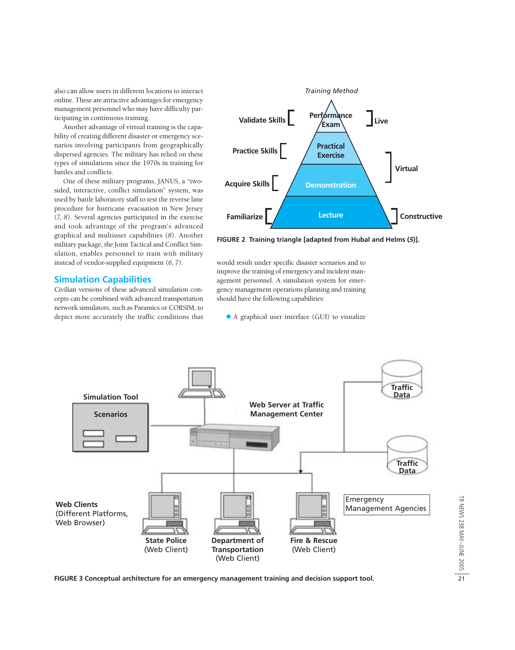also can allow users in different locations to interact online. These are attractive advantages for emergency management personnel who may have difficulty participating in continuous training.

Another advantage of virtual training is the capability of creating different disaster or emergency scenarios involving participants from geographically dispersed agencies. The military has relied on these types of simulations since the 1970s in training for battles and conflicts.

One of these military programs, JANUS, a "twosided, interactive, conflict simulation" system, was used by battle laboratory staff to test the reverse lane procedure for hurricane evacuation in New Jersey (*7*, *8*). Several agencies participated in the exercise and took advantage of the program's advanced graphical and multiuser capabilities (*8*). Another military package, the Joint Tactical and Conflict Simulation, enables personnel to train with military instead of vendor-supplied equipment (*6, 7*).

#### **Simulation Capabilities**

Civilian versions of these advanced simulation concepts can be combined with advanced transportation network simulators, such as Paramics or CORSIM, to depict more accurately the traffic conditions that



**FIGURE 2 Training triangle [adapted from Hubal and Helms (***5***)].**

would result under specific disaster scenarios and to improve the training of emergency and incident management personnel. A simulation system for emergency management operations planning and training should have the following capabilities:

A graphical user interface (GUI) to visualize

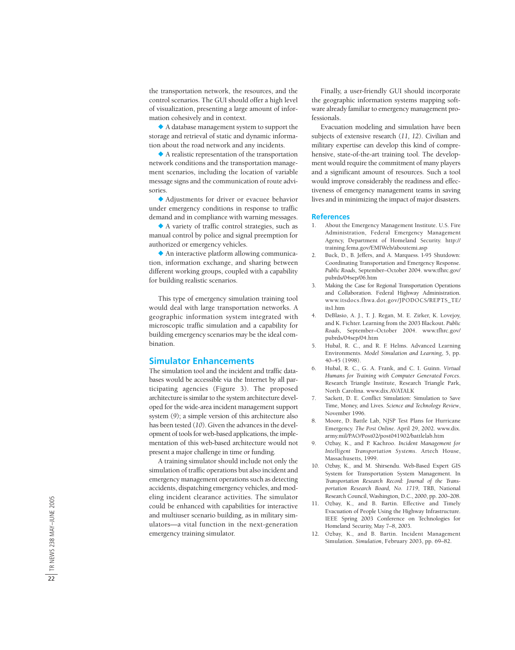the transportation network, the resources, and the control scenarios. The GUI should offer a high level of visualization, presenting a large amount of information cohesively and in context.

 A database management system to support the storage and retrieval of static and dynamic information about the road network and any incidents.

 A realistic representation of the transportation network conditions and the transportation management scenarios, including the location of variable message signs and the communication of route advisories.

 Adjustments for driver or evacuee behavior under emergency conditions in response to traffic demand and in compliance with warning messages.

 A variety of traffic control strategies, such as manual control by police and signal preemption for authorized or emergency vehicles.

 An interactive platform allowing communication, information exchange, and sharing between different working groups, coupled with a capability for building realistic scenarios.

This type of emergency simulation training tool would deal with large transportation networks. A geographic information system integrated with microscopic traffic simulation and a capability for building emergency scenarios may be the ideal combination.

#### **Simulator Enhancements**

The simulation tool and the incident and traffic databases would be accessible via the Internet by all participating agencies (Figure 3). The proposed architecture is similar to the system architecture developed for the wide-area incident management support system ( *9*); a simple version of this architecture also has been tested (*10*). Given the advances in the development of tools for web-based applications, the implementation of this web-based architecture would not present a major challenge in time or funding.

A training simulator should include not only the simulation of traffic operations but also incident and emergency management operations such as detecting accidents, dispatching emergency vehicles, and modeling incident clearance activities. The simulator could be enhanced with capabilities for interactive and multiuser scenario building, as in military simulators—a vital function in the next-generation emergency training simulator.

Finally, a user-friendly GUI should incorporate the geographic information systems mapping software already familiar to emergency management professionals.

Evacuation modeling and simulation have been subjects of extensive research (*11, 12*). Civilian and military expertise can develop this kind of comprehensive, state-of-the-art training tool. The development would require the commitment of many players and a significant amount of resources. Such a tool would improve considerably the readiness and effectiveness of emergency management teams in saving lives and in minimizing the impact of major disasters.

#### **References**

- 1. About the Emergency Management Institute. U.S. Fire Administration, Federal Emergency Management Agency, Department of Homeland Security. http:// training.fema.gov/EMIWeb/aboutemi.asp
- 2. Buck, D., B. Jeffers, and A. Marquess. I-95 Shutdown: Coordinating Transportation and Emergency Response. *Public Roads*, September–October 2004. www.tfhrc.gov/ pubrds/04sep/06.htm
- 3. Making the Case for Regional Transportation Operations and Collaboration. Federal Highway Administration. www.itsdocs.fhwa.dot.gov/JPODOCS/REPTS\_TE/ its1.htm
- 4. DeBlasio, A. J., T. J. Regan, M. E. Zirker, K. Lovejoy, and K. Fichter. Learning from the 2003 Blackout. *Public Roads*, September–October 2004. www.tfhrc.gov/ pubrds/04sep/04.htm
- 5. Hubal, R. C., and R. F. Helms. Advanced Learning Environments. *Model Simulation and Learning*, 5, pp. 40–45 (1998).
- 6. Hubal, R. C., G. A. Frank, and C. I. Guinn. *Virtual Humans for Training with Computer Generated Forces* . Research Triangle Institute, Research Triangle Park, North Carolina. www.dix.AVATALK
- 7. Sackett, D. E. Conflict Simulation: Simulation to Save Time, Money, and Lives. *Science and Technology Review* , November 1996.
- 8. Moore, D. Battle Lab, NJSP Test Plans for Hurricane Emergency. *The Post Online*. April 29, 2002. www.dix. army.mil/PAO/Post02/post041902/battlelab.htm
- 9. Ozbay, K., and P. Kachroo. *Incident Management for Intelligent Transportation Systems*. Artech House, Massachusetts, 1999.
- 10. Ozbay, K., and M. Shirsendu. Web-Based Expert GIS System for Transportation System Management. In *Transportation Research Record: Journal of the Transportation Research Board, No. 1719*, TRB, National Research Council, Washington, D.C., 2000, pp. 200–208.
- 11. Ozbay, K., and B. Bartin. Effective and Timely Evacuation of People Using the Highway Infrastructure. IEEE Spring 2003 Conference on Technologies for Homeland Security, May 7–8, 2003.
- 12. Ozbay, K., and B. Bartin. Incident Management Simulation. *Simulation*, February 2003, pp. 69–82.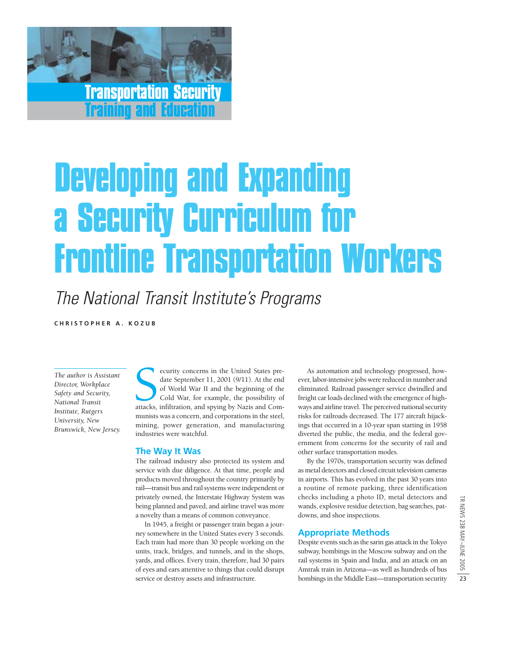Transportation Security Training and Education

# Developing and Expanding a Security Curriculum for Frontline Transportation Workers

The National Transit Institute's Programs

**CHRI S TOPHER A. KOZUB**

*The author is Assistant Director, Workplace Safety and Security, National Transit Institute, Rutgers University, New Brunswick, New Jersey.*

Election of World War II and the beginning of the Cold War, for example, the possibility of attacks, infiltration, and spying by Nazis and Comecurity concerns in the United States predate September 11, 2001 (9/11). At the end of World War II and the beginning of the Cold War, for example, the possibility of munists was a concern, and corporations in the steel, mining, power generation, and manufacturing industries were watchful.

#### **The Way It Was**

The railroad industry also protected its system and service with due diligence. At that time, people and products moved throughout the country primarily by rail—transit bus and rail systems were independent or privately owned, the Interstate Highway System was being planned and paved, and airline travel was more a novelty than a means of common conveyance.

In 1945, a freight or passenger train began a journey somewhere in the United States every 3 seconds. Each train had more than 30 people working on the units, track, bridges, and tunnels, and in the shops, yards, and offices. Every train, therefore, had 30 pairs of eyes and ears attentive to things that could disrupt service or destroy assets and infrastructure.

As automation and technology progressed, however, labor-intensive jobs were reduced in number and eliminated. Railroad passenger service dwindled and freight car loads declined with the emergence of highways and airline travel. The perceived national security risks for railroads decreased. The 177 aircraft hijackings that occurred in a 10-year span starting in 1958 diverted the public, the media, and the federal government from concerns for the security of rail and other surface transportation modes.

By the 1970s, transportation security was defined as metal detectors and closed circuit television cameras in airports. This has evolved in the past 30 years into a routine of remote parking, three identification checks including a photo ID, metal detectors and wands, explosive residue detection, bag searches, patdowns, and shoe inspections.

#### **Appropriate Methods**

Despite events such as the sarin gas attack in the Tokyo subway, bombings in the Moscow subway and on the rail systems in Spain and India, and an attack on an Amtrak train in Arizona—as well as hundreds of bus bombings in the Middle East—transportation security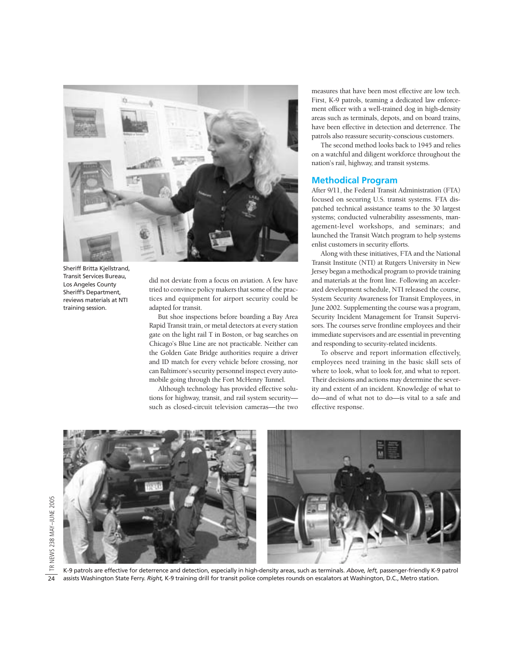

Sheriff Britta Kjellstrand, Transit Services Bureau, Los Angeles County Sheriff's Department, reviews materials at NTI training session.

did not deviate from a focus on aviation. A few have tried to convince policy makers that some of the practices and equipment for airport security could be adapted for transit.

But shoe inspections before boarding a Bay Area Rapid Transit train, or metal detectors at every station gate on the light rail T in Boston, or bag searches on Chicago's Blue Line are not practicable. Neither can the Golden Gate Bridge authorities require a driver and ID match for every vehicle before crossing, nor can Baltimore's security personnel inspect every automobile going through the Fort McHenry Tunnel.

Although technology has provided effective solutions for highway, transit, and rail system security such as closed-circuit television cameras—the two measures that have been most effective are low tech. First, K-9 patrols, teaming a dedicated law enforcement officer with a well-trained dog in high-density areas such as terminals, depots, and on board trains, have been effective in detection and deterrence. The patrols also reassure security-conscious customers.

The second method looks back to 1945 and relies on a watchful and diligent workforce throughout the nation's rail, highway, and transit systems.

#### **Methodical Program**

After 9/11, the Federal Transit Administration (FTA) focused on securing U.S. transit systems. FTA dispatched technical assistance teams to the 30 largest systems; conducted vulnerability assessments, management-level workshops, and seminars; and launched the Transit Watch program to help systems enlist customers in security efforts.

Along with these initiatives, FTA and the National Transit Institute (NTI) at Rutgers University in New Jersey began a methodical program to provide training and materials at the front line. Following an accelerated development schedule, NTI released the course, System Security Awareness for Transit Employees, in June 2002. Supplementing the course was a program, Security Incident Management for Transit Supervisors. The courses serve frontline employees and their immediate supervisors and are essential in preventing and responding to security-related incidents.

To observe and report information effectively, employees need training in the basic skill sets of where to look, what to look for, and what to report. Their decisions and actions may determine the severity and extent of an incident. Knowledge of what to do—and of what not to do—is vital to a safe and effective response.



TR NEWS 238 MAY–JUNE 2005

TR NEWS 238 MAY-JUNE 2005

24

K-9 patrols are effective for deterrence and detection, especially in high-density areas, such as terminals. *Above, left,* passenger-friendly K-9 patrol assists Washington State Ferry. *Right,* K-9 training drill for transit police completes rounds on escalators at Washington, D.C., Metro station.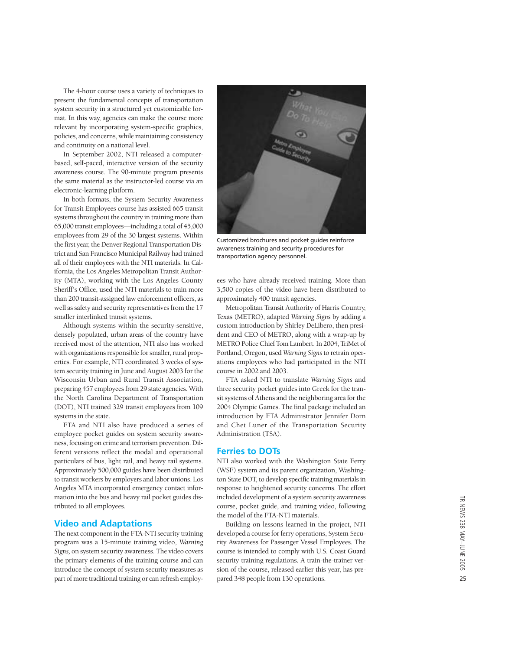The 4-hour course uses a variety of techniques to present the fundamental concepts of transportation system security in a structured yet customizable format. In this way, agencies can make the course more relevant by incorporating system-specific graphics, policies, and concerns, while maintaining consistency and continuity on a national level.

In September 2002, NTI released a computerbased, self-paced, interactive version of the security awareness course. The 90-minute program presents the same material as the instructor-led course via an electronic-learning platform.

In both formats, the System Security Awareness for Transit Employees course has assisted 665 transit systems throughout the country in training more than 65,000 transit employees—including a total of 45,000 employees from 29 of the 30 largest systems. Within the first year, the Denver Regional Transportation District and San Francisco Municipal Railway had trained all of their employees with the NTI materials. In California, the Los Angeles Metropolitan Transit Authority (MTA), working with the Los Angeles County Sheriff's Office, used the NTI materials to train more than 200 transit-assigned law enforcement officers, as well as safety and security representatives from the 17 smaller interlinked transit systems.

Although systems within the security-sensitive, densely populated, urban areas of the country have received most of the attention, NTI also has worked with organizations responsible for smaller, rural properties. For example, NTI coordinated 3 weeks of system security training in June and August 2003 for the Wisconsin Urban and Rural Transit Association, preparing 457 employees from 29 state agencies. With the North Carolina Department of Transportation (DOT), NTI trained 329 transit employees from 109 systems in the state.

FTA and NTI also have produced a series of employee pocket guides on system security awareness, focusing on crime and terrorism prevention. Different versions reflect the modal and operational particulars of bus, light rail, and heavy rail systems. Approximately 500,000 guides have been distributed to transit workers by employers and labor unions. Los Angeles MTA incorporated emergency contact information into the bus and heavy rail pocket guides distributed to all employees.

#### **Video and Adaptations**

The next component in the FTA-NTI security training program was a 15-minute training video, *Warning Signs,* on system security awareness. The video covers the primary elements of the training course and can introduce the concept of system security measures as part of more traditional training or can refresh employ-



Customized brochures and pocket guides reinforce awareness training and security procedures for transportation agency personnel.

ees who have already received training. More than 3,500 copies of the video have been distributed to approximately 400 transit agencies.

Metropolitan Transit Authority of Harris Country, Texas (METRO), adapted *Warning Signs* by adding a custom introduction by Shirley DeLibero, then president and CEO of METRO, along with a wrap-up by METRO Police Chief Tom Lambert. In 2004, TriMet of Portland, Oregon, used *Warning Signs*to retrain operations employees who had participated in the NTI course in 2002 and 2003.

FTA asked NTI to translate *Warning Signs* and three security pocket guides into Greek for the transit systems of Athens and the neighboring area for the 2004 Olympic Games. The final package included an introduction by FTA Administrator Jennifer Dorn and Chet Luner of the Transportation Security Administration (TSA).

#### **Ferries to DOTs**

NTI also worked with the Washington State Ferry (WSF) system and its parent organization, Washington State DOT, to develop specific training materials in response to heightened security concerns. The effort included development of a system security awareness course, pocket guide, and training video, following the model of the FTA-NTI materials.

Building on lessons learned in the project, NTI developed a course for ferry operations, System Security Awareness for Passenger Vessel Employees. The course is intended to comply with U.S. Coast Guard security training regulations. A train-the-trainer version of the course, released earlier this year, has prepared 348 people from 130 operations.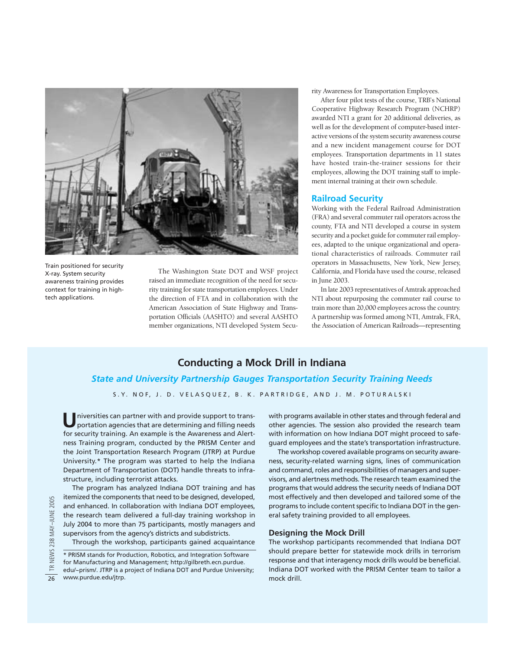

Train positioned for security X-ray. System security awareness training provides context for training in hightech applications.

The Washington State DOT and WSF project raised an immediate recognition of the need for security training for state transportation employees. Under the direction of FTA and in collaboration with the American Association of State Highway and Transportation Officials (AASHTO) and several AASHTO member organizations, NTI developed System Security Awareness for Transportation Employees.

After four pilot tests of the course, TRB's National Cooperative Highway Research Program (NCHRP) awarded NTI a grant for 20 additional deliveries, as well as for the development of computer-based interactive versions of the system security awareness course and a new incident management course for DOT employees. Transportation departments in 11 states have hosted train-the-trainer sessions for their employees, allowing the DOT training staff to implement internal training at their own schedule.

#### **Railroad Security**

Working with the Federal Railroad Administration (FRA) and several commuter rail operators across the county, FTA and NTI developed a course in system security and a pocket guide for commuter rail employees, adapted to the unique organizational and operational characteristics of railroads. Commuter rail operators in Massachusetts, New York, New Jersey, California, and Florida have used the course, released in June 2003.

In late 2003 representatives of Amtrak approached NTI about repurposing the commuter rail course to train more than 20,000 employees across the country. A partnership was formed among NTI, Amtrak, FRA, the Association of American Railroads—representing

#### **Conducting a Mock Drill in Indiana**

#### *State and University Partnership Gauges Transportation Security Training Needs*

S.Y. NOF, J. D. VELASQUEZ, B. K. PARTRIDGE, AND J. M. POTURALSKI

**U**niversities can partner with and provide support to transportation agencies that are determining and filling needs for security training. An example is the Awareness and Alertness Training program, conducted by the PRISM Center and the Joint Transportation Research Program (JTRP) at Purdue University.\* The program was started to help the Indiana Department of Transportation (DOT) handle threats to infrastructure, including terrorist attacks.

The program has analyzed Indiana DOT training and has itemized the components that need to be designed, developed, and enhanced. In collaboration with Indiana DOT employees, the research team delivered a full-day training workshop in July 2004 to more than 75 participants, mostly managers and supervisors from the agency's districts and subdistricts.

Through the workshop, participants gained acquaintance

\* PRISM stands for Production, Robotics, and Integration Software for Manufacturing and Management; http://gilbreth.ecn.purdue. edu/~prism/. JTRP is a project of Indiana DOT and Purdue University; www.purdue.edu/jtrp.

with programs available in other states and through federal and other agencies. The session also provided the research team with information on how Indiana DOT might proceed to safeguard employees and the state's transportation infrastructure.

The workshop covered available programs on security awareness, security-related warning signs, lines of communication and command, roles and responsibilities of managers and supervisors, and alertness methods. The research team examined the programs that would address the security needs of Indiana DOT most effectively and then developed and tailored some of the programs to include content specific to Indiana DOT in the general safety training provided to all employees.

#### **Designing the Mock Drill**

The workshop participants recommended that Indiana DOT should prepare better for statewide mock drills in terrorism response and that interagency mock drills would be beneficial. Indiana DOT worked with the PRISM Center team to tailor a mock drill.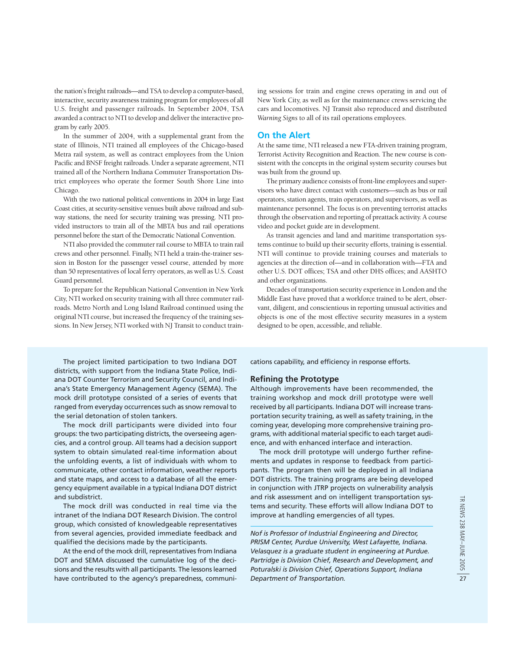the nation's freight railroads—and TSA to develop a computer-based, interactive, security awareness training program for employees of all U.S. freight and passenger railroads. In September 2004, TSA awarded a contract to NTI to develop and deliver the interactive program by early 2005.

In the summer of 2004, with a supplemental grant from the state of Illinois, NTI trained all employees of the Chicago-based Metra rail system, as well as contract employees from the Union Pacific and BNSF freight railroads. Under a separate agreement, NTI trained all of the Northern Indiana Commuter Transportation District employees who operate the former South Shore Line into Chicago.

With the two national political conventions in 2004 in large East Coast cities, at security-sensitive venues built above railroad and subway stations, the need for security training was pressing. NTI provided instructors to train all of the MBTA bus and rail operations personnel before the start of the Democratic National Convention.

NTI also provided the commuter rail course to MBTA to train rail crews and other personnel. Finally, NTI held a train-the-trainer session in Boston for the passenger vessel course, attended by more than 50 representatives of local ferry operators, as well as U.S. Coast Guard personnel.

To prepare for the Republican National Convention in New York City, NTI worked on security training with all three commuter railroads. Metro North and Long Island Railroad continued using the original NTI course, but increased the frequency of the training sessions. In New Jersey, NTI worked with NJ Transit to conduct training sessions for train and engine crews operating in and out of New York City, as well as for the maintenance crews servicing the cars and locomotives. NJ Transit also reproduced and distributed *Warning Signs* to all of its rail operations employees.

#### **On the Alert**

At the same time, NTI released a new FTA-driven training program, Terrorist Activity Recognition and Reaction. The new course is consistent with the concepts in the original system security courses but was built from the ground up.

The primary audience consists of front-line employees and supervisors who have direct contact with customers—such as bus or rail operators, station agents, train operators, and supervisors, as well as maintenance personnel. The focus is on preventing terrorist attacks through the observation and reporting of preattack activity. A course video and pocket guide are in development.

As transit agencies and land and maritime transportation systems continue to build up their security efforts, training is essential. NTI will continue to provide training courses and materials to agencies at the direction of—and in collaboration with—FTA and other U.S. DOT offices; TSA and other DHS offices; and AASHTO and other organizations.

Decades of transportation security experience in London and the Middle East have proved that a workforce trained to be alert, observant, diligent, and conscientious in reporting unusual activities and objects is one of the most effective security measures in a system designed to be open, accessible, and reliable.

The project limited participation to two Indiana DOT districts, with support from the Indiana State Police, Indiana DOT Counter Terrorism and Security Council, and Indiana's State Emergency Management Agency (SEMA). The mock drill prototype consisted of a series of events that ranged from everyday occurrences such as snow removal to the serial detonation of stolen tankers.

The mock drill participants were divided into four groups: the two participating districts, the overseeing agencies, and a control group. All teams had a decision support system to obtain simulated real-time information about the unfolding events, a list of individuals with whom to communicate, other contact information, weather reports and state maps, and access to a database of all the emergency equipment available in a typical Indiana DOT district and subdistrict.

The mock drill was conducted in real time via the intranet of the Indiana DOT Research Division. The control group, which consisted of knowledgeable representatives from several agencies, provided immediate feedback and qualified the decisions made by the participants.

At the end of the mock drill, representatives from Indiana DOT and SEMA discussed the cumulative log of the decisions and the results with all participants. The lessons learned have contributed to the agency's preparedness, communications capability, and efficiency in response efforts.

#### **Refining the Prototype**

Although improvements have been recommended, the training workshop and mock drill prototype were well received by all participants. Indiana DOT will increase transportation security training, as well as safety training, in the coming year, developing more comprehensive training programs, with additional material specific to each target audience, and with enhanced interface and interaction.

The mock drill prototype will undergo further refinements and updates in response to feedback from participants. The program then will be deployed in all Indiana DOT districts. The training programs are being developed in conjunction with JTRP projects on vulnerability analysis and risk assessment and on intelligent transportation systems and security. These efforts will allow Indiana DOT to improve at handling emergencies of all types.

*Nof is Professor of Industrial Engineering and Director, PRISM Center, Purdue University, West Lafayette, Indiana. Velasquez is a graduate student in engineering at Purdue. Partridge is Division Chief, Research and Development, and Poturalski is Division Chief, Operations Support, Indiana Department of Transportation.*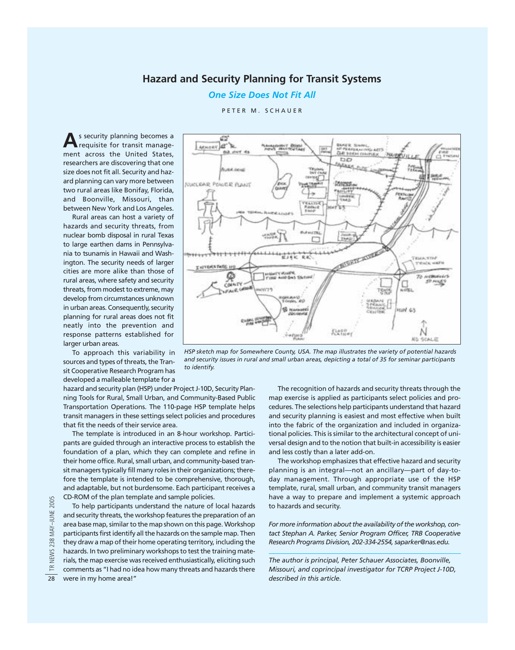#### **Hazard and Security Planning for Transit Systems**

*One Size Does Not Fit All*

PETER M. SCHAUER

**A**s security planning becomes a requisite for transit management across the United States, researchers are discovering that one size does not fit all. Security and hazard planning can vary more between two rural areas like Bonifay, Florida, and Boonville, Missouri, than between New York and Los Angeles.

Rural areas can host a variety of hazards and security threats, from nuclear bomb disposal in rural Texas to large earthen dams in Pennsylvania to tsunamis in Hawaii and Washington. The security needs of larger cities are more alike than those of rural areas, where safety and security threats, from modest to extreme, may develop from circumstances unknown in urban areas. Consequently, security planning for rural areas does not fit neatly into the prevention and response patterns established for larger urban areas.

To approach this variability in sources and types of threats, the Transit Cooperative Research Program has developed a malleable template for a

hazard and security plan (HSP) under Project J-10D, Security Planning Tools for Rural, Small Urban, and Community-Based Public Transportation Operations. The 110-page HSP template helps transit managers in these settings select policies and procedures that fit the needs of their service area.

The template is introduced in an 8-hour workshop. Participants are guided through an interactive process to establish the foundation of a plan, which they can complete and refine in their home office. Rural, small urban, and community-based transit managers typically fill many roles in their organizations; therefore the template is intended to be comprehensive, thorough, and adaptable, but not burdensome. Each participant receives a CD-ROM of the plan template and sample policies.

To help participants understand the nature of local hazards and security threats, the workshop features the preparation of an area base map, similar to the map shown on this page. Workshop participants first identify all the hazards on the sample map. Then they draw a map of their home operating territory, including the hazards. In two preliminary workshops to test the training materials, the map exercise was received enthusiastically, eliciting such comments as "I had no idea how many threats and hazards there were in my home area!"



*HSP sketch map for Somewhere County, USA. The map illustrates the variety of potential hazards and security issues in rural and small urban areas, depicting a total of 35 for seminar participants to identify.*

The recognition of hazards and security threats through the map exercise is applied as participants select policies and procedures. The selections help participants understand that hazard and security planning is easiest and most effective when built into the fabric of the organization and included in organizational policies. This is similar to the architectural concept of universal design and to the notion that built-in accessibility is easier and less costly than a later add-on.

The workshop emphasizes that effective hazard and security planning is an integral—not an ancillary—part of day-today management. Through appropriate use of the HSP template, rural, small urban, and community transit managers have a way to prepare and implement a systemic approach to hazards and security.

*For more information about the availability of the workshop, contact Stephan A. Parker, Senior Program Officer, TRB Cooperative Research Programs Division, 202-334-2554, saparker@nas.edu.*

*The author is principal, Peter Schauer Associates, Boonville, Missouri, and coprincipal investigator for TCRP Project J-10D, described in this article.*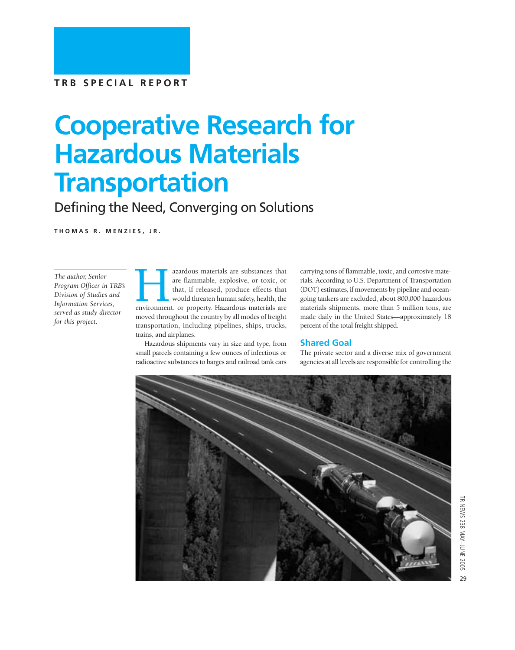# **Cooperative Research for Hazardous Materials Transportation**

Defining the Need, Converging on Solutions

**THOMAS R. MENZIES, JR.**

*The author, Senior Program Officer in TRB's Division of Studies and Information Services, served as study director for this project.*

azardous materials are substances that<br>are flammable, explosive, or toxic, or<br>that, if released, produce effects that<br>would threaten human safety, health, the<br>environment, or property. Hazardous materials are are flammable, explosive, or toxic, or that, if released, produce effects that would threaten human safety, health, the moved throughout the country by all modes of freight transportation, including pipelines, ships, trucks, trains, and airplanes.

Hazardous shipments vary in size and type, from small parcels containing a few ounces of infectious or radioactive substances to barges and railroad tank cars

carrying tons of flammable, toxic, and corrosive materials. According to U.S. Department of Transportation (DOT) estimates, if movements by pipeline and oceangoing tankers are excluded, about 800,000 hazardous materials shipments, more than 5 million tons, are made daily in the United States—approximately 18 percent of the total freight shipped.

#### **Shared Goal**

The private sector and a diverse mix of government agencies at all levels are responsible for controlling the

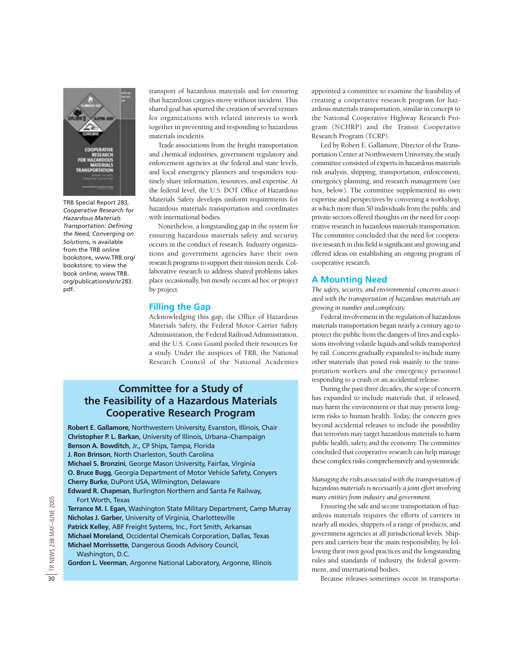

TRB Special Report 283, *Cooperative Research for Hazardous Materials Transportation: Defining the Need, Converging on Solutions*, is available from the TRB online bookstore, www.TRB.org/ bookstore; to view the book online, www.TRB. org/publications/sr/sr283. pdf.

transport of hazardous materials and for ensuring that hazardous cargoes move without incident. This shared goal has spurred the creation of several venues for organizations with related interests to work together in preventing and responding to hazardous materials incidents.

Trade associations from the freight transportation and chemical industries, government regulatory and enforcement agencies at the federal and state levels, and local emergency planners and responders routinely share information, resources, and expertise. At the federal level, the U.S. DOT Office of Hazardous Materials Safety develops uniform requirements for hazardous materials transportation and coordinates with international bodies.

Nonetheless, a longstanding gap in the system for ensuring hazardous materials safety and security occurs in the conduct of research. Industry organizations and government agencies have their own research programs to support their mission needs. Collaborative research to address shared problems takes place occasionally, but mostly occurs ad hoc or project by project.

#### **Filling the Gap**

Acknowledging this gap, the Office of Hazardous Materials Safety, the Federal Motor Carrier Safety Administration, the Federal Railroad Administration, and the U.S. Coast Guard pooled their resources for a study. Under the auspices of TRB, the National Research Council of the National Academies

#### **Committee for a Study of the Feasibility of a Hazardous Materials Cooperative Research Program**

**Robert E. Gallamore**, Northwestern University, Evanston, Illinois, Chair **Benson A. Bowditch**, Jr., CP Ships, Tampa, Florida **J. Ron Brinson**, North Charleston, South Carolina **Michael S. Bronzini**, George Mason University, Fairfax, Virginia **O. Bruce Bugg**, Georgia Department of Motor Vehicle Safety, Conyers **Cherry Burke**, DuPont USA, Wilmington, Delaware **Edward R. Chapman**, Burlington Northern and Santa Fe Railway, Fort Worth, Texas **Christopher P. L. Barkan**, University of Illinois, Urbana–Champaign

**Terrance M. I. Egan**, Washington State Military Department, Camp Murray **Nicholas J. Garber**, University of Virginia, Charlottesville **Patrick Kelley**, ABF Freight Systems, Inc., Fort Smith, Arkansas **Michael Moreland**, Occidental Chemicals Corporation, Dallas, Texas **Michael Morrissette**, Dangerous Goods Advisory Council, Washington, D.C.

**Gordon L. Veerman**, Argonne National Laboratory, Argonne, Illinois

appointed a committee to examine the feasibility of creating a cooperative research program for hazardous materials transportation, similar in concept to the National Cooperative Highway Research Program (NCHRP) and the Transit Cooperative Research Program (TCRP).

Led by Robert E. Gallamore, Director of the Transportation Center at Northwestern University, the study committee consisted of experts in hazardous materials risk analysis, shipping, transportation, enforcement, emergency planning, and research management (see box, below). The committee supplemented its own expertise and perspectives by convening a workshop, at which more than 50 individuals from the public and private sectors offered thoughts on the need for cooperative research in hazardous materials transportation. The committee concluded that the need for cooperative research in this field is significant and growing and offered ideas on establishing an ongoing program of cooperative research.

#### **A Mounting Need**

*The safety, security, and environmental concerns associated with the transportation of hazardous materials are growing in number and complexity.* 

Federal involvement in the regulation of hazardous materials transportation began nearly a century ago to protect the public from the dangers of fires and explosions involving volatile liquids and solids transported by rail. Concern gradually expanded to include many other materials that posed risk mainly to the transportation workers and the emergency personnel responding to a crash or an accidental release.

During the past three decades, the scope of concern has expanded to include materials that, if released, may harm the environment or that may present longterm risks to human health. Today, the concern goes beyond accidental releases to include the possibility that terrorists may target hazardous materials to harm public health, safety, and the economy. The committee concluded that cooperative research can help manage these complex risks comprehensively and systemwide.

*Managing the risks associated with the transportation of hazardous materials is necessarily a joint effort involving many entities from industry and government.*

Ensuring the safe and secure transportation of hazardous materials requires the efforts of carriers in nearly all modes, shippers of a range of products, and government agencies at all jurisdictional levels. Shippers and carriers bear the main responsibility, by following their own good practices and the longstanding rules and standards of industry, the federal government, and international bodies.

Because releases sometimes occur in transporta-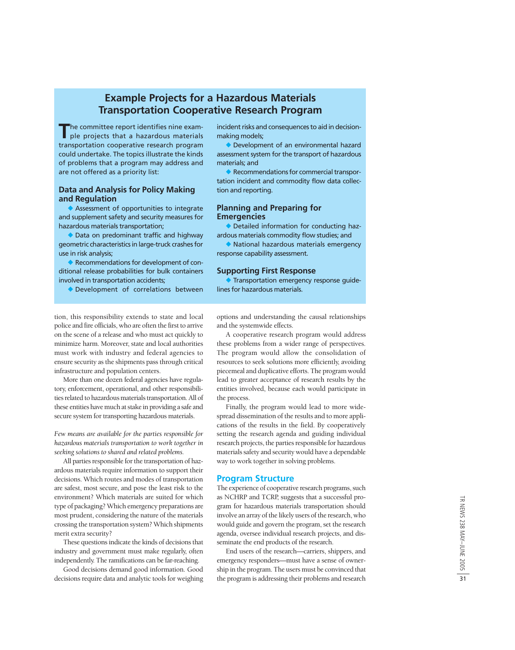#### **Example Projects for a Hazardous Materials Transportation Cooperative Research Program**

**T**he committee report identifies nine example projects that a hazardous materials transportation cooperative research program could undertake. The topics illustrate the kinds of problems that a program may address and are not offered as a priority list:

#### **Data and Analysis for Policy Making and Regulation**

 Assessment of opportunities to integrate and supplement safety and security measures for hazardous materials transportation;

◆ Data on predominant traffic and highway geometric characteristics in large-truck crashes for use in risk analysis;

Recommendations for development of conditional release probabilities for bulk containers involved in transportation accidents;

Development of correlations between

incident risks and consequences to aid in decisionmaking models;

 Development of an environmental hazard assessment system for the transport of hazardous materials; and

◆ Recommendations for commercial transportation incident and commodity flow data collection and reporting.

#### **Planning and Preparing for Emergencies**

◆ Detailed information for conducting hazardous materials commodity flow studies; and

 National hazardous materials emergency response capability assessment.

#### **Supporting First Response**

 Transportation emergency response guidelines for hazardous materials.

tion, this responsibility extends to state and local police and fire officials, who are often the first to arrive on the scene of a release and who must act quickly to minimize harm. Moreover, state and local authorities must work with industry and federal agencies to ensure security as the shipments pass through critical infrastructure and population centers.

More than one dozen federal agencies have regulatory, enforcement, operational, and other responsibilities related to hazardous materials transportation. All of these entities have much at stake in providing a safe and secure system for transporting hazardous materials.

*Few means are available for the parties responsible for hazardous materials transportation to work together in seeking solutions to shared and related problems.*

All parties responsible for the transportation of hazardous materials require information to support their decisions. Which routes and modes of transportation are safest, most secure, and pose the least risk to the environment? Which materials are suited for which type of packaging? Which emergency preparations are most prudent, considering the nature of the materials crossing the transportation system? Which shipments merit extra security?

These questions indicate the kinds of decisions that industry and government must make regularly, often independently. The ramifications can be far-reaching.

Good decisions demand good information. Good decisions require data and analytic tools for weighing

options and understanding the causal relationships and the systemwide effects.

A cooperative research program would address these problems from a wider range of perspectives. The program would allow the consolidation of resources to seek solutions more efficiently, avoiding piecemeal and duplicative efforts. The program would lead to greater acceptance of research results by the entities involved, because each would participate in the process.

Finally, the program would lead to more widespread dissemination of the results and to more applications of the results in the field. By cooperatively setting the research agenda and guiding individual research projects, the parties responsible for hazardous materials safety and security would have a dependable way to work together in solving problems.

#### **Program Structure**

The experience of cooperative research programs, such as NCHRP and TCRP, suggests that a successful program for hazardous materials transportation should involve an array of the likely users of the research, who would guide and govern the program, set the research agenda, oversee individual research projects, and disseminate the end products of the research.

End users of the research—carriers, shippers, and emergency responders—must have a sense of ownership in the program. The users must be convinced that the program is addressing their problems and research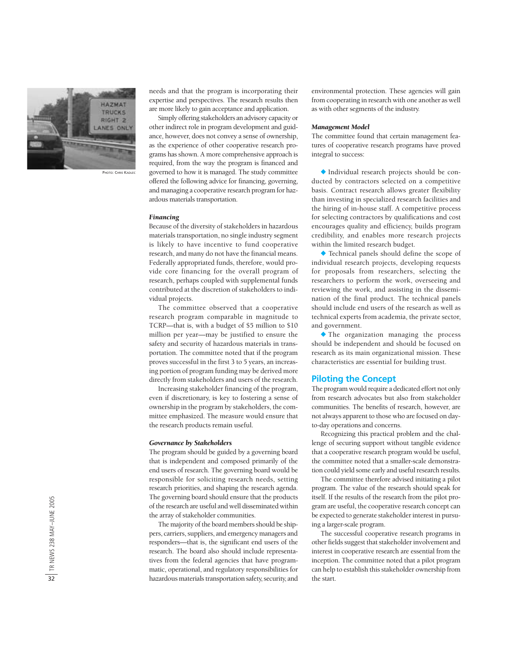

PHOTO: CHRIS KADLEC

needs and that the program is incorporating their expertise and perspectives. The research results then are more likely to gain acceptance and application.

Simply offering stakeholders an advisory capacity or other indirect role in program development and guidance, however, does not convey a sense of ownership, as the experience of other cooperative research programs has shown. A more comprehensive approach is required, from the way the program is financed and governed to how it is managed. The study committee offered the following advice for financing, governing, and managing a cooperative research program for hazardous materials transportation.

#### *Financing*

Because of the diversity of stakeholders in hazardous materials transportation, no single industry segment is likely to have incentive to fund cooperative research, and many do not have the financial means. Federally appropriated funds, therefore, would provide core financing for the overall program of research, perhaps coupled with supplemental funds contributed at the discretion of stakeholders to individual projects.

The committee observed that a cooperative research program comparable in magnitude to TCRP—that is, with a budget of \$5 million to \$10 million per year—may be justified to ensure the safety and security of hazardous materials in transportation. The committee noted that if the program proves successful in the first 3 to 5 years, an increasing portion of program funding may be derived more directly from stakeholders and users of the research.

Increasing stakeholder financing of the program, even if discretionary, is key to fostering a sense of ownership in the program by stakeholders, the committee emphasized. The measure would ensure that the research products remain useful.

#### *Governance by Stakeholders*

The program should be guided by a governing board that is independent and composed primarily of the end users of research. The governing board would be responsible for soliciting research needs, setting research priorities, and shaping the research agenda. The governing board should ensure that the products of the research are useful and well disseminated within the array of stakeholder communities.

The majority of the board members should be shippers, carriers, suppliers, and emergency managers and responders—that is, the significant end users of the research. The board also should include representatives from the federal agencies that have programmatic, operational, and regulatory responsibilities for hazardous materials transportation safety, security, and

environmental protection. These agencies will gain from cooperating in research with one another as well as with other segments of the industry.

#### *Management Model*

The committee found that certain management features of cooperative research programs have proved integral to success:

 Individual research projects should be conducted by contractors selected on a competitive basis. Contract research allows greater flexibility than investing in specialized research facilities and the hiring of in-house staff. A competitive process for selecting contractors by qualifications and cost encourages quality and efficiency, builds program credibility, and enables more research projects within the limited research budget.

 Technical panels should define the scope of individual research projects, developing requests for proposals from researchers, selecting the researchers to perform the work, overseeing and reviewing the work, and assisting in the dissemination of the final product. The technical panels should include end users of the research as well as technical experts from academia, the private sector, and government.

 The organization managing the process should be independent and should be focused on research as its main organizational mission. These characteristics are essential for building trust.

#### **Piloting the Concept**

The program would require a dedicated effort not only from research advocates but also from stakeholder communities. The benefits of research, however, are not always apparent to those who are focused on dayto-day operations and concerns.

Recognizing this practical problem and the challenge of securing support without tangible evidence that a cooperative research program would be useful, the committee noted that a smaller-scale demonstration could yield some early and useful research results.

The committee therefore advised initiating a pilot program. The value of the research should speak for itself. If the results of the research from the pilot program are useful, the cooperative research concept can be expected to generate stakeholder interest in pursuing a larger-scale program.

The successful cooperative research programs in other fields suggest that stakeholder involvement and interest in cooperative research are essential from the inception. The committee noted that a pilot program can help to establish this stakeholder ownership from the start.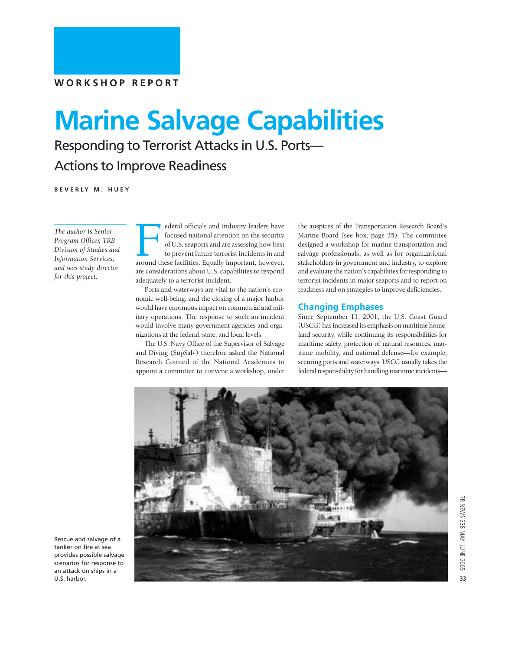# **Marine Salvage Capabilities**

Responding to Terrorist Attacks in U.S. Ports—

### Actions to Improve Readiness

**BEVERLY M. HUEY**

*The author is Senior Program Officer, TRB Division of Studies and Information Services, and was study director for this project.*

Federal officials and industry leaders have<br>focused national attention on the security<br>of U.S. seaports and are assessing how best<br>to prevent future terrorist incidents in and<br>around these facilities. Equally important, ho focused national attention on the security of U.S. seaports and are assessing how best to prevent future terrorist incidents in and are considerations about U.S. capabilities to respond adequately to a terrorist incident.

Ports and waterways are vital to the nation's economic well-being, and the closing of a major harbor would have enormous impact on commercial and military operations. The response to such an incident would involve many government agencies and organizations at the federal, state, and local levels.

The U.S. Navy Office of the Supervisor of Salvage and Diving (SupSalv) therefore asked the National Research Council of the National Academies to appoint a committee to convene a workshop, under

the auspices of the Transportation Research Board's Marine Board (see box, page 35). The committee designed a workshop for marine transportation and salvage professionals, as well as for organizational stakeholders in government and industry, to explore and evaluate the nation's capabilities for responding to terrorist incidents in major seaports and to report on readiness and on strategies to improve deficiencies.

#### **Changing Emphases**

Since September 11, 2001, the U.S. Coast Guard (USCG) has increased its emphasis on maritime homeland security, while continuing its responsibilities for maritime safety, protection of natural resources, maritime mobility, and national defense—for example, securing ports and waterways. USCG usually takes the federal responsibility for handling maritime incidents—



Rescue and salvage of a tanker on fire at sea provides possible salvage scenarios for response to an attack on ships in a U.S. harbor.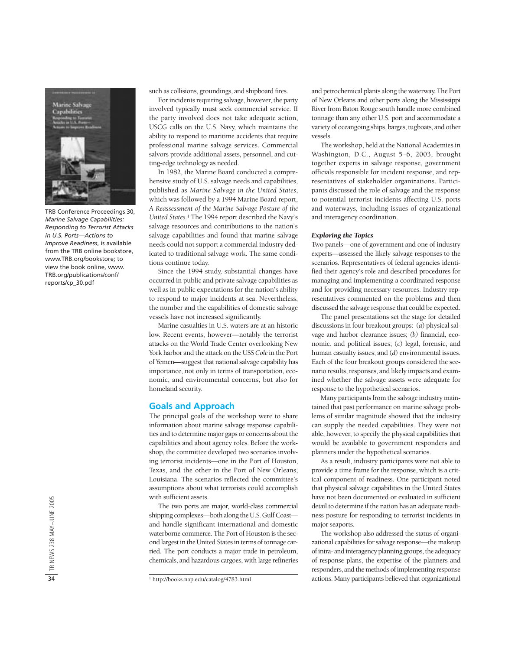

TRB Conference Proceedings 30, *Marine Salvage Capabilities: Responding to Terrorist Attacks in U.S. Ports—Actions to Improve Readiness*, is available from the TRB online bookstore, www.TRB.org/bookstore; to view the book online, www. TRB.org/publications/conf/ reports/cp\_30.pdf

such as collisions, groundings, and shipboard fires.

For incidents requiring salvage, however, the party involved typically must seek commercial service. If the party involved does not take adequate action, USCG calls on the U.S. Navy, which maintains the ability to respond to maritime accidents that require professional marine salvage services. Commercial salvors provide additional assets, personnel, and cutting-edge technology as needed.

In 1982, the Marine Board conducted a comprehensive study of U.S. salvage needs and capabilities, published as *Marine Salvage in the United States*, which was followed by a 1994 Marine Board report, *A Reassessment of the Marine Salvage Posture of the United States.*<sup>1</sup> The 1994 report described the Navy's salvage resources and contributions to the nation's salvage capabilities and found that marine salvage needs could not support a commercial industry dedicated to traditional salvage work. The same conditions continue today.

Since the 1994 study, substantial changes have occurred in public and private salvage capabilities as well as in public expectations for the nation's ability to respond to major incidents at sea. Nevertheless, the number and the capabilities of domestic salvage vessels have not increased significantly.

Marine casualties in U.S. waters are at an historic low. Recent events, however—notably the terrorist attacks on the World Trade Center overlooking New York harbor and the attack on the USS *Cole* in the Port of Yemen—suggest that national salvage capability has importance, not only in terms of transportation, economic, and environmental concerns, but also for homeland security.

#### **Goals and Approach**

The principal goals of the workshop were to share information about marine salvage response capabilities and to determine major gaps or concerns about the capabilities and about agency roles. Before the workshop, the committee developed two scenarios involving terrorist incidents—one in the Port of Houston, Texas, and the other in the Port of New Orleans, Louisiana. The scenarios reflected the committee's assumptions about what terrorists could accomplish with sufficient assets.

The two ports are major, world-class commercial shipping complexes—both along the U.S. Gulf Coast and handle significant international and domestic waterborne commerce. The Port of Houston is the second largest in the United States in terms of tonnage carried. The port conducts a major trade in petroleum, chemicals, and hazardous cargoes, with large refineries and petrochemical plants along the waterway. The Port of New Orleans and other ports along the Mississippi River from Baton Rouge south handle more combined tonnage than any other U.S. port and accommodate a variety of oceangoing ships, barges, tugboats, and other vessels.

The workshop, held at the National Academies in Washington, D.C., August 5–6, 2003, brought together experts in salvage response, government officials responsible for incident response, and representatives of stakeholder organizations. Participants discussed the role of salvage and the response to potential terrorist incidents affecting U.S. ports and waterways, including issues of organizational and interagency coordination.

#### *Exploring the Topics*

Two panels—one of government and one of industry experts—assessed the likely salvage responses to the scenarios. Representatives of federal agencies identified their agency's role and described procedures for managing and implementing a coordinated response and for providing necessary resources. Industry representatives commented on the problems and then discussed the salvage response that could be expected.

The panel presentations set the stage for detailed discussions in four breakout groups: (*a*) physical salvage and harbor clearance issues; *(b)* financial, economic, and political issues; (*c*) legal, forensic, and human casualty issues; and (*d*) environmental issues. Each of the four breakout groups considered the scenario results, responses, and likely impacts and examined whether the salvage assets were adequate for response to the hypothetical scenarios.

Many participants from the salvage industry maintained that past performance on marine salvage problems of similar magnitude showed that the industry can supply the needed capabilities. They were not able, however, to specify the physical capabilities that would be available to government responders and planners under the hypothetical scenarios.

As a result, industry participants were not able to provide a time frame for the response, which is a critical component of readiness. One participant noted that physical salvage capabilities in the United States have not been documented or evaluated in sufficient detail to determine if the nation has an adequate readiness posture for responding to terrorist incidents in major seaports.

The workshop also addressed the status of organizational capabilities for salvage response—the makeup of intra- and interagency planning groups, the adequacy of response plans, the expertise of the planners and responders, and the methods of implementing response actions. Many participants believed that organizational

<sup>1</sup> http://books.nap.edu/catalog/4783.html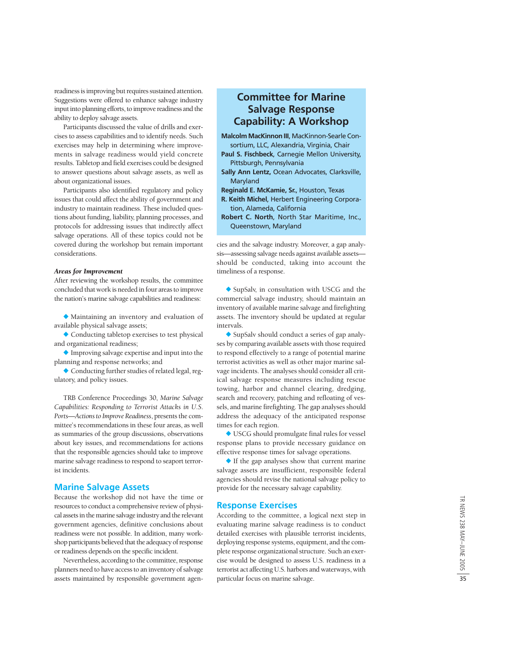readiness is improving but requires sustained attention. Suggestions were offered to enhance salvage industry input into planning efforts, to improve readiness and the ability to deploy salvage assets.

Participants discussed the value of drills and exercises to assess capabilities and to identify needs. Such exercises may help in determining where improvements in salvage readiness would yield concrete results. Tabletop and field exercises could be designed to answer questions about salvage assets, as well as about organizational issues.

Participants also identified regulatory and policy issues that could affect the ability of government and industry to maintain readiness. These included questions about funding, liability, planning processes, and protocols for addressing issues that indirectly affect salvage operations. All of these topics could not be covered during the workshop but remain important considerations.

#### *Areas for Improvement*

After reviewing the workshop results, the committee concluded that work is needed in four areas to improve the nation's marine salvage capabilities and readiness:

 Maintaining an inventory and evaluation of available physical salvage assets;

 Conducting tabletop exercises to test physical and organizational readiness;

 Improving salvage expertise and input into the planning and response networks; and

 Conducting further studies of related legal, regulatory, and policy issues.

TRB Conference Proceedings 30, *Marine Salvage Capabilities: Responding to Terrorist Attacks in U.S. Ports—Actions to Improve Readiness*, presents the committee's recommendations in these four areas, as well as summaries of the group discussions, observations about key issues, and recommendations for actions that the responsible agencies should take to improve marine salvage readiness to respond to seaport terrorist incidents.

#### **Marine Salvage Assets**

Because the workshop did not have the time or resources to conduct a comprehensive review of physical assets in the marine salvage industry and the relevant government agencies, definitive conclusions about readiness were not possible. In addition, many workshop participants believed that the adequacy of response or readiness depends on the specific incident.

Nevertheless, according to the committee, response planners need to have access to an inventory of salvage assets maintained by responsible government agen-

#### **Committee for Marine Salvage Response Capability: A Workshop**

- **Malcolm MacKinnon III**, MacKinnon-Searle Consortium, LLC, Alexandria, Virginia, Chair
- **Paul S. Fischbeck**, Carnegie Mellon University, Pittsburgh, Pennsylvania
- **Sally Ann Lentz,** Ocean Advocates, Clarksville, Maryland
- **Reginald E. McKamie, Sr.**, Houston, Texas
- **R. Keith Michel**, Herbert Engineering Corporation, Alameda, California
- **Robert C. North**, North Star Maritime, Inc., Queenstown, Maryland

cies and the salvage industry. Moreover, a gap analysis—assessing salvage needs against available assets should be conducted, taking into account the timeliness of a response.

◆ SupSalv, in consultation with USCG and the commercial salvage industry, should maintain an inventory of available marine salvage and firefighting assets. The inventory should be updated at regular intervals.

◆ SupSalv should conduct a series of gap analyses by comparing available assets with those required to respond effectively to a range of potential marine terrorist activities as well as other major marine salvage incidents. The analyses should consider all critical salvage response measures including rescue towing, harbor and channel clearing, dredging, search and recovery, patching and refloating of vessels, and marine firefighting. The gap analyses should address the adequacy of the anticipated response times for each region.

 USCG should promulgate final rules for vessel response plans to provide necessary guidance on effective response times for salvage operations.

 If the gap analyses show that current marine salvage assets are insufficient, responsible federal agencies should revise the national salvage policy to provide for the necessary salvage capability.

#### **Response Exercises**

According to the committee, a logical next step in evaluating marine salvage readiness is to conduct detailed exercises with plausible terrorist incidents, deploying response systems, equipment, and the complete response organizational structure. Such an exercise would be designed to assess U.S. readiness in a terrorist act affecting U.S. harbors and waterways, with particular focus on marine salvage.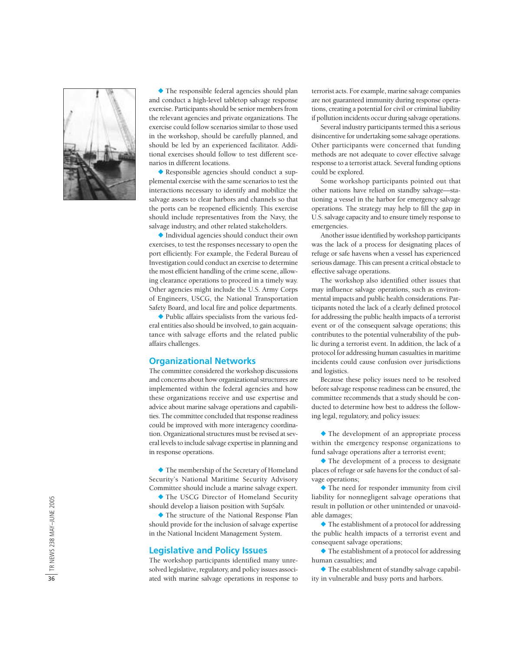

 The responsible federal agencies should plan and conduct a high-level tabletop salvage response exercise. Participants should be senior members from the relevant agencies and private organizations. The exercise could follow scenarios similar to those used in the workshop, should be carefully planned, and should be led by an experienced facilitator. Additional exercises should follow to test different scenarios in different locations.

 Responsible agencies should conduct a supplemental exercise with the same scenarios to test the interactions necessary to identify and mobilize the salvage assets to clear harbors and channels so that the ports can be reopened efficiently. This exercise should include representatives from the Navy, the salvage industry, and other related stakeholders.

 Individual agencies should conduct their own exercises, to test the responses necessary to open the port efficiently. For example, the Federal Bureau of Investigation could conduct an exercise to determine the most efficient handling of the crime scene, allowing clearance operations to proceed in a timely way. Other agencies might include the U.S. Army Corps of Engineers, USCG, the National Transportation Safety Board, and local fire and police departments.

 Public affairs specialists from the various federal entities also should be involved, to gain acquaintance with salvage efforts and the related public affairs challenges.

#### **Organizational Networks**

The committee considered the workshop discussions and concerns about how organizational structures are implemented within the federal agencies and how these organizations receive and use expertise and advice about marine salvage operations and capabilities. The committee concluded that response readiness could be improved with more interagency coordination. Organizational structures must be revised at several levels to include salvage expertise in planning and in response operations.

 The membership of the Secretary of Homeland Security's National Maritime Security Advisory Committee should include a marine salvage expert.

 The USCG Director of Homeland Security should develop a liaison position with SupSalv.

 The structure of the National Response Plan should provide for the inclusion of salvage expertise in the National Incident Management System.

#### **Legislative and Policy Issues**

The workshop participants identified many unresolved legislative, regulatory, and policy issues associated with marine salvage operations in response to terrorist acts. For example, marine salvage companies are not guaranteed immunity during response operations, creating a potential for civil or criminal liability if pollution incidents occur during salvage operations.

Several industry participants termed this a serious disincentive for undertaking some salvage operations. Other participants were concerned that funding methods are not adequate to cover effective salvage response to a terrorist attack. Several funding options could be explored.

Some workshop participants pointed out that other nations have relied on standby salvage—stationing a vessel in the harbor for emergency salvage operations. The strategy may help to fill the gap in U.S. salvage capacity and to ensure timely response to emergencies.

Another issue identified by workshop participants was the lack of a process for designating places of refuge or safe havens when a vessel has experienced serious damage. This can present a critical obstacle to effective salvage operations.

The workshop also identified other issues that may influence salvage operations, such as environmental impacts and public health considerations. Participants noted the lack of a clearly defined protocol for addressing the public health impacts of a terrorist event or of the consequent salvage operations; this contributes to the potential vulnerability of the public during a terrorist event. In addition, the lack of a protocol for addressing human casualties in maritime incidents could cause confusion over jurisdictions and logistics.

Because these policy issues need to be resolved before salvage response readiness can be ensured, the committee recommends that a study should be conducted to determine how best to address the following legal, regulatory, and policy issues:

 The development of an appropriate process within the emergency response organizations to fund salvage operations after a terrorist event;

 The development of a process to designate places of refuge or safe havens for the conduct of salvage operations;

 The need for responder immunity from civil liability for nonnegligent salvage operations that result in pollution or other unintended or unavoidable damages;

 The establishment of a protocol for addressing the public health impacts of a terrorist event and consequent salvage operations;

 The establishment of a protocol for addressing human casualties; and

 The establishment of standby salvage capability in vulnerable and busy ports and harbors.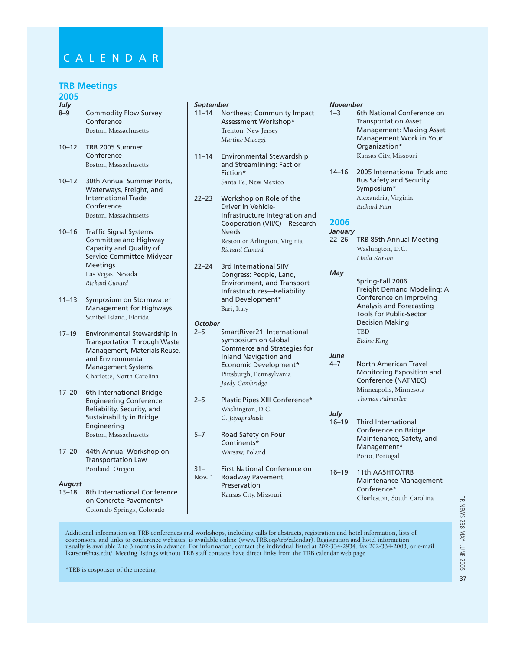#### **TRB Meetings**

#### **2005**

- *July* 8–9 Commodity Flow Survey Conference Boston, Massachusetts
- 10–12 TRB 2005 Summer Conference Boston, Massachusetts
- 10–12 30th Annual Summer Ports, Waterways, Freight, and International Trade Conference Boston, Massachusetts
- 10–16 Traffic Signal Systems Committee and Highway Capacity and Quality of Service Committee Midyear Meetings Las Vegas, Nevada *Richard Cunard*
- 11–13 Symposium on Stormwater Management for Highways Sanibel Island, Florida
- 17–19 Environmental Stewardship in Transportation Through Waste Management, Materials Reuse, and Environmental Management Systems Charlotte, North Carolina
- 17–20 6th International Bridge Engineering Conference: Reliability, Security, and Sustainability in Bridge Engineering Boston, Massachusetts
- 17–20 44th Annual Workshop on Transportation Law Portland, Oregon

#### *August*

13–18 8th International Conference on Concrete Pavements\* Colorado Springs, Colorado

#### *September*

- 11–14 Northeast Community Impact Assessment Workshop\* Trenton, New Jersey *Martine Micozzi*
- 11–14 Environmental Stewardship and Streamlining: Fact or Fiction\* Santa Fe, New Mexico
- 22–23 Workshop on Role of the Driver in Vehicle-Infrastructure Integration and Cooperation (VII/C)—Research Needs Reston or Arlington, Virginia *Richard Cunard*
- 22–24 3rd International SIIV Congress: People, Land, Environment, and Transport Infrastructures—Reliability and Development\* Bari, Italy

#### *October*

- 2–5 SmartRiver21: International Symposium on Global Commerce and Strategies for Inland Navigation and Economic Development\* Pittsburgh, Pennsylvania *Joedy Cambridge*
- 2–5 Plastic Pipes XIII Conference\* Washington, D.C. *G. Jayaprakash*
- 5–7 Road Safety on Four Continents\* Warsaw, Poland
- 31– First National Conference on Nov. 1 Roadway Pavement Preservation Kansas City, Missouri

#### *November*

- 1–3 6th National Conference on Transportation Asset Management: Making Asset Management Work in Your Organization\* Kansas City, Missouri
- 14–16 2005 International Truck and Bus Safety and Security Symposium\* Alexandria, Virginia *Richard Pain*

#### **2006**

*January* 22–26 TRB 85th Annual Meeting Washington, D.C. *Linda Karson*

#### *May*

- Spring-Fall 2006 Freight Demand Modeling: A Conference on Improving Analysis and Forecasting Tools for Public-Sector Decision Making TBD *Elaine King*
- *June* 4–7 North American Travel Monitoring Exposition and Conference (NATMEC) Minneapolis, Minnesota *Thomas Palmerlee*

#### *July*

- 16–19 Third International Conference on Bridge Maintenance, Safety, and Management\* Porto, Portugal
- 16–19 11th AASHTO/TRB Maintenance Management Conference\* Charleston, South Carolina

Additional information on TRB conferences and workshops, including calls for abstracts, registration and hotel information, lists of cosponsors, and links to conference websites, is available online (www.TRB.org/trb/calendar). Registration and hotel information usually is available 2 to 3 months in advance. For information, contact the individual listed at 202-334-2934, fax 202-334-2003, or e-mail lkarson@nas.edu/. Meeting listings without TRB staff contacts have direct links from the TRB calendar web page.

\*TRB is cosponsor of the meeting.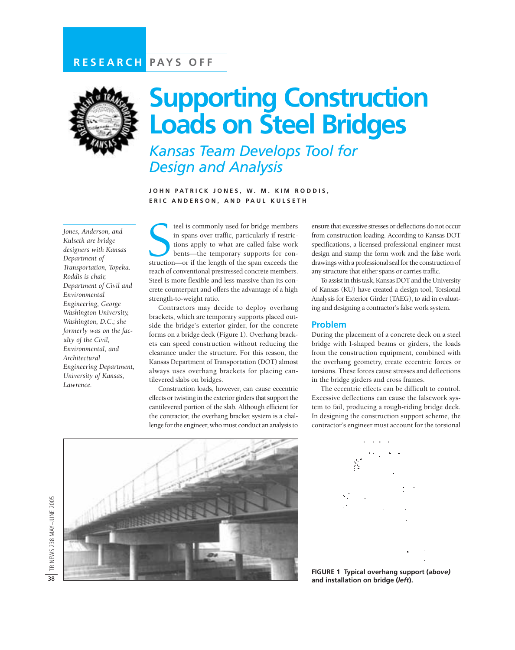

# **Supporting Construction Loads on Steel Bridges**

*Kansas Team Develops Tool for Design and Analysis* 

**JOHN PATRICK JONES, W. M. KIM RODDIS, ERIC ANDERSON, AND PAUL KULSETH**

*Jones, Anderson, and Kulseth are bridge designers with Kansas Department of Transportation, Topeka. Roddis is chair, Department of Civil and Environmental Engineering, George Washington University, Washington, D.C.; she formerly was on the faculty of the Civil, Environmental, and Architectural Engineering Department, University of Kansas, Lawrence.*

teel is commonly used for bridge members<br>in spans over traffic, particularly if restric-<br>tions apply to what are called false work<br>bents—the temporary supports for con-<br>struction—or if the length of the span exceeds the teel is commonly used for bridge members in spans over traffic, particularly if restrictions apply to what are called false work bents—the temporary supports for conreach of conventional prestressed concrete members. Steel is more flexible and less massive than its concrete counterpart and offers the advantage of a high strength-to-weight ratio.

Contractors may decide to deploy overhang brackets, which are temporary supports placed outside the bridge's exterior girder, for the concrete forms on a bridge deck (Figure 1). Overhang brackets can speed construction without reducing the clearance under the structure. For this reason, the Kansas Department of Transportation (DOT) almost always uses overhang brackets for placing cantilevered slabs on bridges.

Construction loads, however, can cause eccentric effects or twisting in the exterior girders that support the cantilevered portion of the slab. Although efficient for the contractor, the overhang bracket system is a challenge for the engineer, who must conduct an analysis to

ensure that excessive stresses or deflections do not occur from construction loading. According to Kansas DOT specifications, a licensed professional engineer must design and stamp the form work and the false work drawings with a professional seal for the construction of any structure that either spans or carries traffic.

To assist in this task, Kansas DOT and the University of Kansas (KU) have created a design tool, Torsional Analysis for Exterior Girder (TAEG), to aid in evaluating and designing a contractor's false work system.

#### **Problem**

During the placement of a concrete deck on a steel bridge with I-shaped beams or girders, the loads from the construction equipment, combined with the overhang geometry, create eccentric forces or torsions. These forces cause stresses and deflections in the bridge girders and cross frames.

The eccentric effects can be difficult to control. Excessive deflections can cause the falsework system to fail, producing a rough-riding bridge deck. In designing the construction support scheme, the contractor's engineer must account for the torsional





**FIGURE 1 Typical overhang support (***above)* **and installation on bridge (***left***).**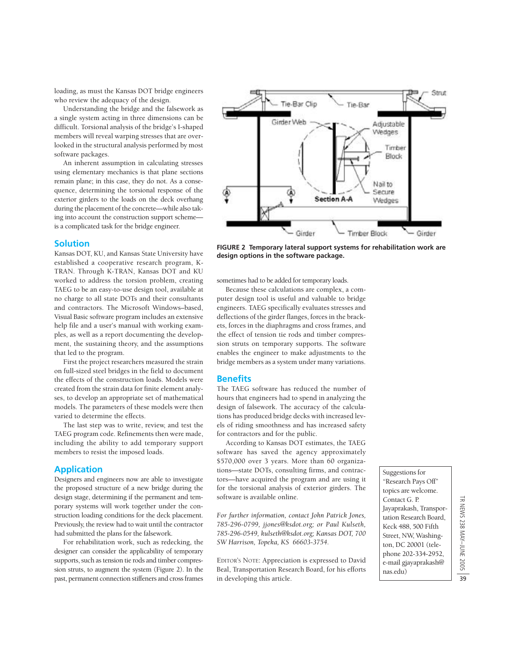loading, as must the Kansas DOT bridge engineers who review the adequacy of the design.

Understanding the bridge and the falsework as a single system acting in three dimensions can be difficult. Torsional analysis of the bridge's I-shaped members will reveal warping stresses that are overlooked in the structural analysis performed by most software packages.

An inherent assumption in calculating stresses using elementary mechanics is that plane sections remain plane; in this case, they do not. As a consequence, determining the torsional response of the exterior girders to the loads on the deck overhang during the placement of the concrete—while also taking into account the construction support scheme is a complicated task for the bridge engineer.

#### **Solution**

Kansas DOT, KU, and Kansas State University have established a cooperative research program, K-TRAN. Through K-TRAN, Kansas DOT and KU worked to address the torsion problem, creating TAEG to be an easy-to-use design tool, available at no charge to all state DOTs and their consultants and contractors. The Microsoft Windows–based, Visual Basic software program includes an extensive help file and a user's manual with working examples, as well as a report documenting the development, the sustaining theory, and the assumptions that led to the program.

First the project researchers measured the strain on full-sized steel bridges in the field to document the effects of the construction loads. Models were created from the strain data for finite element analyses, to develop an appropriate set of mathematical models. The parameters of these models were then varied to determine the effects.

The last step was to write, review, and test the TAEG program code. Refinements then were made, including the ability to add temporary support members to resist the imposed loads.

#### **Application**

Designers and engineers now are able to investigate the proposed structure of a new bridge during the design stage, determining if the permanent and temporary systems will work together under the construction loading conditions for the deck placement. Previously, the review had to wait until the contractor had submitted the plans for the falsework.

For rehabilitation work, such as redecking, the designer can consider the applicability of temporary supports, such as tension tie rods and timber compression struts, to augment the system (Figure 2). In the past, permanent connection stiffeners and cross frames



**FIGURE 2 Temporary lateral support systems for rehabilitation work are design options in the software package.**

sometimes had to be added for temporary loads.

Because these calculations are complex, a computer design tool is useful and valuable to bridge engineers. TAEG specifically evaluates stresses and deflections of the girder flanges, forces in the brackets, forces in the diaphragms and cross frames, and the effect of tension tie rods and timber compression struts on temporary supports. The software enables the engineer to make adjustments to the bridge members as a system under many variations.

#### **Benefits**

The TAEG software has reduced the number of hours that engineers had to spend in analyzing the design of falsework. The accuracy of the calculations has produced bridge decks with increased levels of riding smoothness and has increased safety for contractors and for the public.

According to Kansas DOT estimates, the TAEG software has saved the agency approximately \$570,000 over 3 years. More than 60 organizations—state DOTs, consulting firms, and contractors—have acquired the program and are using it for the torsional analysis of exterior girders. The software is available online.

*For further information, contact John Patrick Jones, 785-296-0799, jjones@ksdot.org; or Paul Kulseth, 785-296-0549, kulseth@ksdot.org; Kansas DOT, 700 SW Harrison, Topeka, KS 66603-3754.*

EDITOR'S NOTE: Appreciation is expressed to David Beal, Transportation Research Board, for his efforts in developing this article.

Suggestions for "Research Pays Off" topics are welcome. Contact G. P. Jayaprakash, Transportation Research Board, Keck 488, 500 Fifth Street, NW, Washington, DC 20001 (telephone 202-334-2952, e-mail gjayaprakash@ nas.edu)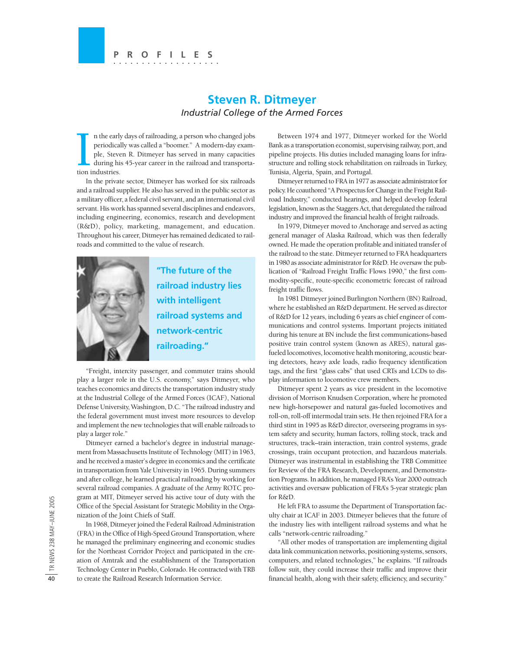#### **PROFILES ...................**

#### **Steven R. Ditmeyer** *Industrial College of the Armed Forces*

n the early<br>periodical<br>ple, Steve<br>during his<br>tion industries. n the early days of railroading, a person who changed jobs periodically was called a "boomer." A modern-day example, Steven R. Ditmeyer has served in many capacities during his 45-year career in the railroad and transporta-

In the private sector, Ditmeyer has worked for six railroads and a railroad supplier. He also has served in the public sector as a military officer, a federal civil servant, and an international civil servant. His work has spanned several disciplines and endeavors, including engineering, economics, research and development (R&D), policy, marketing, management, and education. Throughout his career, Ditmeyer has remained dedicated to railroads and committed to the value of research.



**"The future of the railroad industry lies with intelligent railroad systems and network-centric railroading."**

"Freight, intercity passenger, and commuter trains should play a larger role in the U.S. economy," says Ditmeyer, who teaches economics and directs the transportation industry study at the Industrial College of the Armed Forces (ICAF), National Defense University, Washington, D.C. "The railroad industry and the federal government must invest more resources to develop and implement the new technologies that will enable railroads to play a larger role."

Ditmeyer earned a bachelor's degree in industrial management from Massachusetts Institute of Technology (MIT) in 1963, and he received a master's degree in economics and the certificate in transportation from Yale University in 1965. During summers and after college, he learned practical railroading by working for several railroad companies. A graduate of the Army ROTC program at MIT, Ditmeyer served his active tour of duty with the Office of the Special Assistant for Strategic Mobility in the Organization of the Joint Chiefs of Staff.

In 1968, Ditmeyer joined the Federal Railroad Administration (FRA) in the Office of High-Speed Ground Transportation, where he managed the preliminary engineering and economic studies for the Northeast Corridor Project and participated in the creation of Amtrak and the establishment of the Transportation Technology Center in Pueblo, Colorado. He contracted with TRB to create the Railroad Research Information Service.

Between 1974 and 1977, Ditmeyer worked for the World Bank as a transportation economist, supervising railway, port, and pipeline projects. His duties included managing loans for infrastructure and rolling stock rehabilitation on railroads in Turkey, Tunisia, Algeria, Spain, and Portugal.

Ditmeyer returned to FRA in 1977 as associate administrator for policy. He coauthored "A Prospectus for Change in the Freight Railroad Industry," conducted hearings, and helped develop federal legislation, known as the Staggers Act, that deregulated the railroad industry and improved the financial health of freight railroads.

In 1979, Ditmeyer moved to Anchorage and served as acting general manager of Alaska Railroad, which was then federally owned. He made the operation profitable and initiated transfer of the railroad to the state. Ditmeyer returned to FRA headquarters in 1980 as associate administrator for R&D. He oversaw the publication of "Railroad Freight Traffic Flows 1990," the first commodity-specific, route-specific econometric forecast of railroad freight traffic flows.

In 1981 Ditmeyer joined Burlington Northern (BN) Railroad, where he established an R&D department. He served as director of R&D for 12 years, including 6 years as chief engineer of communications and control systems. Important projects initiated during his tenure at BN include the first communications-based positive train control system (known as ARES), natural gasfueled locomotives, locomotive health monitoring, acoustic bearing detectors, heavy axle loads, radio frequency identification tags, and the first "glass cabs" that used CRTs and LCDs to display information to locomotive crew members.

Ditmeyer spent 2 years as vice president in the locomotive division of Morrison Knudsen Corporation, where he promoted new high-horsepower and natural gas-fueled locomotives and roll-on, roll-off intermodal train sets. He then rejoined FRA for a third stint in 1995 as R&D director, overseeing programs in system safety and security, human factors, rolling stock, track and structures, track–train interaction, train control systems, grade crossings, train occupant protection, and hazardous materials. Ditmeyer was instrumental in establishing the TRB Committee for Review of the FRA Research, Development, and Demonstration Programs. In addition, he managed FRA's Year 2000 outreach activities and oversaw publication of FRA's 5-year strategic plan for R&D.

He left FRA to assume the Department of Transportation faculty chair at ICAF in 2003. Ditmeyer believes that the future of the industry lies with intelligent railroad systems and what he calls "network-centric railroading."

"All other modes of transportation are implementing digital data link communication networks, positioning systems, sensors, computers, and related technologies," he explains. "If railroads follow suit, they could increase their traffic and improve their financial health, along with their safety, efficiency, and security."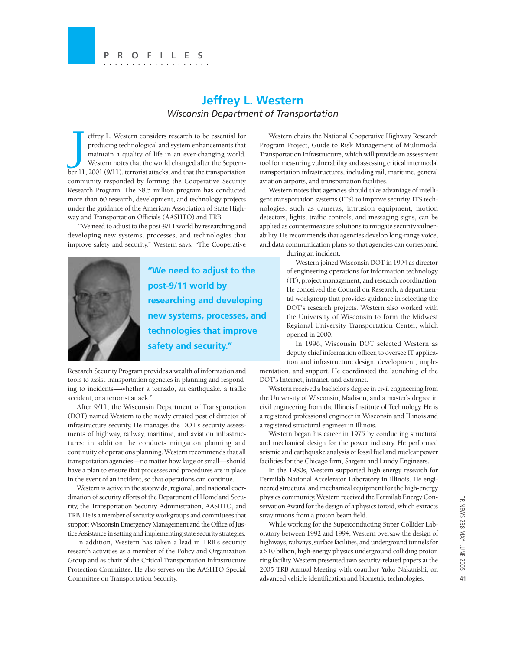#### **Jeffrey L. Western** *Wisconsin Department of Transportation*

J effrey L. Western considers research to be essential for producing technological and system enhancements that maintain a quality of life in an ever-changing world. Western notes that the world changed after the September 11, 2001 (9/11), terrorist attacks, and that the transportation community responded by forming the Cooperative Security Research Program. The \$8.5 million program has conducted more than 60 research, development, and technology projects under the guidance of the American Association of State Highway and Transportation Officials (AASHTO) and TRB.

"We need to adjust to the post-9/11 world by researching and developing new systems, processes, and technologies that improve safety and security," Western says. "The Cooperative



**"We need to adjust to the post-9/11 world by researching and developing new systems, processes, and technologies that improve safety and security."**

Research Security Program provides a wealth of information and tools to assist transportation agencies in planning and responding to incidents—whether a tornado, an earthquake, a traffic accident, or a terrorist attack."

After 9/11, the Wisconsin Department of Transportation (DOT) named Western to the newly created post of director of infrastructure security. He manages the DOT's security assessments of highway, railway, maritime, and aviation infrastructures; in addition, he conducts mitigation planning and continuity of operations planning. Western recommends that all transportation agencies—no matter how large or small—should have a plan to ensure that processes and procedures are in place in the event of an incident, so that operations can continue.

Western is active in the statewide, regional, and national coordination of security efforts of the Department of Homeland Security, the Transportation Security Administration, AASHTO, and TRB. He is a member of security workgroups and committees that support Wisconsin Emergency Management and the Office of Justice Assistance in setting and implementing state security strategies.

In addition, Western has taken a lead in TRB's security research activities as a member of the Policy and Organization Group and as chair of the Critical Transportation Infrastructure Protection Committee. He also serves on the AASHTO Special Committee on Transportation Security.

Western chairs the National Cooperative Highway Research Program Project, Guide to Risk Management of Multimodal Transportation Infrastructure, which will provide an assessment tool for measuring vulnerability and assessing critical intermodal transportation infrastructures, including rail, maritime, general aviation airports, and transportation facilities.

Western notes that agencies should take advantage of intelligent transportation systems (ITS) to improve security. ITS technologies, such as cameras, intrusion equipment, motion detectors, lights, traffic controls, and messaging signs, can be applied as countermeasure solutions to mitigate security vulnerability. He recommends that agencies develop long-range voice, and data communication plans so that agencies can correspond

during an incident.

Western joined Wisconsin DOT in 1994 as director of engineering operations for information technology (IT), project management, and research coordination. He conceived the Council on Research, a departmental workgroup that provides guidance in selecting the DOT's research projects. Western also worked with the University of Wisconsin to form the Midwest Regional University Transportation Center, which opened in 2000.

In 1996, Wisconsin DOT selected Western as deputy chief information officer, to oversee IT application and infrastructure design, development, implementation, and support. He coordinated the launching of the

DOT's Internet, intranet, and extranet.

Western received a bachelor's degree in civil engineering from the University of Wisconsin, Madison, and a master's degree in civil engineering from the Illinois Institute of Technology. He is a registered professional engineer in Wisconsin and Illinois and a registered structural engineer in Illinois.

Western began his career in 1975 by conducting structural and mechanical design for the power industry. He performed seismic and earthquake analysis of fossil fuel and nuclear power facilities for the Chicago firm, Sargent and Lundy Engineers.

In the 1980s, Western supported high-energy research for Fermilab National Accelerator Laboratory in Illinois. He engineered structural and mechanical equipment for the high-energy physics community. Western received the Fermilab Energy Conservation Award for the design of a physics toroid, which extracts stray muons from a proton beam field.

While working for the Superconducting Super Collider Laboratory between 1992 and 1994, Western oversaw the design of highways, railways, surface facilities, and underground tunnels for a \$10 billion, high-energy physics underground colliding proton ring facility. Western presented two security-related papers at the 2005 TRB Annual Meeting with coauthor Yuko Nakanishi, on advanced vehicle identification and biometric technologies.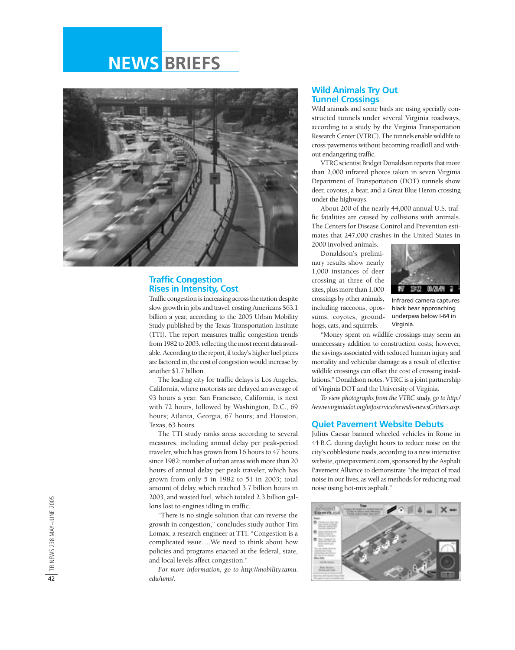### **NEWS BRIEFS**



#### **Traffic Congestion Rises in Intensity, Cost**

Traffic congestion is increasing across the nation despite slow growth in jobs and travel, costing Americans \$63.1 billion a year, according to the 2005 Urban Mobility Study published by the Texas Transportation Institute (TTI). The report measures traffic congestion trends from 1982 to 2003, reflecting the most recent data available. According to the report, if today's higher fuel prices are factored in, the cost of congestion would increase by another \$1.7 billion.

The leading city for traffic delays is Los Angeles, California, where motorists are delayed an average of 93 hours a year. San Francisco, California, is next with 72 hours, followed by Washington, D.C., 69 hours; Atlanta, Georgia, 67 hours; and Houston, Texas, 63 hours.

The TTI study ranks areas according to several measures, including annual delay per peak-period traveler, which has grown from 16 hours to 47 hours since 1982; number of urban areas with more than 20 hours of annual delay per peak traveler, which has grown from only 5 in 1982 to 51 in 2003; total amount of delay, which reached 3.7 billion hours in 2003, and wasted fuel, which totaled 2.3 billion gallons lost to engines idling in traffic.

"There is no single solution that can reverse the growth in congestion," concludes study author Tim Lomax, a research engineer at TTI. "Congestion is a complicated issue….We need to think about how policies and programs enacted at the federal, state, and local levels affect congestion."

*For more information, go to http://mobility.tamu. edu/ums/.*

#### **Wild Animals Try Out Tunnel Crossings**

Wild animals and some birds are using specially constructed tunnels under several Virginia roadways, according to a study by the Virginia Transportation Research Center (VTRC). The tunnels enable wildlife to cross pavements without becoming roadkill and without endangering traffic.

VTRC scientist Bridget Donaldson reports that more than 2,000 infrared photos taken in seven Virginia Department of Transportation (DOT) tunnels show deer, coyotes, a bear, and a Great Blue Heron crossing under the highways.

About 200 of the nearly 44,000 annual U.S. traffic fatalities are caused by collisions with animals. The Centers for Disease Control and Prevention estimates that 247,000 crashes in the United States in 2000 involved animals.

Donaldson's preliminary results show nearly 1,000 instances of deer crossing at three of the sites, plus more than 1,000 crossings by other animals, including raccoons, opossums, coyotes, groundhogs, cats, and squirrels.



Infrared camera captures black bear approaching underpass below I-64 in Virginia.

"Money spent on wildlife crossings may seem an unnecessary addition to construction costs; however, the savings associated with reduced human injury and mortality and vehicular damage as a result of effective wildlife crossings can offset the cost of crossing installations," Donaldson notes. VTRC is a joint partnership of Virginia DOT and the University of Virginia.

*To view photographs from the VTRC study, go to http:/ /www.virginiadot.org/infoservice/news/is-newsCritters.asp*.

#### **Quiet Pavement Website Debuts**

Julius Caesar banned wheeled vehicles in Rome in 44 B.C. during daylight hours to reduce noise on the city's cobblestone roads, according to a new interactive website, quietpavement.com, sponsored by the Asphalt Pavement Alliance to demonstrate "the impact of road noise in our lives, as well as methods for reducing road noise using hot-mix asphalt."

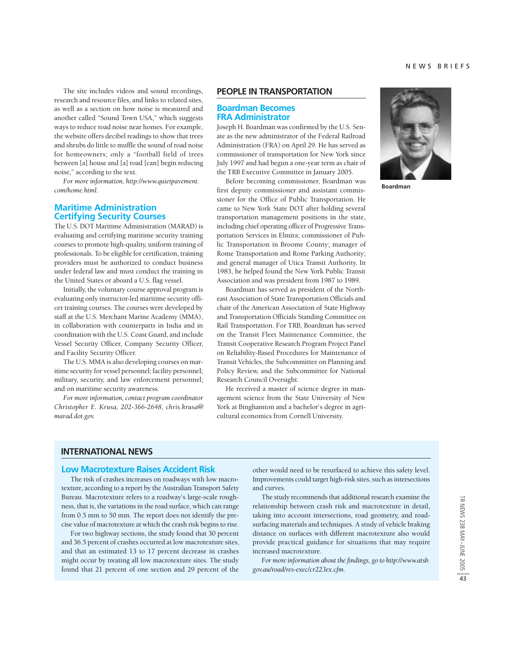The site includes videos and sound recordings, research and resource files, and links to related sites, as well as a section on how noise is measured and another called "Sound Town USA," which suggests ways to reduce road noise near homes. For example, the website offers decibel readings to show that trees and shrubs do little to muffle the sound of road noise for homeowners; only a "football field of trees between [a] house and [a] road [can] begin reducing noise," according to the text.

*For more information, http://www.quietpavement. com/home.html.*

#### **Maritime Administration Certifying Security Courses**

The U.S. DOT Maritime Administration (MARAD) is evaluating and certifying maritime security training courses to promote high-quality, uniform training of professionals. To be eligible for certification, training providers must be authorized to conduct business under federal law and must conduct the training in the United States or aboard a U.S. flag vessel.

Initially, the voluntary course approval program is evaluating only instructor-led maritime security officer training courses. The courses were developed by staff at the U.S. Merchant Marine Academy (MMA), in collaboration with counterparts in India and in coordination with the U.S. Coast Guard, and include Vessel Security Officer, Company Security Officer, and Facility Security Officer.

The U.S. MMA is also developing courses on maritime security for vessel personnel; facility personnel; military, security, and law enforcement personnel; and on maritime security awareness.

*For more information, contact program coordinator Christopher E. Krusa, 202-366-2648, chris.krusa@ marad.dot.gov.*

#### **PEOPLE IN TRANSPORTATION**

#### **Boardman Becomes FRA Administrator**

Joseph H. Boardman was confirmed by the U.S. Senate as the new administrator of the Federal Railroad Administration (FRA) on April 29. He has served as commissioner of transportation for New York since July 1997 and had begun a one-year term as chair of the TRB Executive Committee in January 2005.

Before becoming commissioner, Boardman was first deputy commissioner and assistant commissioner for the Office of Public Transportation. He came to New York State DOT after holding several transportation management positions in the state, including chief operating officer of Progressive Transportation Services in Elmira; commissioner of Public Transportation in Broome County; manager of Rome Transportation and Rome Parking Authority; and general manager of Utica Transit Authority. In 1983, he helped found the New York Public Transit Association and was president from 1987 to 1989.

Boardman has served as president of the Northeast Association of State Transportation Officials and chair of the American Association of State Highway and Transportation Officials Standing Committee on Rail Transportation. For TRB, Boardman has served on the Transit Fleet Maintenance Committee, the Transit Cooperative Research Program Project Panel on Reliability-Based Procedures for Maintenance of Transit Vehicles, the Subcommittee on Planning and Policy Review, and the Subcommittee for National Research Council Oversight.

He received a master of science degree in management science from the State University of New York at Binghamton and a bachelor's degree in agricultural economics from Cornell University.



**Boardman**

**INTERNATIONAL NEWS**

#### **Low Macrotexture Raises Accident Risk**

The risk of crashes increases on roadways with low macrotexture, according to a report by the Australian Transport Safety Bureau. Macrotexture refers to a roadway's large-scale roughness, that is, the variations in the road surface, which can range from 0.5 mm to 50 mm. The report does not identify the precise value of macrotexture at which the crash risk begins to rise.

For two highway sections, the study found that 30 percent and 36.5 percent of crashes occurred at low macrotexture sites, and that an estimated 13 to 17 percent decrease in crashes might occur by treating all low macrotexture sites. The study found that 21 percent of one section and 29 percent of the

other would need to be resurfaced to achieve this safety level. Improvements could target high-risk sites, such as intersections and curves.

The study recommends that additional research examine the relationship between crash risk and macrotexture in detail, taking into account intersections, road geometry, and roadsurfacing materials and techniques. A study of vehicle braking distance on surfaces with different macrotexture also would provide practical guidance for situations that may require increased macrotexture.

*For more information about the findings, go to http://www.atsb. gov.au/road/res-exec/cr223ex.cfm.*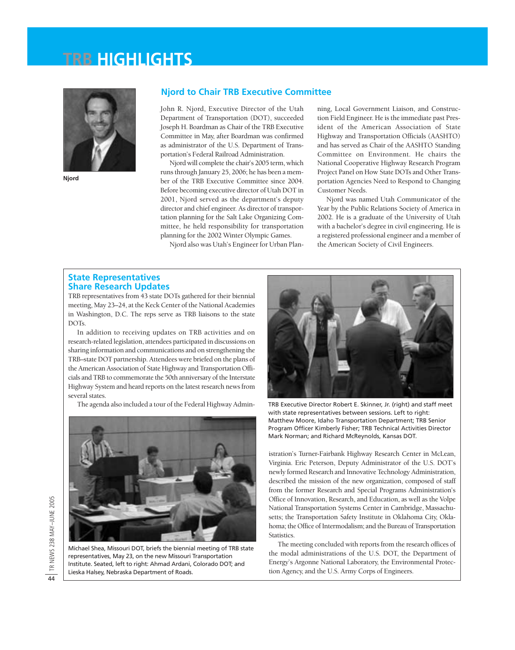## **TRB HIGHLIGHTS**



**Njord**

#### **Njord to Chair TRB Executive Committee**

John R. Njord, Executive Director of the Utah Department of Transportation (DOT), succeeded Joseph H. Boardman as Chair of the TRB Executive Committee in May, after Boardman was confirmed as administrator of the U.S. Department of Transportation's Federal Railroad Administration.

Njord will complete the chair's 2005 term, which runs through January 25, 2006; he has been a member of the TRB Executive Committee since 2004. Before becoming executive director of Utah DOT in 2001, Njord served as the department's deputy director and chief engineer. As director of transportation planning for the Salt Lake Organizing Committee, he held responsibility for transportation planning for the 2002 Winter Olympic Games.

Njord also was Utah's Engineer for Urban Plan-

ning, Local Government Liaison, and Construction Field Engineer. He is the immediate past President of the American Association of State Highway and Transportation Officials (AASHTO) and has served as Chair of the AASHTO Standing Committee on Environment. He chairs the National Cooperative Highway Research Program Project Panel on How State DOTs and Other Transportation Agencies Need to Respond to Changing Customer Needs.

Njord was named Utah Communicator of the Year by the Public Relations Society of America in 2002. He is a graduate of the University of Utah with a bachelor's degree in civil engineering. He is a registered professional engineer and a member of the American Society of Civil Engineers.

#### **State Representatives Share Research Updates**

TRB representatives from 43 state DOTs gathered for their biennial meeting, May 23–24, at the Keck Center of the National Academies in Washington, D.C. The reps serve as TRB liaisons to the state DOTs.

In addition to receiving updates on TRB activities and on research-related legislation, attendees participated in discussions on sharing information and communications and on strengthening the TRB–state DOT partnership. Attendees were briefed on the plans of the American Association of State Highway and Transportation Officials and TRB to commemorate the 50th anniversary of the Interstate Highway System and heard reports on the latest research news from several states.

The agenda also included a tour of the Federal Highway Admin-



Michael Shea, Missouri DOT, briefs the biennial meeting of TRB state representatives, May 23, on the new Missouri Transportation Institute. Seated, left to right: Ahmad Ardani, Colorado DOT; and Lieska Halsey, Nebraska Department of Roads.



TRB Executive Director Robert E. Skinner, Jr. (right) and staff meet with state representatives between sessions. Left to right: Matthew Moore, Idaho Transportation Department; TRB Senior Program Officer Kimberly Fisher; TRB Technical Activities Director Mark Norman; and Richard McReynolds, Kansas DOT.

istration's Turner-Fairbank Highway Research Center in McLean, Virginia. Eric Peterson, Deputy Administrator of the U.S. DOT's newly formed Research and Innovative Technology Administration, described the mission of the new organization, composed of staff from the former Research and Special Programs Administration's Office of Innovation, Research, and Education, as well as the Volpe National Transportation Systems Center in Cambridge, Massachusetts; the Transportation Safety Institute in Oklahoma City, Oklahoma; the Office of Intermodalism; and the Bureau of Transportation Statistics.

The meeting concluded with reports from the research offices of the modal administrations of the U.S. DOT, the Department of Energy's Argonne National Laboratory, the Environmental Protection Agency, and the U.S. Army Corps of Engineers.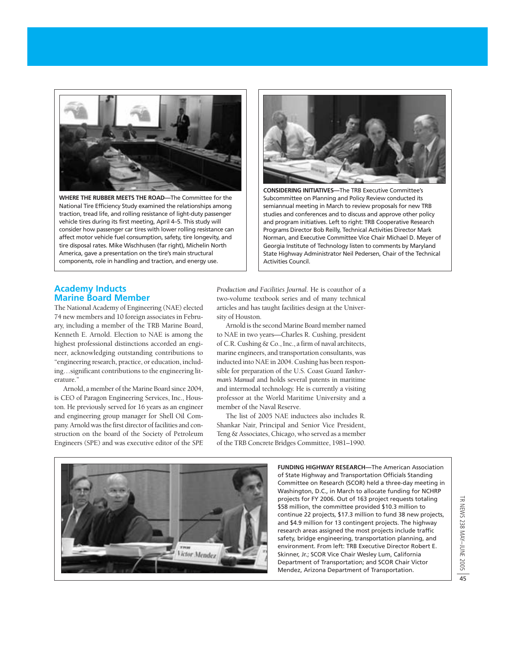

**WHERE THE RUBBER MEETS THE ROAD—**The Committee for the National Tire Efficiency Study examined the relationships among traction, tread life, and rolling resistance of light-duty passenger vehicle tires during its first meeting, April 4–5. This study will consider how passenger car tires with lower rolling resistance can affect motor vehicle fuel consumption, safety, tire longevity, and tire disposal rates. Mike Wischhusen (far right), Michelin North America, gave a presentation on the tire's main structural components, role in handling and traction, and energy use.



**CONSIDERING INITIATIVES—**The TRB Executive Committee's Subcommittee on Planning and Policy Review conducted its semiannual meeting in March to review proposals for new TRB studies and conferences and to discuss and approve other policy and program initiatives. Left to right: TRB Cooperative Research Programs Director Bob Reilly, Technical Activities Director Mark Norman, and Executive Committee Vice Chair Michael D. Meyer of Georgia Institute of Technology listen to comments by Maryland State Highway Administrator Neil Pedersen, Chair of the Technical Activities Council.

#### **Academy Inducts Marine Board Member**

The National Academy of Engineering (NAE) elected 74 new members and 10 foreign associates in February, including a member of the TRB Marine Board, Kenneth E. Arnold. Election to NAE is among the highest professional distinctions accorded an engineer, acknowledging outstanding contributions to "engineering research, practice, or education, including…significant contributions to the engineering literature."

Arnold, a member of the Marine Board since 2004, is CEO of Paragon Engineering Services, Inc., Houston. He previously served for 16 years as an engineer and engineering group manager for Shell Oil Company. Arnold was the first director of facilities and construction on the board of the Society of Petroleum Engineers (SPE) and was executive editor of the *SPE*

*Production and Facilities Journal*. He is coauthor of a two-volume textbook series and of many technical articles and has taught facilities design at the University of Houston.

Arnold is the second Marine Board member named to NAE in two years—Charles R. Cushing, president of C.R. Cushing & Co., Inc., a firm of naval architects, marine engineers, and transportation consultants, was inducted into NAE in 2004. Cushing has been responsible for preparation of the U.S. Coast Guard *Tankerman's Manual* and holds several patents in maritime and intermodal technology. He is currently a visiting professor at the World Maritime University and a member of the Naval Reserve.

The list of 2005 NAE inductees also includes R. Shankar Nair, Principal and Senior Vice President, Teng & Associates, Chicago, who served as a member of the TRB Concrete Bridges Committee, 1981–1990.



**FUNDING HIGHWAY RESEARCH—**The American Association of State Highway and Transportation Officials Standing Committee on Research (SCOR) held a three-day meeting in Washington, D.C., in March to allocate funding for NCHRP projects for FY 2006. Out of 163 project requests totaling \$58 million, the committee provided \$10.3 million to continue 22 projects, \$17.3 million to fund 38 new projects, and \$4.9 million for 13 contingent projects. The highway research areas assigned the most projects include traffic safety, bridge engineering, transportation planning, and environment. From left: TRB Executive Director Robert E. Skinner, Jr.; SCOR Vice Chair Wesley Lum, California Department of Transportation; and SCOR Chair Victor Mendez, Arizona Department of Transportation.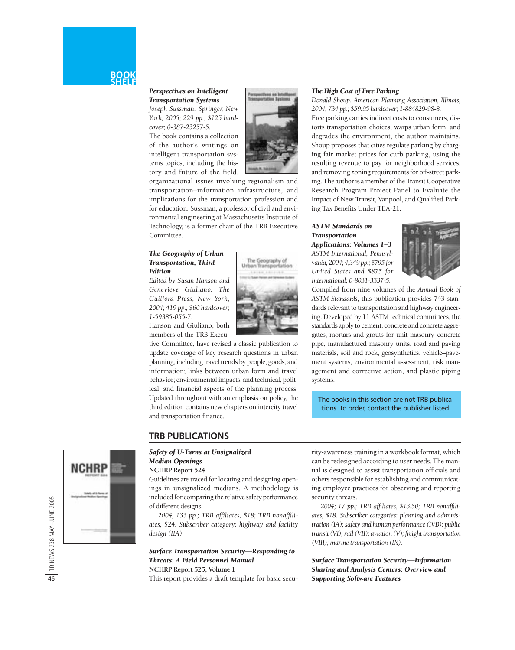#### *Perspectives on Intelligent Transportation Systems*

*Joseph Sussman. Springer, New York, 2005; 229 pp.; \$125 hardcover; 0-387-23257-5.*

The book contains a collection of the author's writings on intelligent transportation systems topics, including the history and future of the field,



organizational issues involving regionalism and transportation–information infrastructure, and implications for the transportation profession and for education. Sussman, a professor of civil and environmental engineering at Massachusetts Institute of Technology, is a former chair of the TRB Executive Committee.

#### *The Geography of Urban Transportation, Third Edition*

*Edited by Susan Hanson and Genevieve Giuliano. The Guilford Press, New York, 2004; 419 pp.; \$60 hardcover; 1-59385-055-7.*

Hanson and Giuliano, both members of the TRB Execu-



tive Committee, have revised a classic publication to update coverage of key research questions in urban planning, including travel trends by people, goods, and information; links between urban form and travel behavior; environmental impacts; and technical, political, and financial aspects of the planning process. Updated throughout with an emphasis on policy, the third edition contains new chapters on intercity travel and transportation finance.

#### *The High Cost of Free Parking*

*Donald Shoup. American Planning Association, Illinois, 2004; 734 pp.; \$59.95 hardcover; 1-884829-98-8.*

Free parking carries indirect costs to consumers, distorts transportation choices, warps urban form, and degrades the environment, the author maintains. Shoup proposes that cities regulate parking by charging fair market prices for curb parking, using the resulting revenue to pay for neighborhood services, and removing zoning requirements for off-street parking. The author is a member of the Transit Cooperative Research Program Project Panel to Evaluate the Impact of New Transit, Vanpool, and Qualified Parking Tax Benefits Under TEA-21.

#### *ASTM Standards on Transportation Applications: Volumes 1–3*

*ASTM International, Pennsylvania, 2004; 4,349 pp.; \$795 for United States and \$875 for International; 0-8031-3337-5.*



Compiled from nine volumes of the *Annual Book of ASTM Standards*, this publication provides 743 standards relevant to transportation and highway engineering. Developed by 11 ASTM technical committees, the standards apply to cement, concrete and concrete aggregates, mortars and grouts for unit masonry, concrete

pipe, manufactured masonry units, road and paving materials, soil and rock, geosynthetics, vehicle–pavement systems, environmental assessment, risk management and corrective action, and plastic piping systems.

The books in this section are not TRB publications. To order, contact the publisher listed.

#### **TRB PUBLICATIONS**

#### *Safety of U-Turns at Unsignalized Median Openings*

#### **NCHRP Report 524**

Guidelines are traced for locating and designing openings in unsignalized medians. A methodology is included for comparing the relative safety performance of different designs.

*2004; 133 pp.; TRB affiliates, \$18; TRB nonaffiliates, \$24. Subscriber category: highway and facility design (IIA).*

#### *Surface Transportation Security—Responding to Threats: A Field Personnel Manual* **NCHRP Report 525, Volume 1**

This report provides a draft template for basic secu-

rity-awareness training in a workbook format, which can be redesigned according to user needs. The manual is designed to assist transportation officials and others responsible for establishing and communicating employee practices for observing and reporting security threats.

*2004; 17 pp.; TRB affiliates, \$13.50; TRB nonaffiliates, \$18. Subscriber categories: planning and administration (IA); safety and human performance (IVB); public transit (VI); rail (VII); aviation (V); freight transportation (VIII); marine transportation (IX).*

*Surface Transportation Security—Information Sharing and Analysis Centers: Overview and Supporting Software Features*

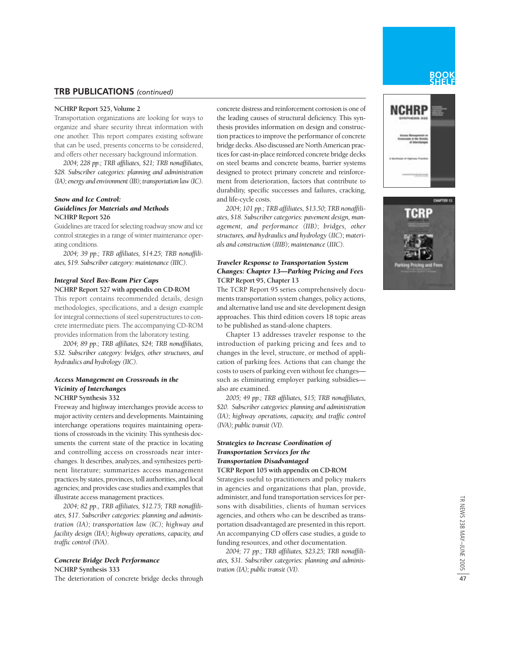#### **TRB PUBLICATIONS** *(continued)*

#### **NCHRP Report 525, Volume 2**

Transportation organizations are looking for ways to organize and share security threat information with one another. This report compares existing software that can be used, presents concerns to be considered, and offers other necessary background information.

*2004; 228 pp.; TRB affiliates, \$21; TRB nonaffiliates, \$28. Subscriber categories: planning and administration (IA); energy and environment (IB); transportation law (IC).*

#### *Snow and Ice Control: Guidelines for Materials and Methods* **NCHRP Report 526**

Guidelines are traced for selecting roadway snow and ice control strategies in a range of winter maintenance operating conditions.

*2004; 39 pp.; TRB affiliates, \$14.25; TRB nonaffiliates, \$19. Subscriber category: maintenance (IIIC).*

#### *Integral Steel Box-Beam Pier Caps* **NCHRP Report 527 with appendix on CD-ROM**

This report contains recommended details, design methodologies, specifications, and a design example for integral connections of steel superstructures to concrete intermediate piers. The accompanying CD-ROM provides information from the laboratory testing.

*2004; 89 pp.; TRB affiliates, \$24; TRB nonaffiliates, \$32. Subscriber category: bridges, other structures, and hydraulics and hydrology (IIC).*

#### *Access Management on Crossroads in the Vicinity of Interchanges*

#### **NCHRP Synthesis 332**

Freeway and highway interchanges provide access to major activity centers and developments. Maintaining interchange operations requires maintaining operations of crossroads in the vicinity. This synthesis documents the current state of the practice in locating and controlling access on crossroads near interchanges. It describes, analyzes, and synthesizes pertinent literature; summarizes access management practices by states, provinces, toll authorities, and local agencies; and provides case studies and examples that illustrate access management practices.

*2004; 82 pp., TRB affiliates, \$12.75; TRB nonaffiliates, \$17. Subscriber categories: planning and administration (IA); transportation law (IC); highway and facility design (IIA); highway operations, capacity, and traffic control (IVA).*

#### *Concrete Bridge Deck Performance*

**NCHRP Synthesis 333**

The deterioration of concrete bridge decks through

concrete distress and reinforcement corrosion is one of the leading causes of structural deficiency. This synthesis provides information on design and construction practices to improve the performance of concrete bridge decks. Also discussed are North American practices for cast-in-place reinforced concrete bridge decks on steel beams and concrete beams, barrier systems designed to protect primary concrete and reinforcement from deterioration, factors that contribute to durability, specific successes and failures, cracking, and life-cycle costs.

*2004; 101 pp.; TRB affiliates, \$13.50; TRB nonaffiliates, \$18. Subscriber categories: pavement design, management, and performance (IIB)*; *bridges, other structures, and hydraulics and hydrology* (*IIC*); *materials and construction* (*IIIB*); *maintenance* (*IIIC*).

#### *Traveler Response to Transportation System Changes: Chapter 13—Parking Pricing and Fees* **TCRP Report 95, Chapter 13**

The TCRP Report 95 series comprehensively documents transportation system changes, policy actions, and alternative land use and site development design approaches. This third edition covers 18 topic areas to be published as stand-alone chapters.

Chapter 13 addresses traveler response to the introduction of parking pricing and fees and to changes in the level, structure, or method of application of parking fees. Actions that can change the costs to users of parking even without fee changes such as eliminating employer parking subsidies also are examined.

*2005; 49 pp.; TRB affiliates, \$15; TRB nonaffiliates, \$20. Subscriber categories: planning and administration (IA); highway operations, capacity, and traffic control (IVA); public transit (VI).* 

#### *Strategies to Increase Coordination of Transportation Services for the Transportation Disadvantaged*

#### **TCRP Report 105 with appendix on CD-ROM**

Strategies useful to practitioners and policy makers in agencies and organizations that plan, provide, administer, and fund transportation services for persons with disabilities, clients of human services agencies, and others who can be described as transportation disadvantaged are presented in this report. An accompanying CD offers case studies, a guide to funding resources, and other documentation.

*2004; 77 pp.; TRB affiliates, \$23.25; TRB nonaffiliates, \$31. Subscriber categories: planning and administration (IA); public transit (VI).*



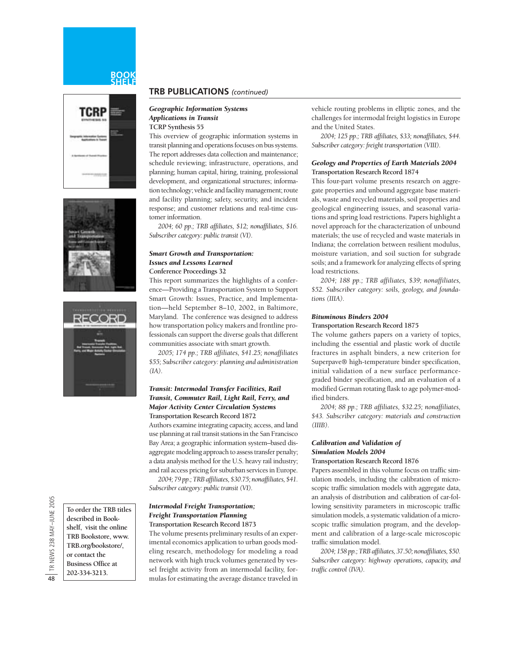#### **BOOK SHELF**







**To order the TRB titles described in Bookshelf, visit the online TRB Bookstore, www. TRB.org/bookstore/, or contact the Business Office at 202-334-3213.**

#### **TRB PUBLICATIONS** *(continued)*

#### *Geographic Information Systems Applications in Transit*

**TCRP Synthesis 55**

This overview of geographic information systems in transit planning and operations focuses on bus systems. The report addresses data collection and maintenance; schedule reviewing; infrastructure, operations, and planning; human capital, hiring, training, professional development, and organizational structures; information technology; vehicle and facility management; route and facility planning; safety, security, and incident response; and customer relations and real-time customer information.

*2004; 60 pp.; TRB affiliates, \$12; nonaffiliates, \$16. Subscriber category: public transit (VI).*

#### *Smart Growth and Transportation: Issues and Lessons Learned* **Conference Proceedings 32**

This report summarizes the highlights of a conference—Providing a Transportation System to Support Smart Growth: Issues, Practice, and Implementation—held September 8–10, 2002, in Baltimore, Maryland. The conference was designed to address how transportation policy makers and frontline professionals can support the diverse goals that different communities associate with smart growth.

*2005; 174 pp.; TRB affiliates, \$41.25; nonaffiliates \$55; Subscriber category: planning and administration (IA).*

#### *Transit: Intermodal Transfer Facilities, Rail Transit, Commuter Rail, Light Rail, Ferry, and Major Activity Center Circulation Systems* **Transportation Research Record 1872**

Authors examine integrating capacity, access, and land use planning at rail transit stations in the San Francisco Bay Area; a geographic information system–based disaggregate modeling approach to assess transfer penalty; a data analysis method for the U.S. heavy rail industry; and rail access pricing for suburban services in Europe.

*2004; 79 pp.; TRB affiliates, \$30.75; nonaffiliates, \$41. Subscriber category: public transit (VI).* 

#### *Intermodal Freight Transportation; Freight Transportation Planning* **Transportation Research Record 1873**

The volume presents preliminary results of an experimental economics application to urban goods modeling research, methodology for modeling a road network with high truck volumes generated by vessel freight activity from an intermodal facility, formulas for estimating the average distance traveled in

vehicle routing problems in elliptic zones, and the challenges for intermodal freight logistics in Europe and the United States.

*2004; 125 pp.; TRB affiliates, \$33; nonaffiliates, \$44. Subscriber category: freight transportation (VIII).*

#### *Geology and Properties of Earth Materials 2004* **Transportation Research Record 1874**

This four-part volume presents research on aggregate properties and unbound aggregate base materials, waste and recycled materials, soil properties and geological engineering issues, and seasonal variations and spring load restrictions. Papers highlight a novel approach for the characterization of unbound materials; the use of recycled and waste materials in Indiana; the correlation between resilient modulus, moisture variation, and soil suction for subgrade soils; and a framework for analyzing effects of spring load restrictions.

*2004; 188 pp.; TRB affiliates, \$39; nonaffiliates, \$52. Subscriber category: soils, geology, and foundations (IIIA).*

#### *Bituminous Binders 2004*

#### **Transportation Research Record 1875**

The volume gathers papers on a variety of topics, including the essential and plastic work of ductile fractures in asphalt binders, a new criterion for Superpave® high-temperature binder specification, initial validation of a new surface performancegraded binder specification, and an evaluation of a modified German rotating flask to age polymer-modified binders.

*2004; 88 pp.; TRB affiliates, \$32.25; nonaffiliates, \$43. Subscriber category: materials and construction (IIIB).*

#### *Calibration and Validation of Simulation Models 2004*

#### **Transportation Research Record 1876**

Papers assembled in this volume focus on traffic simulation models, including the calibration of microscopic traffic simulation models with aggregate data, an analysis of distribution and calibration of car-following sensitivity parameters in microscopic traffic simulation models, a systematic validation of a microscopic traffic simulation program, and the development and calibration of a large-scale microscopic traffic simulation model.

*2004; 158 pp.; TRB affiliates, 37.50; nonaffiliates, \$50. Subscriber category: highway operations, capacity, and traffic control (IVA).*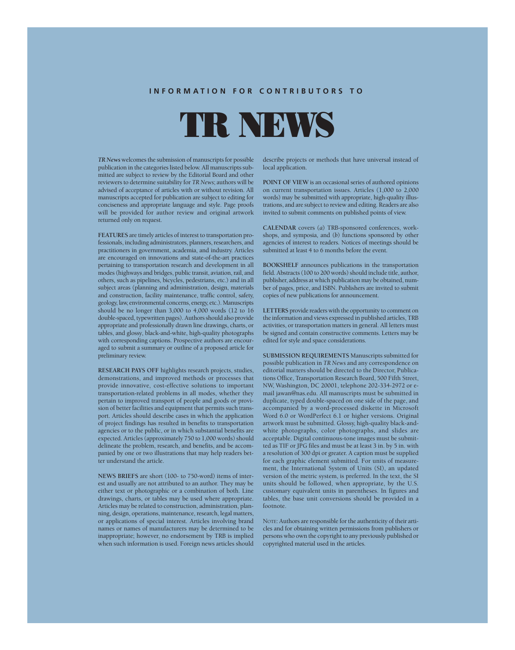#### **INFORMATION FOR CONTRIBUTORS TO**

TR NEWS

*TR News* welcomes the submission of manuscripts for possible publication in the categories listed below. All manuscripts submitted are subject to review by the Editorial Board and other reviewers to determine suitability for *TR News*; authors will be advised of acceptance of articles with or without revision. All manuscripts accepted for publication are subject to editing for conciseness and appropriate language and style. Page proofs will be provided for author review and original artwork returned only on request.

**FEATURES** are timely articles of interest to transportation professionals, including administrators, planners, researchers, and practitioners in government, academia, and industry. Articles are encouraged on innovations and state-of-the-art practices pertaining to transportation research and development in all modes (highways and bridges, public transit, aviation, rail, and others, such as pipelines, bicycles, pedestrians, etc.) and in all subject areas (planning and administration, design, materials and construction, facility maintenance, traffic control, safety, geology, law, environmental concerns, energy, etc.). Manuscripts should be no longer than 3,000 to 4,000 words (12 to 16 double-spaced, typewritten pages). Authors should also provide appropriate and professionally drawn line drawings, charts, or tables, and glossy, black-and-white, high-quality photographs with corresponding captions. Prospective authors are encouraged to submit a summary or outline of a proposed article for preliminary review.

**RESEARCH PAYS OFF** highlights research projects, studies, demonstrations, and improved methods or processes that provide innovative, cost-effective solutions to important transportation-related problems in all modes, whether they pertain to improved transport of people and goods or provision of better facilities and equipment that permits such transport. Articles should describe cases in which the application of project findings has resulted in benefits to transportation agencies or to the public, or in which substantial benefits are expected. Articles (approximately 750 to 1,000 words) should delineate the problem, research, and benefits, and be accompanied by one or two illustrations that may help readers better understand the article.

**NEWS BRIEFS** are short (100- to 750-word) items of interest and usually are not attributed to an author. They may be either text or photographic or a combination of both. Line drawings, charts, or tables may be used where appropriate. Articles may be related to construction, administration, planning, design, operations, maintenance, research, legal matters, or applications of special interest. Articles involving brand names or names of manufacturers may be determined to be inappropriate; however, no endorsement by TRB is implied when such information is used. Foreign news articles should describe projects or methods that have universal instead of local application.

**POINT OF VIEW** is an occasional series of authored opinions on current transportation issues. Articles (1,000 to 2,000 words) may be submitted with appropriate, high-quality illustrations, and are subject to review and editing. Readers are also invited to submit comments on published points of view.

**CALENDAR** covers (*a*) TRB-sponsored conferences, workshops, and symposia, and (*b*) functions sponsored by other agencies of interest to readers. Notices of meetings should be submitted at least 4 to 6 months before the event.

**BOOKSHELF** announces publications in the transportation field. Abstracts (100 to 200 words) should include title, author, publisher, address at which publication may be obtained, number of pages, price, and ISBN. Publishers are invited to submit copies of new publications for announcement.

**LETTERS** provide readers with the opportunity to comment on the information and views expressed in published articles, TRB activities, or transportation matters in general. All letters must be signed and contain constructive comments. Letters may be edited for style and space considerations.

**SUBMISSION REQUIREMENTS** Manuscripts submitted for possible publication in *TR News* and any correspondence on editorial matters should be directed to the Director, Publications Office, Transportation Research Board, 500 Fifth Street, NW, Washington, DC 20001, telephone 202-334-2972 or email jawan@nas.edu. All manuscripts must be submitted in duplicate, typed double-spaced on one side of the page, and accompanied by a word-processed diskette in Microsoft Word 6.0 or WordPerfect 6.1 or higher versions. Original artwork must be submitted. Glossy, high-quality black-andwhite photographs, color photographs, and slides are acceptable. Digital continuous-tone images must be submitted as TIF or JPG files and must be at least 3 in. by 5 in. with a resolution of 300 dpi or greater. A caption must be supplied for each graphic element submitted. For units of measurement, the International System of Units (SI), an updated version of the metric system, is preferred. In the text, the SI units should be followed, when appropriate, by the U.S. customary equivalent units in parentheses. In figures and tables, the base unit conversions should be provided in a footnote.

NOTE: Authors are responsible for the authenticity of their articles and for obtaining written permissions from publishers or persons who own the copyright to any previously published or copyrighted material used in the articles.